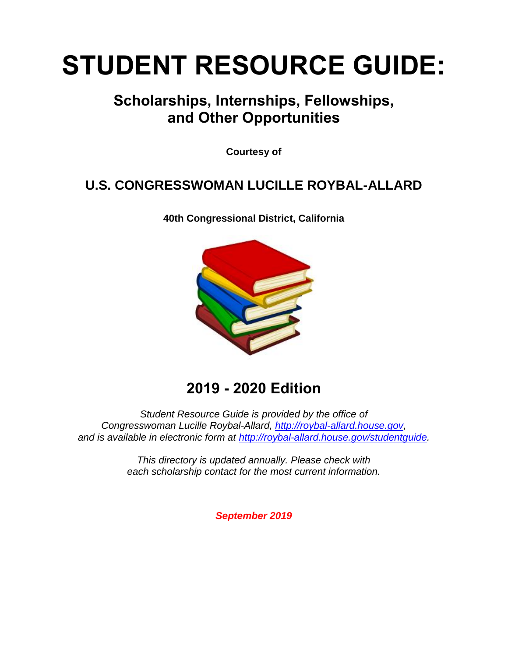# **STUDENT RESOURCE GUIDE:**

### **Scholarships, Internships, Fellowships, and Other Opportunities**

**Courtesy of**

### **U.S. CONGRESSWOMAN LUCILLE ROYBAL-ALLARD**

**40th Congressional District, California**



### **2019 - 2020 Edition**

*Student Resource Guide is provided by the office of Congresswoman Lucille Roybal-Allard, [http://roybal-allard.house.gov,](http://roybal-allard.house.gov/) and is available in electronic form at [http://roybal-allard.house.gov/studentguide.](http://roybal-allard.house.gov/studentguide)*

> *This directory is updated annually. Please check with each scholarship contact for the most current information.*

> > *September 2019*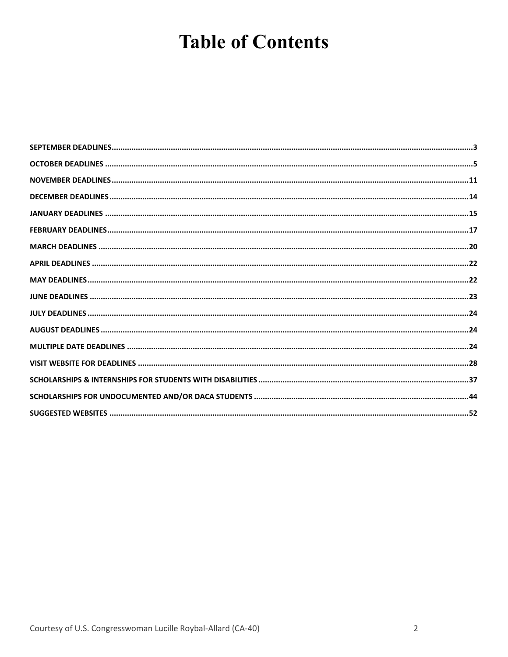# **Table of Contents**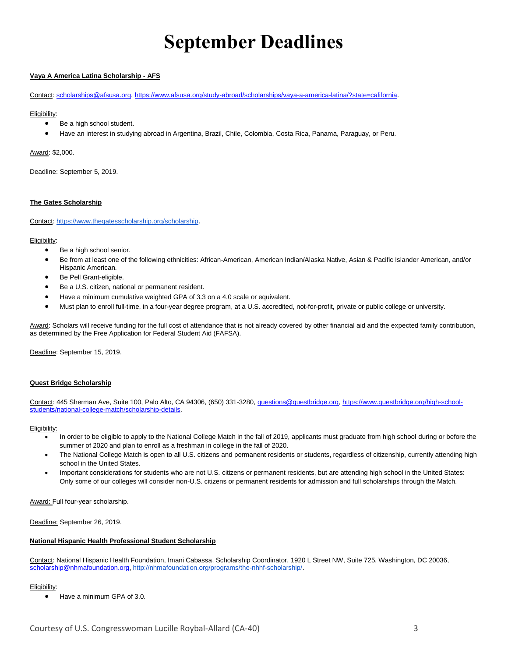# **September Deadlines**

#### <span id="page-2-0"></span>**Vaya A America Latina Scholarship - AFS**

Contact: [scholarships@afsusa.org,](mailto:scholarships@afsusa.org) <https://www.afsusa.org/study-abroad/scholarships/vaya-a-america-latina/?state=california.>

#### Eligibility:

- Be a high school student.
- Have an interest in studying abroad in Argentina, Brazil, Chile, Colombia, Costa Rica, Panama, Paraguay, or Peru.

Award: \$2,000.

Deadline: September 5, 2019.

#### **The Gates Scholarship**

Contact: [https://www.thegatesscholarship.org/scholarship.](https://www.thegatesscholarship.org/scholarship)

#### Eligibility:

- Be a high school senior.
- Be from at least one of the following ethnicities: African-American, American Indian/Alaska Native, Asian & Pacific Islander American, and/or Hispanic American.
- Be Pell Grant-eligible.
- Be a U.S. citizen, national or permanent resident.
- Have a minimum cumulative weighted GPA of 3.3 on a 4.0 scale or equivalent.
- Must plan to enroll full-time, in a four-year degree program, at a U.S. accredited, not-for-profit, private or public college or university.

Award: Scholars will receive funding for the full cost of attendance that is not already covered by other financial aid and the expected family contribution, as determined by the Free Application for Federal Student Aid (FAFSA).

Deadline: September 15, 2019.

#### **Quest Bridge Scholarship**

Contact: 445 Sherman Ave, Suite 100, Palo Alto, CA 94306, (650) 331-3280[, questions@questbridge.org,](mailto:questions@questbridge.org) [https://www.questbridge.org/high-school](https://www.questbridge.org/high-school-students/national-college-match/scholarship-details)[students/national-college-match/scholarship-details.](https://www.questbridge.org/high-school-students/national-college-match/scholarship-details)

#### Eligibility:

- In order to be eligible to apply to the National College Match in the fall of 2019, applicants must graduate from high school during or before the summer of 2020 and plan to enroll as a freshman in college in the fall of 2020.
- The National College Match is open to all U.S. citizens and permanent residents or students, regardless of citizenship, currently attending high school in the United States.
- Important considerations for students who are not U.S. citizens or permanent residents, but are attending high school in the United States: Only some of our colleges will consider non-U.S. citizens or permanent residents for admission and full scholarships through the Match.

Award: Full four-year scholarship.

Deadline: September 26, 2019.

#### **National Hispanic Health Professional Student Scholarship**

Contact: National Hispanic Health Foundation, Imani Cabassa, Scholarship Coordinator, 1920 L Street NW, Suite 725, Washington, DC 20036, [scholarship@nhmafoundation.org,](mailto:scholarship@nhmafoundation.org) [http://nhmafoundation.org/programs/the-nhhf-scholarship/.](http://nhmafoundation.org/programs/the-nhhf-scholarship/) 

#### Eligibility:

• Have a minimum GPA of 3.0.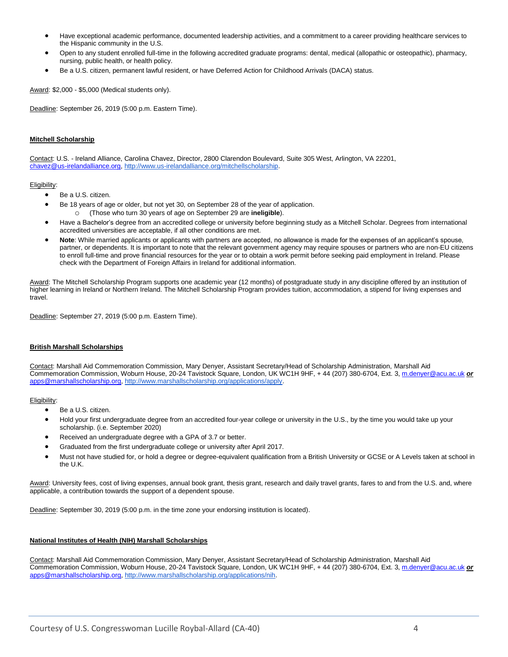- Have exceptional academic performance, documented leadership activities, and a commitment to a career providing healthcare services to the Hispanic community in the U.S.
- Open to any student enrolled full-time in the following accredited graduate programs: dental, medical (allopathic or osteopathic), pharmacy, nursing, public health, or health policy.
- Be a U.S. citizen, permanent lawful resident, or have Deferred Action for Childhood Arrivals (DACA) status.

Award: \$2,000 - \$5,000 (Medical students only).

Deadline: September 26, 2019 (5:00 p.m. Eastern Time).

#### **Mitchell Scholarship**

Contact: U.S. - Ireland Alliance, Carolina Chavez, Director, 2800 Clarendon Boulevard, Suite 305 West, Arlington, VA 22201, [chavez@us-irelandalliance.org,](mailto:chavez@us-irelandalliance.org) [http://www.us-irelandalliance.org/mitchellscholarship.](http://www.us-irelandalliance.org/mitchellscholarship)

#### Eligibility:

- Be a U.S. citizen.
- Be 18 years of age or older, but not yet 30, on September 28 of the year of application. o (Those who turn 30 years of age on September 29 are **ineligible**).
- Have a Bachelor's degree from an accredited college or university before beginning study as a Mitchell Scholar. Degrees from international accredited universities are acceptable, if all other conditions are met.
- **Note**: While married applicants or applicants with partners are accepted, no allowance is made for the expenses of an applicant's spouse, partner, or dependents. It is important to note that the relevant government agency may require spouses or partners who are non-EU citizens to enroll full-time and prove financial resources for the year or to obtain a work permit before seeking paid employment in Ireland. Please check with the Department of Foreign Affairs in Ireland for additional information.

Award: The Mitchell Scholarship Program supports one academic year (12 months) of postgraduate study in any discipline offered by an institution of higher learning in Ireland or Northern Ireland. The Mitchell Scholarship Program provides tuition, accommodation, a stipend for living expenses and travel.

Deadline: September 27, 2019 (5:00 p.m. Eastern Time).

#### **British Marshall Scholarships**

Contact: Marshall Aid Commemoration Commission, Mary Denyer, Assistant Secretary/Head of Scholarship Administration, Marshall Aid Commemoration Commission, Woburn House, 20-24 Tavistock Square, London, UK WC1H 9HF, + 44 (207) 380-6704, Ext. 3[, m.denyer@acu.ac.uk](mailto:m.denyer@acu.ac.uk) *or* [apps@marshallscholarship.org,](mailto:apps@marshallscholarship.org) [http://www.marshallscholarship.org/applications/apply.](http://www.marshallscholarship.org/applications/apply) 

Eligibility:

- Be a U.S. citizen.
- Hold your first undergraduate degree from an accredited four-year college or university in the U.S., by the time you would take up your scholarship. (i.e. September 2020)
- Received an undergraduate degree with a GPA of 3.7 or better.
- Graduated from the first undergraduate college or university after April 2017.
- Must not have studied for, or hold a degree or degree-equivalent qualification from a British University or GCSE or A Levels taken at school in the U.K.

Award: University fees, cost of living expenses, annual book grant, thesis grant, research and daily travel grants, fares to and from the U.S. and, where applicable, a contribution towards the support of a dependent spouse.

Deadline: September 30, 2019 (5:00 p.m. in the time zone your endorsing institution is located).

#### **National Institutes of Health (NIH) Marshall Scholarships**

Contact: Marshall Aid Commemoration Commission, Mary Denyer, Assistant Secretary/Head of Scholarship Administration, Marshall Aid Commemoration Commission, Woburn House, 20-24 Tavistock Square, London, UK WC1H 9HF, + 44 (207) 380-6704, Ext. 3[, m.denyer@acu.ac.uk](mailto:m.denyer@acu.ac.uk) *or* [apps@marshallscholarship.org,](mailto:apps@marshallscholarship.org) [http://www.marshallscholarship.org/applications/nih.](http://www.marshallscholarship.org/applications/nih)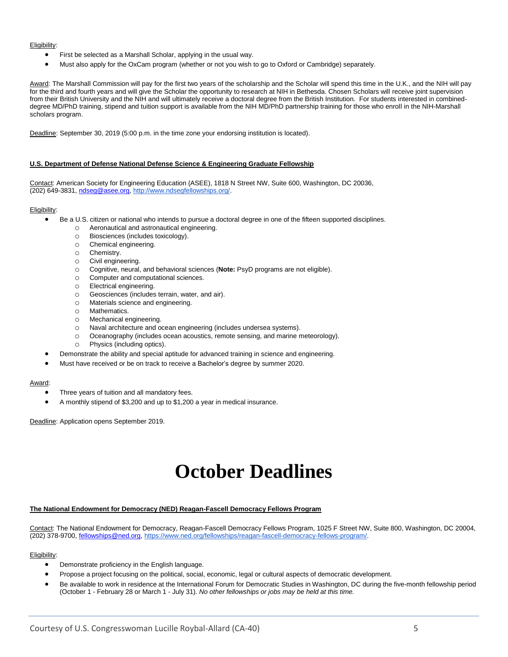#### Eligibility:

- First be selected as a Marshall Scholar, applying in the usual way.
- Must also apply for the OxCam program (whether or not you wish to go to Oxford or Cambridge) separately.

Award: The Marshall Commission will pay for the first two years of the scholarship and the Scholar will spend this time in the U.K., and the NIH will pay for the third and fourth years and will give the Scholar the opportunity to research at NIH in Bethesda. Chosen Scholars will receive joint supervision from their British University and the NIH and will ultimately receive a doctoral degree from the British Institution. For students interested in combineddegree MD/PhD training, stipend and tuition support is available from the NIH MD/PhD partnership training for those who enroll in the NIH-Marshall scholars program.

Deadline: September 30, 2019 (5:00 p.m. in the time zone your endorsing institution is located).

#### **U.S. Department of Defense National Defense Science & Engineering Graduate Fellowship**

Contact: American Society for Engineering Education (ASEE), 1818 N Street NW, Suite 600, Washington, DC 20036, (202) 649-3831, [ndseg@asee.org,](mailto:ndseg@asee.org) [http://www.ndsegfellowships.org/.](http://www.ndsegfellowships.org/)

#### Eligibility:

- Be a U.S. citizen or national who intends to pursue a doctoral degree in one of the fifteen supported disciplines.
	- o Aeronautical and astronautical engineering.
	- o Biosciences (includes toxicology).
	- o Chemical engineering.
	- o Chemistry.
	- o Civil engineering.
	- o Cognitive, neural, and behavioral sciences (**Note:** PsyD programs are not eligible).
	- o Computer and computational sciences.
	- o Electrical engineering.
	- o Geosciences (includes terrain, water, and air).
	- o Materials science and engineering.
	- o Mathematics.
	- o Mechanical engineering.
	- o Naval architecture and ocean engineering (includes undersea systems).
	- o Oceanography (includes ocean acoustics, remote sensing, and marine meteorology).
	- o Physics (including optics).
	- Demonstrate the ability and special aptitude for advanced training in science and engineering.
- Must have received or be on track to receive a Bachelor's degree by summer 2020.

#### Award:

- Three years of tuition and all mandatory fees.
- A monthly stipend of \$3,200 and up to \$1,200 a year in medical insurance.

<span id="page-4-0"></span>Deadline: Application opens September 2019.

### **October Deadlines**

#### **The National Endowment for Democracy (NED) Reagan-Fascell Democracy Fellows Program**

Contact: The National Endowment for Democracy, Reagan-Fascell Democracy Fellows Program, 1025 F Street NW, Suite 800, Washington, DC 20004, (202) 378-9700, [fellowships@ned.org,](mailto:fellowships@ned.org) [https://www.ned.org/fellowships/reagan-fascell-democracy-fellows-program/.](https://www.ned.org/fellowships/reagan-fascell-democracy-fellows-program/)

- Demonstrate proficiency in the English language.
- Propose a project focusing on the political, social, economic, legal or cultural aspects of democratic development.
- Be available to work in residence at the International Forum for Democratic Studies in Washington, DC during the five-month fellowship period (October 1 - February 28 or March 1 - July 31). *No other fellowships or jobs may be held at this time.*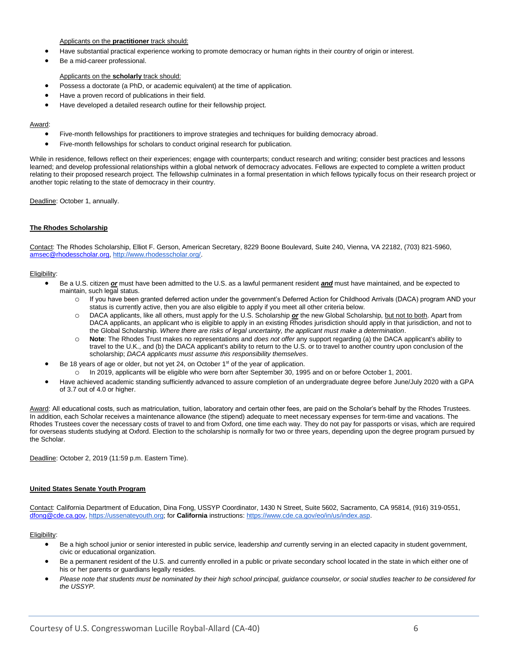#### Applicants on the **practitioner** track should:

- Have substantial practical experience working to promote democracy or human rights in their country of origin or interest.
- Be a mid-career professional.

#### Applicants on the **scholarly** track should:

- Possess a doctorate (a PhD, or academic equivalent) at the time of application.
- Have a proven record of publications in their field.
- Have developed a detailed research outline for their fellowship project.

#### Award:

- Five-month fellowships for practitioners to improve strategies and techniques for building democracy abroad.
- Five-month fellowships for scholars to conduct original research for publication.

While in residence, fellows reflect on their experiences; engage with counterparts; conduct research and writing; consider best practices and lessons learned; and develop professional relationships within a global network of democracy advocates. Fellows are expected to complete a written product relating to their proposed research project. The fellowship culminates in a formal presentation in which fellows typically focus on their research project or another topic relating to the state of democracy in their country.

Deadline: October 1, annually.

#### **The Rhodes Scholarship**

Contact: The Rhodes Scholarship, Elliot F. Gerson, American Secretary, 8229 Boone Boulevard, Suite 240, Vienna, VA 22182, (703) 821-5960, [amsec@rhodesscholar.org,](mailto:amsec@rhodesscholar.org) [http://www.rhodesscholar.org/.](http://www.rhodesscholar.org/)

#### Eligibility:

- Be a U.S. citizen *or* must have been admitted to the U.S. as a lawful permanent resident *and* must have maintained, and be expected to maintain, such legal status.
	- o If you have been granted deferred action under the government's Deferred Action for Childhood Arrivals (DACA) program AND your status is currently active, then you are also eligible to apply if you meet all other criteria below.
	- o DACA applicants, like all others, must apply for the U.S. Scholarship *or* the new Global Scholarship, but not to both. Apart from DACA applicants, an applicant who is eligible to apply in an existing Rhodes jurisdiction should apply in that jurisdiction, and not to the Global Scholarship. *Where there are risks of legal uncertainty, the applicant must make a determination*.
	- o **Note**: The Rhodes Trust makes no representations and *does not offer* any support regarding (a) the DACA applicant's ability to travel to the U.K., and (b) the DACA applicant's ability to return to the U.S. or to travel to another country upon conclusion of the scholarship; *DACA applicants must assume this responsibility themselves*.
- Be 18 years of age or older, but not yet 24, on October  $1<sup>st</sup>$  of the year of application.
	- o In 2019, applicants will be eligible who were born after September 30, 1995 and on or before October 1, 2001.
- Have achieved academic standing sufficiently advanced to assure completion of an undergraduate degree before June/July 2020 with a GPA of 3.7 out of 4.0 or higher.

Award: All educational costs, such as matriculation, tuition, laboratory and certain other fees, are paid on the Scholar's behalf by the Rhodes Trustees. In addition, each Scholar receives a maintenance allowance (the stipend) adequate to meet necessary expenses for term-time and vacations. The Rhodes Trustees cover the necessary costs of travel to and from Oxford, one time each way. They do not pay for passports or visas, which are required for overseas students studying at Oxford. Election to the scholarship is normally for two or three years, depending upon the degree program pursued by the Scholar.

Deadline: October 2, 2019 (11:59 p.m. Eastern Time).

#### **United States Senate Youth Program**

Contact: California Department of Education, Dina Fong, USSYP Coordinator, 1430 N Street, Suite 5602, Sacramento, CA 95814, (916) 319-0551, [dfong@cde.ca.gov,](mailto:dfong@cde.ca.gov) [https://ussenateyouth.org;](https://ussenateyouth.org/) for **California** instructions: [https://www.cde.ca.gov/eo/in/us/index.asp.](https://www.cde.ca.gov/eo/in/us/index.asp)

- Be a high school junior or senior interested in public service, leadership *and* currently serving in an elected capacity in student government, civic or educational organization.
- Be a permanent resident of the U.S. and currently enrolled in a public or private secondary school located in the state in which either one of his or her parents or guardians legally resides.
- *Please note that students must be nominated by their high school principal, guidance counselor, or social studies teacher to be considered for the USSYP.*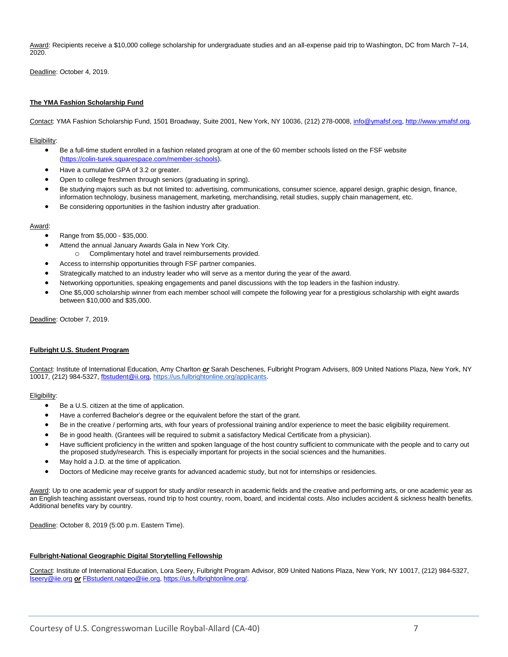Award: Recipients receive a \$10,000 college scholarship for undergraduate studies and an all-expense paid trip to Washington, DC from March 7-14, 2020.

Deadline: October 4, 2019.

#### **The YMA Fashion Scholarship Fund**

Contact: YMA Fashion Scholarship Fund, 1501 Broadway, Suite 2001, New York, NY 10036, (212) 278-0008, [info@ymafsf.org,](mailto:info@ymafsf.org) [http://www.ymafsf.org.](http://www.ymafsf.org/)

Eligibility:

- Be a full-time student enrolled in a fashion related program at one of the 60 member schools listed on the FSF website [\(https://colin-turek.squarespace.com/member-schools\)](https://colin-turek.squarespace.com/member-schools).
- Have a cumulative GPA of 3.2 or greater.
- Open to college freshmen through seniors (graduating in spring).
- Be studying majors such as but not limited to: advertising, communications, consumer science, apparel design, graphic design, finance, information technology, business management, marketing, merchandising, retail studies, supply chain management, etc.
- Be considering opportunities in the fashion industry after graduation.

#### Award:

- Range from \$5,000 \$35,000.
- Attend the annual January Awards Gala in New York City.
	- o Complimentary hotel and travel reimbursements provided.
- Access to internship opportunities through FSF partner companies.
- Strategically matched to an industry leader who will serve as a mentor during the year of the award.
- Networking opportunities, speaking engagements and panel discussions with the top leaders in the fashion industry.
- One \$5,000 scholarship winner from each member school will compete the following year for a prestigious scholarship with eight awards between \$10,000 and \$35,000.

Deadline: October 7, 2019.

#### **Fulbright U.S. Student Program**

Contact: Institute of International Education, Amy Charlton *or* Sarah Deschenes, Fulbright Program Advisers, 809 United Nations Plaza, New York, NY 10017, (212) 984-5327, [fbstudent@ii.org,](mailto:fbstudent@ii.org) [https://us.fulbrightonline.org/applicants.](https://us.fulbrightonline.org/applicants)

#### Eligibility:

- Be a U.S. citizen at the time of application.
- Have a conferred Bachelor's degree or the equivalent before the start of the grant.
- Be in the creative / performing arts, with four years of professional training and/or experience to meet the basic eligibility requirement.
- Be in good health. (Grantees will be required to submit a satisfactory Medical Certificate from a physician).
- Have sufficient proficiency in the written and spoken language of the host country sufficient to communicate with the people and to carry out the proposed study/research. This is especially important for projects in the social sciences and the humanities.
- May hold a J.D. at the time of application.
- Doctors of Medicine may receive grants for advanced academic study, but not for internships or residencies.

Award: Up to one academic year of support for study and/or research in academic fields and the creative and performing arts, or one academic year as an English teaching assistant overseas, round trip to host country, room, board, and incidental costs. Also includes accident & sickness health benefits. Additional benefits vary by country.

Deadline: October 8, 2019 (5:00 p.m. Eastern Time).

#### **Fulbright-National Geographic Digital Storytelling Fellowship**

Contact: Institute of International Education, Lora Seery, Fulbright Program Advisor, 809 United Nations Plaza, New York, NY 10017, (212) 984-5327, [lseery@iie.org](mailto:lseery@iie.org) *or* [FBstudent.natgeo@iie.org,](mailto:FBstudent.natgeo@iie.org) [https://us.fulbrightonline.org/.](https://us.fulbrightonline.org/)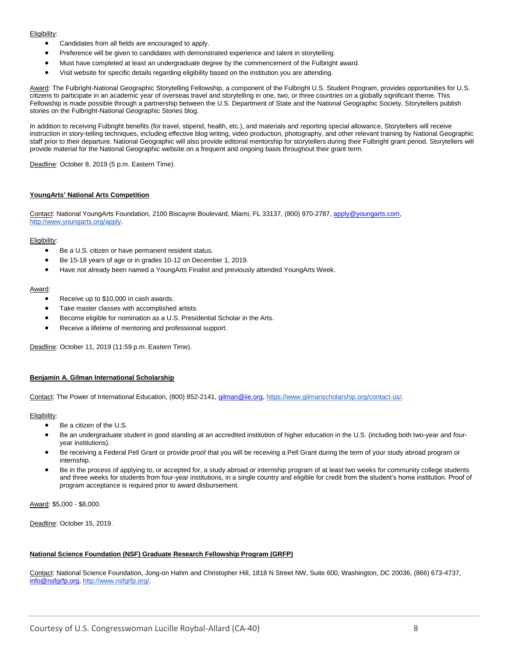#### Eligibility:

- Candidates from all fields are encouraged to apply.
- Preference will be given to candidates with demonstrated experience and talent in storytelling.
- Must have completed at least an undergraduate degree by the commencement of the Fulbright award.
- Visit website for specific details regarding eligibility based on the institution you are attending.

Award: The Fulbright-National Geographic Storytelling Fellowship, a component of the Fulbright U.S. Student Program, provides opportunities for U.S. citizens to participate in an academic year of overseas travel and storytelling in one, two, or three countries on a globally significant theme. This Fellowship is made possible through a partnership between the U.S. Department of State and the National Geographic Society. Storytellers publish stories on the Fulbright-National Geographic Stories blog.

In addition to receiving Fulbright benefits (for travel, stipend, health, etc.), and materials and reporting special allowance, Storytellers will receive instruction in story-telling techniques, including effective blog writing, video production, photography, and other relevant training by National Geographic staff prior to their departure. National Geographic will also provide editorial mentorship for storytellers during their Fulbright grant period. Storytellers will provide material for the National Geographic website on a frequent and ongoing basis throughout their grant term.

Deadline: October 8, 2019 (5 p.m. Eastern Time).

#### **YoungArts' National Arts Competition**

Contact: National YoungArts Foundation, 2100 Biscayne Boulevard, Miami, FL 33137, (800) 970-2787, [apply@youngarts.com](mailto:apply@youngarts.com)[,](http://www.youngarts.org/) [http://www.youngarts.org/a](http://www.youngarts.org/)pply.

#### Eligibility:

- Be a U.S. citizen or have permanent resident status.
- Be 15-18 years of age or in grades 10-12 on December 1, 2019.
- Have not already been named a YoungArts Finalist and previously attended YoungArts Week.

#### Award:

- Receive up to \$10,000 in cash awards.
- Take master classes with accomplished artists.
- Become eligible for nomination as a U.S. Presidential Scholar in the Arts.
- Receive a lifetime of mentoring and professional support.

Deadline: October 11, 2019 (11:59 p.m. Eastern Time).

#### **Benjamin A. Gilman International Scholarship**

Contact: The Power of International Education, (800) 852-2141[, gilman@iie.org,](mailto:gilman@iie.org) [https://www.gilmanscholarship.org/contact-us/.](https://www.gilmanscholarship.org/contact-us/)

#### Eligibility:

- Be a citizen of the U.S.
- Be an undergraduate student in good standing at an accredited institution of higher education in the U.S. (including both two-year and fouryear institutions).
- Be receiving a Federal Pell Grant or provide proof that you will be receiving a Pell Grant during the term of your study abroad program or internship.
- Be in the process of applying to, or accepted for, a study abroad or internship program of at least two weeks for community college students and three weeks for students from four-year institutions, in a single country and eligible for credit from the student's home institution. Proof of program acceptance is required prior to award disbursement.

Award: \$5,000 - \$8,000.

Deadline: October 15, 2019.

#### **National Science Foundation (NSF) Graduate Research Fellowship Program (GRFP)**

Contact: National Science Foundation, Jong-on Hahm and Christopher Hill, 1818 N Street NW, Suite 600, Washington, DC 20036, (866) 673-4737, [info@nsfgrfp.org,](mailto:info@nsfgrfp.org) [http://www.nsfgrfp.org/.](http://www.nsfgrfp.org/)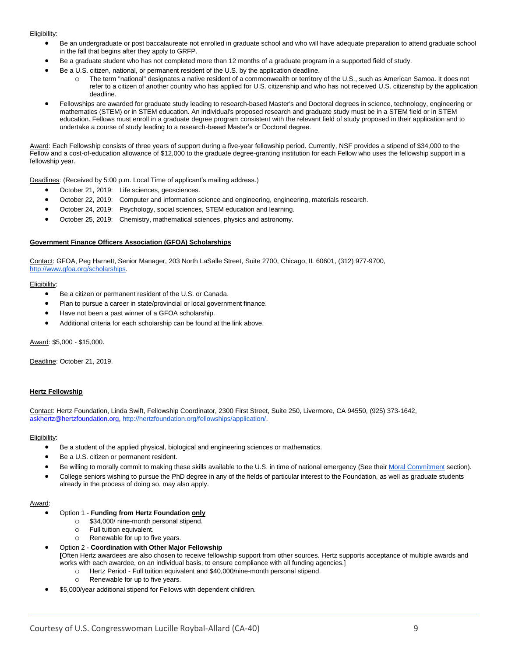#### Eligibility:

- Be an undergraduate or post baccalaureate not enrolled in graduate school and who will have adequate preparation to attend graduate school in the fall that begins after they apply to GRFP.
- Be a graduate student who has not completed more than 12 months of a graduate program in a supported field of study.
- Be a U.S. citizen, national, or permanent resident of the U.S. by the application deadline.
	- o The term "national" designates a native resident of a commonwealth or territory of the U.S., such as American Samoa. It does not refer to a citizen of another country who has applied for U.S. citizenship and who has not received U.S. citizenship by the application deadline.
- Fellowships are awarded for graduate study leading to research-based Master's and Doctoral degrees in science, technology, engineering or mathematics (STEM) or in STEM education. An individual's proposed research and graduate study must be in a STEM field or in STEM education. Fellows must enroll in a graduate degree program consistent with the relevant field of study proposed in their application and to undertake a course of study leading to a research-based Master's or Doctoral degree.

Award: Each Fellowship consists of three years of support during a five-year fellowship period. Currently, NSF provides a stipend of \$34,000 to the Fellow and a cost-of-education allowance of \$12,000 to the graduate degree-granting institution for each Fellow who uses the fellowship support in a fellowship year.

Deadlines: (Received by 5:00 p.m. Local Time of applicant's mailing address.)

- October 21, 2019: Life sciences, geosciences.
- October 22, 2019: Computer and information science and engineering, engineering, materials research.
- October 24, 2019: Psychology, social sciences, STEM education and learning.
- October 25, 2019: Chemistry, mathematical sciences, physics and astronomy.

#### **Government Finance Officers Association (GFOA) Scholarships**

Contact: GFOA, Peg Harnett, Senior Manager, 203 North LaSalle Street, Suite 2700, Chicago, IL 60601, (312) 977-970[0,](http://www.gfoa.org/scholarships) [http://www.gfoa.org/scholarships.](http://www.gfoa.org/scholarships)

#### Eligibility:

- Be a citizen or permanent resident of the U.S. or Canada.
- Plan to pursue a career in state/provincial or local government finance.
- Have not been a past winner of a GFOA scholarship.
- Additional criteria for each scholarship can be found at the link above.

Award: \$5,000 - \$15,000.

Deadline: October 21, 2019.

#### **Hertz Fellowship**

Contact: Hertz Foundation, Linda Swift, Fellowship Coordinator, 2300 First Street, Suite 250, Livermore, CA 94550, (925) 373-1642, [askhertz@hertzfoundation.org,](mailto:askhertz@hertzfoundation.org) [http://hertzfoundation.org/fellowships/application/.](http://hertzfoundation.org/fellowships/application/)

#### Eligibility:

- Be a student of the applied physical, biological and engineering sciences or mathematics.
- Be a U.S. citizen or permanent resident.
- Be willing to morally commit to making these skills available to the U.S. in time of national emergency (See their [Moral Commitment](http://hertzfoundation.org/dx/fellowships/commitment.aspx) section).
- College seniors wishing to pursue the PhD degree in any of the fields of particular interest to the Foundation, as well as graduate students already in the process of doing so, may also apply.

#### Award:

#### • Option 1 - **Funding from Hertz Foundation only**

- o \$34,000/ nine-month personal stipend.
- o Full tuition equivalent.
- o Renewable for up to five years.
- Option 2 **Coordination with Other Major Fellowship**
	- **[**Often Hertz awardees are also chosen to receive fellowship support from other sources. Hertz supports acceptance of multiple awards and works with each awardee, on an individual basis, to ensure compliance with all funding agencies.]
		- o Hertz Period Full tuition equivalent and \$40,000/nine-month personal stipend.
			- o Renewable for up to five years.
- \$5,000/year additional stipend for Fellows with dependent children.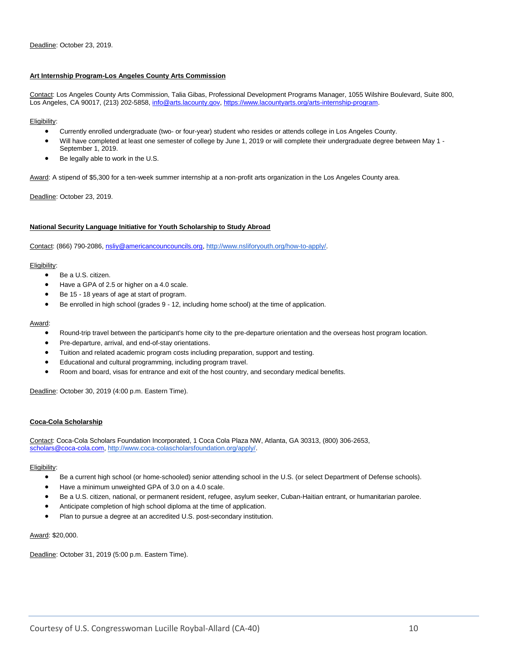#### **Art Internship Program-Los Angeles County Arts Commission**

Contact: Los Angeles County Arts Commission, Talia Gibas, Professional Development Programs Manager, 1055 Wilshire Boulevard, Suite 800, Los Angeles, CA 90017, (213) 202-5858[, info@arts.lacounty.gov,](mailto:info@arts.lacounty.gov) [https://www.lacountyarts.org/arts-internship-program.](https://www.lacountyarts.org/arts-internship-program)

#### Eligibility:

- Currently enrolled undergraduate (two- or four-year) student who resides or attends college in Los Angeles County.
- Will have completed at least one semester of college by June 1, 2019 or will complete their undergraduate degree between May 1 September 1, 2019.
- Be legally able to work in the U.S.

Award: A stipend of \$5,300 for a ten-week summer internship at a non-profit arts organization in the Los Angeles County area.

Deadline: October 23, 2019.

#### **National Security Language Initiative for Youth Scholarship to Study Abroad**

Contact: (866) 790-2086[, nsliy@americancouncouncils.org,](mailto:nsliy@americancouncouncils.org) [http://www.nsliforyouth.org/how-to-apply/.](http://www.nsliforyouth.org/how-to-apply/)

#### Eligibility:

- Be a U.S. citizen.
- Have a GPA of 2.5 or higher on a 4.0 scale.
- Be 15 18 years of age at start of program.
- Be enrolled in high school (grades 9 12, including home school) at the time of application.

#### Award:

- Round-trip travel between the participant's home city to the pre-departure orientation and the overseas host program location.
- Pre-departure, arrival, and end-of-stay orientations.
- Tuition and related academic program costs including preparation, support and testing.
- Educational and cultural programming, including program travel.
- Room and board, visas for entrance and exit of the host country, and secondary medical benefits.

Deadline: October 30, 2019 (4:00 p.m. Eastern Time).

#### **Coca-Cola Scholarship**

Contact: Coca-Cola Scholars Foundation Incorporated, 1 Coca Cola Plaza NW, Atlanta, GA 30313, (800) 306-2653, [scholars@coca-cola.com,](mailto:scholars@coca-cola.com) [http://www.coca-colascholarsfoundation.org/apply/.](http://www.coca-colascholarsfoundation.org/apply/)

#### Eligibility:

- Be a current high school (or home-schooled) senior attending school in the U.S. (or select Department of Defense schools).
- Have a minimum unweighted GPA of 3.0 on a 4.0 scale.
- Be a U.S. citizen, national, or permanent resident, refugee, asylum seeker, Cuban-Haitian entrant, or humanitarian parolee.
- Anticipate completion of high school diploma at the time of application.
- Plan to pursue a degree at an accredited U.S. post-secondary institution.

#### Award: \$20,000.

Deadline: October 31, 2019 (5:00 p.m. Eastern Time).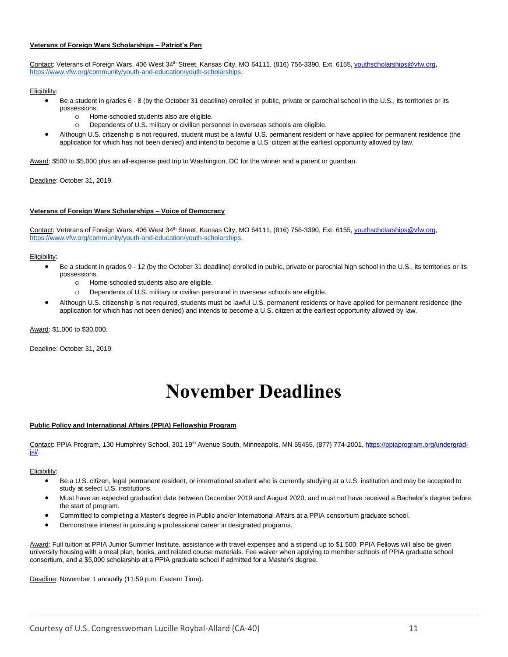#### **Veterans of Foreign Wars Scholarships – Patriot's Pen**

Contact: Veterans of Foreign Wars[,](https://www.vfw.org/community/youth-and-education/youth-scholarships) 406 West 34<sup>th</sup> Street, Kansas City, MO 64111, (816) 756-3390, Ext. 6155, vouthscholarships@vfw.org, [https://www.vfw.org/community/youth-and-education/youth-scholarships.](https://www.vfw.org/community/youth-and-education/youth-scholarships)

#### Eligibility:

- Be a student in grades 6 8 (by the October 31 deadline) enrolled in public, private or parochial school in the U.S., its territories or its possessions.
	- $\circ$  Home-schooled students also are eligible.
	- o Dependents of U.S. military or civilian personnel in overseas schools are eligible.
- Although U.S. citizenship is not required, student must be a lawful U.S. permanent resident or have applied for permanent residence (the application for which has not been denied) and intend to become a U.S. citizen at the earliest opportunity allowed by law.

Award: \$500 to \$5,000 plus an all-expense paid trip to Washington, DC for the winner and a parent or guardian.

Deadline: October 31, 2019.

#### **Veterans of Foreign Wars Scholarships – Voice of Democracy**

Contact: Veterans of Foreign Wars[,](https://www.vfw.org/community/youth-and-education/youth-scholarships) 406 West 34<sup>th</sup> Street, Kansas City, MO 64111, (816) 756-3390, Ext. 6155, vouthscholarships@vfw.org, [https://www.vfw.org/community/youth-and-education/youth-scholarships.](https://www.vfw.org/community/youth-and-education/youth-scholarships)

#### Eligibility:

- Be a student in grades 9 12 (by the October 31 deadline) enrolled in public, private or parochial high school in the U.S., its territories or its possessions.
	- o Home-schooled students also are eligible.
	- o Dependents of U.S. military or civilian personnel in overseas schools are eligible.
- Although U.S. citizenship is not required, students must be lawful U.S. permanent residents or have applied for permanent residence (the application for which has not been denied) and intends to become a U.S. citizen at the earliest opportunity allowed by law.

Award: \$1,000 to \$30,000.

<span id="page-10-0"></span>Deadline: October 31, 2019.

# **November Deadlines**

#### **Public Policy and International Affairs (PPIA) Fellowship Program**

Contact: PPIA Program, 130 Humphrey School, 301 19<sup>th</sup> Avenue South, Minneapolis, MN 55455, (877) 774-2001[, https://ppiaprogram.org/undergrad](https://ppiaprogram.org/undergrad-jsi/)[jsi/.](https://ppiaprogram.org/undergrad-jsi/)

#### Eligibility:

- Be a U.S. citizen, legal permanent resident, or international student who is currently studying at a U.S. institution and may be accepted to study at select U.S. institutions.
- Must have an expected graduation date between December 2019 and August 2020, and must not have received a Bachelor's degree before the start of program.
- Committed to completing a Master's degree in Public and/or International Affairs at a PPIA consortium graduate school.
- Demonstrate interest in pursuing a professional career in designated programs.

Award: Full tuition at PPIA Junior Summer Institute, assistance with travel expenses and a stipend up to \$1,500. PPIA Fellows will also be given university housing with a meal plan, books, and related course materials. Fee waiver when applying to member schools of PPIA graduate school consortium, and a \$5,000 scholarship at a PPIA graduate school if admitted for a Master's degree.

Deadline: November 1 annually (11:59 p.m. Eastern Time).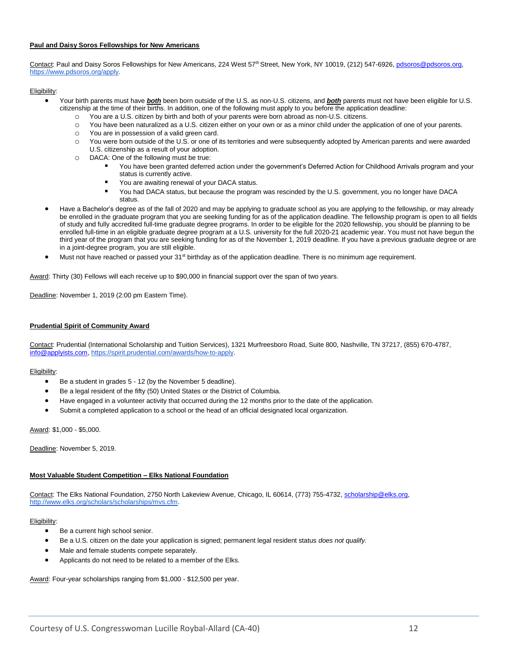#### **Paul and Daisy Soros Fellowships for New Americans**

Contact: Paul and Daisy Soros Fellowships for New Americans, 224 West 57th Street, New York, NY 10019, (212) 547-6926, pdsoros@pdsoros.org, [https://www.pdsoros.org/apply.](https://www.pdsoros.org/apply)

#### Eligibility:

- Your birth parents must have *both* been born outside of the U.S. as non-U.S. citizens, and *both* parents must not have been eligible for U.S. citizenship at the time of their births. In addition, one of the following must apply to you before the application deadline:
	- o You are a U.S. citizen by birth and both of your parents were born abroad as non-U.S. citizens.
	- o You have been naturalized as a U.S. citizen either on your own or as a minor child under the application of one of your parents.
	- o You are in possession of a valid green card.
	- o You were born outside of the U.S. or one of its territories and were subsequently adopted by American parents and were awarded U.S. citizenship as a result of your adoption.
	- o DACA: One of the following must be true:
		- You have been granted deferred action under the government's Deferred Action for Childhood Arrivals program and your status is currently active.
		- You are awaiting renewal of your DACA status.
		- You had DACA status, but because the program was rescinded by the U.S. government, you no longer have DACA status.
- Have a Bachelor's degree as of the fall of 2020 and may be applying to graduate school as you are applying to the fellowship, or may already be enrolled in the graduate program that you are seeking funding for as of the application deadline. The fellowship program is open to all fields of study and fully accredited full-time graduate degree programs. In order to be eligible for the 2020 fellowship, you should be planning to be enrolled full-time in an eligible graduate degree program at a U.S. university for the full 2020-21 academic year. You must not have begun the third year of the program that you are seeking funding for as of the November 1, 2019 deadline. If you have a previous graduate degree or are in a joint-degree program, you are still eligible.
- Must not have reached or passed your 31<sup>st</sup> birthday as of the application deadline. There is no minimum age requirement.

Award: Thirty (30) Fellows will each receive up to \$90,000 in financial support over the span of two years.

Deadline: November 1, 2019 (2:00 pm Eastern Time).

#### **Prudential Spirit of Community Award**

Contact: Prudential (International Scholarship and Tuition Services), 1321 Murfreesboro Road, Suite 800, Nashville, TN 37217, (855) 670-4787, [info@applyists.com,](mailto:info@applyists.com) [https://spirit.prudential.com/awards/how-to-apply.](https://spirit.prudential.com/awards/how-to-apply)

#### Eligibility:

- Be a student in grades 5 12 (by the November 5 deadline).
- Be a legal resident of the fifty (50) United States or the District of Columbia.
- Have engaged in a volunteer activity that occurred during the 12 months prior to the date of the application.
- Submit a completed application to a school or the head of an official designated local organization.

Award: \$1,000 - \$5,000.

Deadline: November 5, 2019.

#### **Most Valuable Student Competition – Elks National Foundation**

Contact: The Elks National Foundation, 2750 North Lakeview Avenue, Chicago, IL 60614, (773) 755-4732, [scholarship@elks.org,](mailto:scholarship@elks.org) [http://www.elks.org/scholars/scholarships/mvs.cfm.](http://www.elks.org/scholars/scholarships/mvs.cfm)

#### Eligibility:

- Be a current high school senior.
- Be a U.S. citizen on the date your application is signed; permanent legal resident status *does not qualify.*
- Male and female students compete separately.
- Applicants do not need to be related to a member of the Elks.

Award: Four-year scholarships ranging from \$1,000 - \$12,500 per year.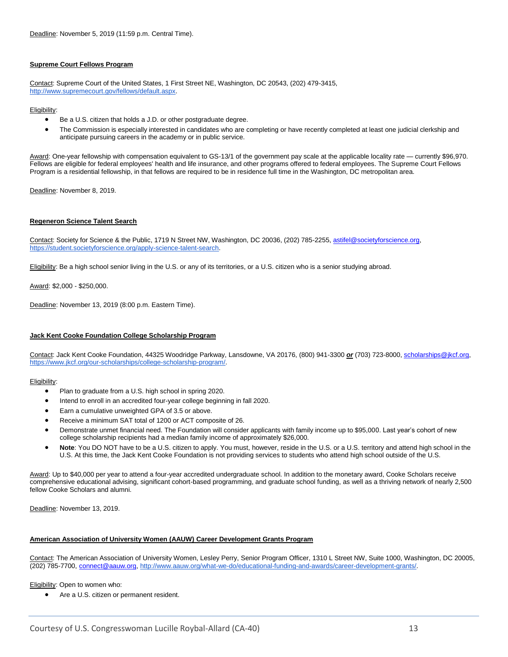#### **Supreme Court Fellows Program**

Contact: Supreme Court of the United States, 1 First Street NE, Washington, DC 20543, (202) 479-3415[,](http://www.supremecourt.gov/fellows/default.aspx) [http://www.supremecourt.gov/fellows/default.aspx.](http://www.supremecourt.gov/fellows/default.aspx)

#### Eligibility:

- Be a U.S. citizen that holds a J.D. or other postgraduate degree.
- The Commission is especially interested in candidates who are completing or have recently completed at least one judicial clerkship and anticipate pursuing careers in the academy or in public service.

Award: One-year fellowship with compensation equivalent to GS-13/1 of the government pay scale at the applicable locality rate - currently \$96,970. Fellows are eligible for federal employees' health and life insurance, and other programs offered to federal employees. The Supreme Court Fellows Program is a residential fellowship, in that fellows are required to be in residence full time in the Washington, DC metropolitan area.

Deadline: November 8, 2019.

#### **Regeneron Science Talent Search**

Contact: Society for Science & the Public, 1719 N Street NW, Washington, DC 20036, (202) 785-2255[, astifel@societyforscience.org](mailto:astifel@societyforscience.org)[,](https://student.societyforscience.org/apply-science-talent-search) [https://student.societyforscience.org/apply-science-talent-search.](https://student.societyforscience.org/apply-science-talent-search)

Eligibility: Be a high school senior living in the U.S. or any of its territories, or a U.S. citizen who is a senior studying abroad.

Award: \$2,000 - \$250,000.

Deadline: November 13, 2019 (8:00 p.m. Eastern Time).

#### **Jack Kent Cooke Foundation College Scholarship Program**

Contact: Jack Kent Cooke Foundation, 44325 Woodridge Parkway, Lansdowne, VA 20176, (800) 941-3300 *or* (703) 723-8000, [scholarships@jkcf.org,](mailto:scholarships@jkcf.org)  [https://www.jkcf.org/our-scholarships/college-scholarship-program/.](https://www.jkcf.org/our-scholarships/college-scholarship-program/)

#### Eligibility:

- Plan to graduate from a U.S. high school in spring 2020.
- Intend to enroll in an accredited four-year college beginning in fall 2020.
- Earn a cumulative unweighted GPA of 3.5 or above.
- Receive a minimum SAT total of 1200 or ACT composite of 26.
- Demonstrate unmet financial need. The Foundation will consider applicants with family income up to \$95,000. Last year's cohort of new college scholarship recipients had a median family income of approximately \$26,000.
- **Note**: You DO NOT have to be a U.S. citizen to apply. You must, however, reside in the U.S. or a U.S. territory and attend high school in the U.S. At this time, the Jack Kent Cooke Foundation is not providing services to students who attend high school outside of the U.S.

Award: Up to \$40,000 per year to attend a four-year accredited undergraduate school. In addition to the monetary award, Cooke Scholars receive comprehensive educational advising, significant cohort-based programming, and graduate school funding, as well as a thriving network of nearly 2,500 fellow Cooke Scholars and alumni.

Deadline: November 13, 2019.

#### **American Association of University Women (AAUW) Career Development Grants Program**

Contact: The American Association of University Women, Lesley Perry, Senior Program Officer, 1310 L Street NW, Suite 1000, Washington, DC 20005, (202) 785-7700, [connect@aauw.org,](mailto:connect@aauw.org) [http://www.aauw.org/what-we-do/educational-funding-and-awards/career-development-grants/.](http://www.aauw.org/what-we-do/educational-funding-and-awards/career-development-grants/)

Eligibility: Open to women who:

Are a U.S. citizen or permanent resident.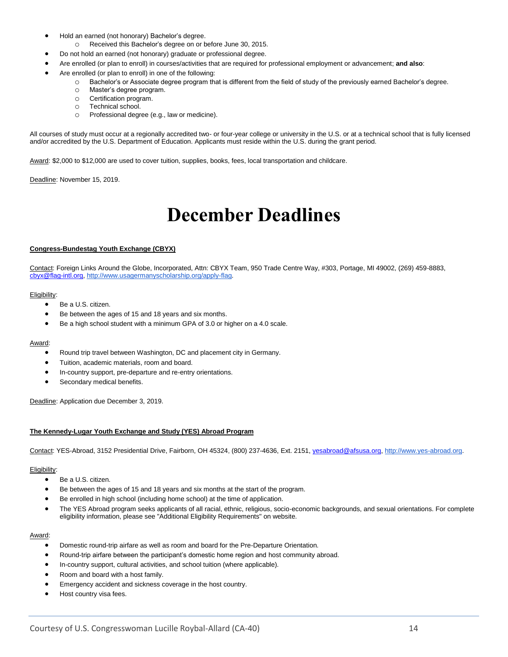- Hold an earned (not honorary) Bachelor's degree.
	- o Received this Bachelor's degree on or before June 30, 2015.
- Do not hold an earned (not honorary) graduate or professional degree.
- Are enrolled (or plan to enroll) in courses/activities that are required for professional employment or advancement; **and also**:
- Are enrolled (or plan to enroll) in one of the following:
	- o Bachelor's or Associate degree program that is different from the field of study of the previously earned Bachelor's degree.
	- o Master's degree program.
	- o Certification program.
	- o Technical school.
	- o Professional degree (e.g., law or medicine).

All courses of study must occur at a regionally accredited two- or four-year college or university in the U.S. or at a technical school that is fully licensed and/or accredited by the U.S. Department of Education. Applicants must reside within the U.S. during the grant period.

Award: \$2,000 to \$12,000 are used to cover tuition, supplies, books, fees, local transportation and childcare.

<span id="page-13-0"></span>Deadline: November 15, 2019.

### **December Deadlines**

#### **Congress-Bundestag Youth Exchange (CBYX)**

Contact: Foreign Links Around the Globe, Incorporated, Attn: CBYX Team, 950 Trade Centre Way, #303, Portage, MI 49002, (269) 459-8883, [cbyx@flag-intl.org,](mailto:cbyx@flag-intl.org) [http://www.usagermanyscholarship.org/apply-flag.](http://www.usagermanyscholarship.org/apply-flag)

#### Eligibility:

- Be a U.S. citizen.
- Be between the ages of 15 and 18 years and six months.
- Be a high school student with a minimum GPA of 3.0 or higher on a 4.0 scale.

#### Award:

- Round trip travel between Washington, DC and placement city in Germany.
- Tuition, academic materials, room and board.
- In-country support, pre-departure and re-entry orientations.
- Secondary medical benefits.

Deadline: Application due December 3, 2019.

#### **The Kennedy-Lugar Youth Exchange and Study (YES) Abroad Program**

Contact: YES-Abroad, [3152 Presidential Drive, Fairborn, OH 45324,](http://www.yes-abroad.org/) (800) 237-4636, Ext. 2151[, yesabroad@afsusa.org,](mailto:yesabroad@afsusa.org) [http://www.yes-abroad.org.](http://www.yes-abroad.org/)

#### Eligibility:

- Be a U.S. citizen.
- Be between the ages of 15 and 18 years and six months at the start of the program.
- Be enrolled in high school (including home school) at the time of application.
- The YES Abroad program seeks applicants of all racial, ethnic, religious, socio-economic backgrounds, and sexual orientations. For complete eligibility information, please see "Additional Eligibility Requirements" on website.

#### Award:

- Domestic round-trip airfare as well as room and board for the Pre-Departure Orientation.
- Round-trip airfare between the participant's domestic home region and host community abroad.
- In-country support, cultural activities, and school tuition (where applicable).
- Room and board with a host family.
- Emergency accident and sickness coverage in the host country.
- Host country visa fees.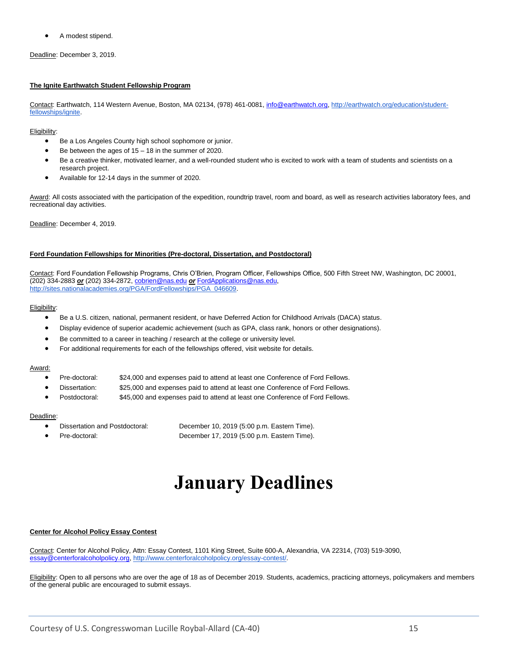• A modest stipend.

Deadline: December 3, 2019.

#### **The Ignite Earthwatch Student Fellowship Program**

Contact: Earthwatch, 114 Western Avenue, Boston, MA 02134, (978) 461-0081, [info@earthwatch.org,](mailto:info@earthwatch.org) [http://earthwatch.org/education/student](http://earthwatch.org/education/student-fellowships/ignite)[fellowships/ignite.](http://earthwatch.org/education/student-fellowships/ignite)

#### Eligibility:

- Be a Los Angeles County high school sophomore or junior.
- Be between the ages of  $15 18$  in the summer of 2020.
- Be a creative thinker, motivated learner, and a well-rounded student who is excited to work with a team of students and scientists on a research project.
- Available for 12-14 days in the summer of 2020.

Award: All costs associated with the participation of the expedition, roundtrip travel, room and board, as well as research activities laboratory fees, and recreational day activities.

Deadline: December 4, 2019.

#### **Ford Foundation Fellowships for Minorities (Pre-doctoral, Dissertation, and Postdoctoral)**

Contact: Ford Foundation Fellowship Programs, Chris O'Brien, Program Officer, Fellowships Office, 500 Fifth Street NW, Washington, DC 20001, (202) 334-2883 *or* (202) 334-2872[, cobrien@nas.edu](mailto:cobrien@nas.edu) *or* [FordApplications@nas.edu](mailto:FordApplications@nas.edu)[,](http://sites.nationalacademies.org/PGA/FordFellowships/PGA_046609) [http://sites.nationalacademies.org/PGA/FordFellowships/PGA\\_046609.](http://sites.nationalacademies.org/PGA/FordFellowships/PGA_046609)

#### Eligibility:

- Be a U.S. citizen, national, permanent resident, or have Deferred Action for Childhood Arrivals (DACA) status.
- Display evidence of superior academic achievement (such as GPA, class rank, honors or other designations).
- Be committed to a career in teaching / research at the college or university level.
- For additional requirements for each of the fellowships offered, visit website for details.

#### Award:

- Pre-doctoral: \$24,000 and expenses paid to attend at least one Conference of Ford Fellows.
- Dissertation: \$25,000 and expenses paid to attend at least one Conference of Ford Fellows.
- Postdoctoral: \$45,000 and expenses paid to attend at least one Conference of Ford Fellows.

#### Deadline:

- 
- <span id="page-14-0"></span>

• Dissertation and Postdoctoral: December 10, 2019 (5:00 p.m. Eastern Time). • Pre-doctoral: December 17, 2019 (5:00 p.m. Eastern Time).

# **January Deadlines**

#### **Center for Alcohol Policy Essay Contest**

Contact: Center for Alcohol Policy, Attn: Essay Contest, 1101 King Street, Suite 600-A, Alexandria, VA 22314, (703) 519-3090, [essay@centerforalcoholpolicy.org,](mailto:essay@centerforalcoholpolicy.org) [http://www.centerforalcoholpolicy.org/essay-contest/.](http://www.centerforalcoholpolicy.org/essay-contest/)

Eligibility: Open to all persons who are over the age of 18 as of December 2019. Students, academics, practicing attorneys, policymakers and members of the general public are encouraged to submit essays.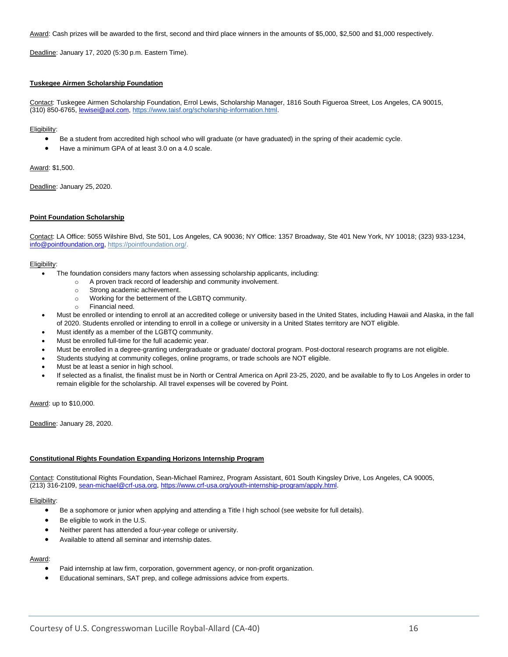Award: Cash prizes will be awarded to the first, second and third place winners in the amounts of \$5,000, \$2,500 and \$1,000 respectively.

Deadline: January 17, 2020 (5:30 p.m. Eastern Time).

#### **Tuskegee Airmen Scholarship Foundation**

Contact: Tuskegee Airmen Scholarship Foundation, Errol Lewis, Scholarship Manager, 1816 South Figueroa Street, Los Angeles, CA 90015, (310) 850-6765, [lewisei@aol.com,](mailto:lewisei@aol.com) [https://www.taisf.org/scholarship-information.html.](https://www.taisf.org/scholarship-information.html)

#### Eligibility:

- Be a student from accredited high school who will graduate (or have graduated) in the spring of their academic cycle.
- Have a minimum GPA of at least 3.0 on a 4.0 scale.

Award: \$1,500.

Deadline: January 25, 2020.

#### **Point Foundation Scholarship**

Contact: LA Office: 5055 Wilshire Blvd, Ste 501, Los Angeles, CA 90036; NY Office: 1357 Broadway, Ste 401 New York, NY 10018; (323) 933-1234, [info@pointfoundation.org,](mailto:info@pointfoundation.org) [https://pointfoundation.org/.](https://pointfoundation.org/) 

#### Eligibility:

- The foundation considers many factors when assessing scholarship applicants, including:
	- o A proven track record of leadership and community involvement.
	- o Strong academic achievement.
	- o Working for the betterment of the LGBTQ community.
	- o Financial need.
- Must be enrolled or intending to enroll at an accredited college or university based in the United States, including Hawaii and Alaska, in the fall of 2020. Students enrolled or intending to enroll in a college or university in a United States territory are NOT eligible.
- Must identify as a member of the LGBTQ community.
- Must be enrolled full-time for the full academic year.
- Must be enrolled in a degree-granting undergraduate or graduate/ doctoral program. Post-doctoral research programs are not eligible.
- Students studying at community colleges, online programs, or trade schools are NOT eligible.
- Must be at least a senior in high school.
- If selected as a finalist, the finalist must be in North or Central America on April 23-25, 2020, and be available to fly to Los Angeles in order to remain eligible for the scholarship. All travel expenses will be covered by Point.

Award: up to \$10,000.

Deadline: January 28, 2020.

#### **Constitutional Rights Foundation Expanding Horizons Internship Program**

Contact: Constitutional Rights Foundation, Sean-Michael Ramirez, Program Assistant, 601 South Kingsley Drive, Los Angeles, CA 90005, (213) 316-2109, [sean-michael@crf-usa.org,](mailto:sean-michael@crf-usa.org) [https://www.crf-usa.org/youth-internship-program/apply.html.](https://www.crf-usa.org/youth-internship-program/apply.html)

#### Eligibility:

- Be a sophomore or junior when applying and attending a Title I high school (see website for full details).
- Be eligible to work in the U.S.
- Neither parent has attended a four-year college or university.
- Available to attend all seminar and internship dates.

#### Award:

- Paid internship at law firm, corporation, government agency, or non-profit organization.
- Educational seminars, SAT prep, and college admissions advice from experts.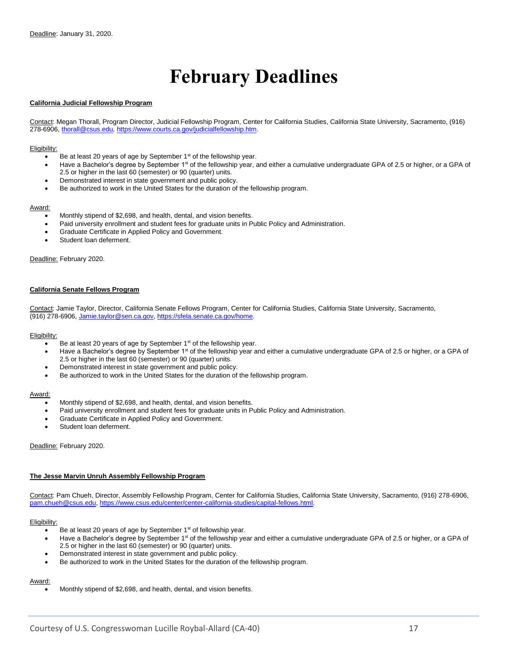### **February Deadlines**

#### <span id="page-16-0"></span>**California Judicial Fellowship Program**

Contact: Megan Thorall, Program Director, Judicial Fellowship Program, Center for California Studies, California State University, Sacramento, (916) 278-6906, [thorall@csus.edu,](mailto:thorall@csus.edu) [https://www.courts.ca.gov/judicialfellowship.htm.](https://www.courts.ca.gov/judicialfellowship.htm)

#### Eligibility:

- Be at least 20 years of age by September 1<sup>st</sup> of the fellowship year.
- Have a Bachelor's degree by September 1st of the fellowship year, and either a cumulative undergraduate GPA of 2.5 or higher, or a GPA of 2.5 or higher in the last 60 (semester) or 90 (quarter) units.
- Demonstrated interest in state government and public policy.
- Be authorized to work in the United States for the duration of the fellowship program.

#### Award:

- Monthly stipend of \$2,698, and health, dental, and vision benefits.
- Paid university enrollment and student fees for graduate units in Public Policy and Administration.
- Graduate Certificate in Applied Policy and Government.
- Student loan deferment.

Deadline: February 2020.

#### **California Senate Fellows Program**

Contact: Jamie Taylor, Director, California Senate Fellows Program, Center for California Studies, California State University, Sacramento, (916) 278-6906, [Jamie.taylor@sen.ca.gov,](mailto:Jamie.taylor@sen.ca.gov) [https://sfela.senate.ca.gov/home.](https://sfela.senate.ca.gov/home)

#### Eligibility:

- Be at least 20 years of age by September  $1<sup>st</sup>$  of the fellowship year.
- Have a Bachelor's degree by September 1<sup>st</sup> of the fellowship year and either a cumulative undergraduate GPA of 2.5 or higher, or a GPA of 2.5 or higher in the last 60 (semester) or 90 (quarter) units.
- Demonstrated interest in state government and public policy.
- Be authorized to work in the United States for the duration of the fellowship program.

#### Award:

- Monthly stipend of \$2,698, and health, dental, and vision benefits.
- Paid university enrollment and student fees for graduate units in Public Policy and Administration.
- Graduate Certificate in Applied Policy and Government.
- Student loan deferment.

#### Deadline: February 2020.

#### **The Jesse Marvin Unruh Assembly Fellowship Program**

Contact: Pam Chueh, Director, Assembly Fellowship Program, Center for California Studies, California State University, Sacramento, (916) 278-6906, [pam.chueh@csus.edu,](mailto:pam.chueh@csus.edu) [https://www.csus.edu/center/center-california-studies/capital-fellows.html.](https://www.csus.edu/center/center-california-studies/capital-fellows.html)

#### Eligibility:

- Be at least 20 years of age by September 1<sup>st</sup> of fellowship year.
- Have a Bachelor's degree by September 1<sup>st</sup> of the fellowship year and either a cumulative undergraduate GPA of 2.5 or higher, or a GPA of 2.5 or higher in the last 60 (semester) or 90 (quarter) units.
- Demonstrated interest in state government and public policy.
- Be authorized to work in the United States for the duration of the fellowship program.

#### Award:

• Monthly stipend of \$2,698, and health, dental, and vision benefits.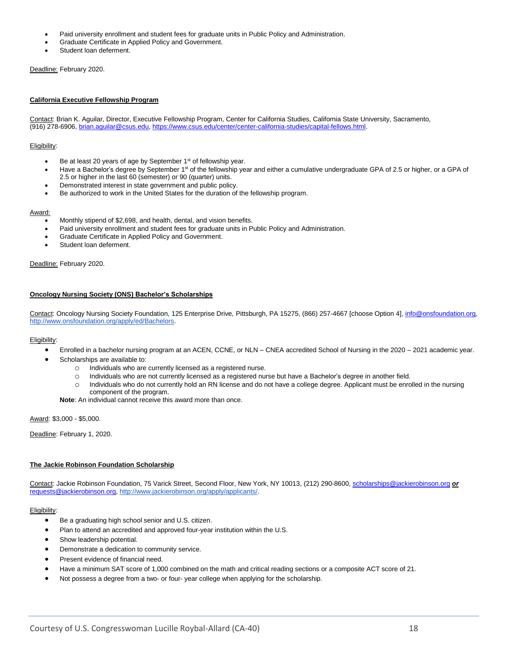- Paid university enrollment and student fees for graduate units in Public Policy and Administration.
- Graduate Certificate in Applied Policy and Government.
- Student loan deferment.

Deadline: February 2020.

#### **California Executive Fellowship Program**

Contact: Brian K. Aguilar, Director, Executive Fellowship Program, Center for California Studies, California State University, Sacramento, (916) 278-6906, [brian.aguilar@csus.edu,](mailto:brian.aguilar@csus.edu) [https://www.csus.edu/center/center-california-studies/capital-fellows.html.](https://www.csus.edu/center/center-california-studies/capital-fellows.html)

#### Eligibility:

- Be at least 20 years of age by September 1<sup>st</sup> of fellowship year.
- Have a Bachelor's degree by September 1<sup>st</sup> of the fellowship year and either a cumulative undergraduate GPA of 2.5 or higher, or a GPA of 2.5 or higher in the last 60 (semester) or 90 (quarter) units.
- Demonstrated interest in state government and public policy.
- Be authorized to work in the United States for the duration of the fellowship program.

#### Award:

- Monthly stipend of \$2,698, and health, dental, and vision benefits.
- Paid university enrollment and student fees for graduate units in Public Policy and Administration.
- Graduate Certificate in Applied Policy and Government.
- Student loan deferment.

#### Deadline: February 2020.

#### **Oncology Nursing Society (ONS) Bachelor's Scholarships**

Contact: Oncology Nursing Society Foundation, 125 Enterprise Drive, Pittsburgh, PA 15275, (866) 257-4667 [choose Option 4], [info@onsfoundation.org,](mailto:info@onsfoundation.org) [http://www.onsfoundation.org/apply/ed/Bachelors.](http://www.onsfoundation.org/apply/ed/Bachelors)

#### Eligibility:

- Enrolled in a bachelor nursing program at an ACEN, CCNE, or NLN CNEA accredited School of Nursing in the 2020 2021 academic year.
- Scholarships are available to:
	- o Individuals who are currently licensed as a registered nurse.
	- o Individuals who are not currently licensed as a registered nurse but have a Bachelor's degree in another field.
	- $\circ$  Individuals who do not currently hold an RN license and do not have a college degree. Applicant must be enrolled in the nursing component of the program.

**Note**: An individual cannot receive this award more than once.

Award: \$3,000 - \$5,000.

Deadline: February 1, 2020.

#### **The Jackie Robinson Foundation Scholarship**

Contact: Jackie Robinson Foundation, 75 Varick Street, Second Floor, New York, NY 10013, (212) 290-8600, [scholarships@jackierobinson.org](mailto:scholarships@jackierobinson.org) *or* [requests@jackierobinson.org,](mailto:requests@jackierobinson.org) [http://www.jackierobinson.org/apply/applicants/.](http://www.jackierobinson.org/apply/applicants/)

- Be a graduating high school senior and U.S. citizen.
- Plan to attend an accredited and approved four-year institution within the U.S.
- Show leadership potential.
- Demonstrate a dedication to community service.
- Present evidence of financial need.
- Have a minimum SAT score of 1,000 combined on the math and critical reading sections or a composite ACT score of 21.
- Not possess a degree from a two- or four- year college when applying for the scholarship.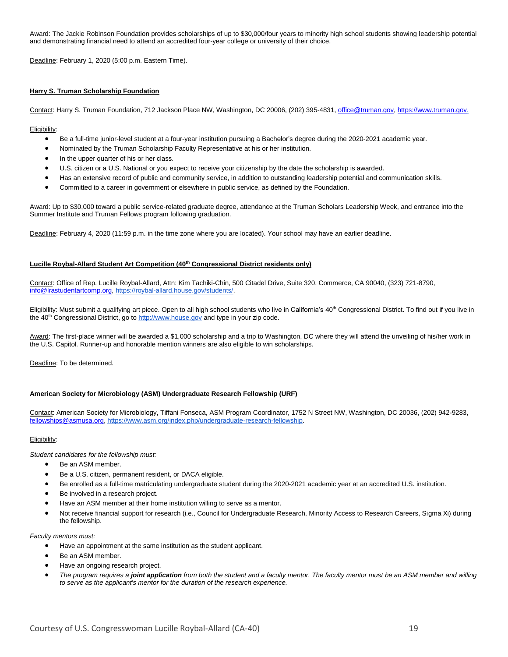Award: The Jackie Robinson Foundation provides scholarships of up to \$30,000/four years to minority high school students showing leadership potential and demonstrating financial need to attend an accredited four-year college or university of their choice.

Deadline: February 1, 2020 (5:00 p.m. Eastern Time).

#### **Harry S. Truman Scholarship Foundation**

Contact: Harry S. Truman Foundation, 712 Jackson Place NW, Washington, DC 20006, (202) 395-4831[, office@truman.gov,](mailto:office@truman.gov) [https://www.truman.gov.](https://www.truman.gov/)

#### Eligibility:

- Be a full-time junior-level student at a four-year institution pursuing a Bachelor's degree during the 2020-2021 academic year.
- Nominated by the Truman Scholarship Faculty Representative at his or her institution.
- In the upper quarter of his or her class.
- U.S. citizen or a U.S. National or you expect to receive your citizenship by the date the scholarship is awarded.
- Has an extensive record of public and community service, in addition to outstanding leadership potential and communication skills.
- Committed to a career in government or elsewhere in public service, as defined by the Foundation.

Award: Up to \$30,000 toward a public service-related graduate degree, attendance at the Truman Scholars Leadership Week, and entrance into the Summer Institute and Truman Fellows program following graduation.

Deadline: February 4, 2020 (11:59 p.m. in the time zone where you are located). Your school may have an earlier deadline.

#### **Lucille Roybal-Allard Student Art Competition (40th Congressional District residents only)**

Contact: Office of Rep. Lucille Roybal-Allard, Attn: Kim Tachiki-Chin, 500 Citadel Drive, Suite 320, Commerce, CA 90040, (323) 721-8790, [info@lrastudentartcomp.org,](mailto:info@lrastudentartcomp.org) [https://roybal-allard.house.gov/students/.](https://roybal-allard.house.gov/)

Eligibility: Must submit a qualifying art piece. Open to all high school students who live in California's 40<sup>th</sup> Congressional District. To find out if you live in the 40<sup>th</sup> Congressional District, go to [http://www.house.gov](http://www.house.gov/) and type in your zip code.

Award: The first-place winner will be awarded a \$1,000 scholarship and a trip to Washington, DC where they will attend the unveiling of his/her work in the U.S. Capitol. Runner-up and honorable mention winners are also eligible to win scholarships.

Deadline: To be determined.

#### **American Society for Microbiology (ASM) Undergraduate Research Fellowship (URF)**

Contact: American Society for Microbiology, Tiffani Fonseca, ASM Program Coordinator, 1752 N Street NW, Washington, DC 20036, (202) 942-9283, [fellowships@asmusa.org,](mailto:fellowships@asmusa.org) [https://www.asm.org/index.php/undergraduate-research-fellowship.](https://www.asm.org/index.php/undergraduate-research-fellowship)

#### Eligibility:

*Student candidates for the fellowship must:*

- Be an ASM member.
- Be a U.S. citizen, permanent resident, or DACA eligible.
- Be enrolled as a full-time matriculating undergraduate student during the 2020-2021 academic year at an accredited U.S. institution.
- Be involved in a research project.
- Have an ASM member at their home institution willing to serve as a mentor.
- Not receive financial support for research (i.e., Council for Undergraduate Research, Minority Access to Research Careers, Sigma Xi) during the fellowship.

#### *Faculty mentors must:*

- Have an appointment at the same institution as the student applicant.
- Be an ASM member.
- Have an ongoing research project.
- *The program requires a joint application from both the student and a faculty mentor. The faculty mentor must be an ASM member and willing to serve as the applicant's mentor for the duration of the research experience.*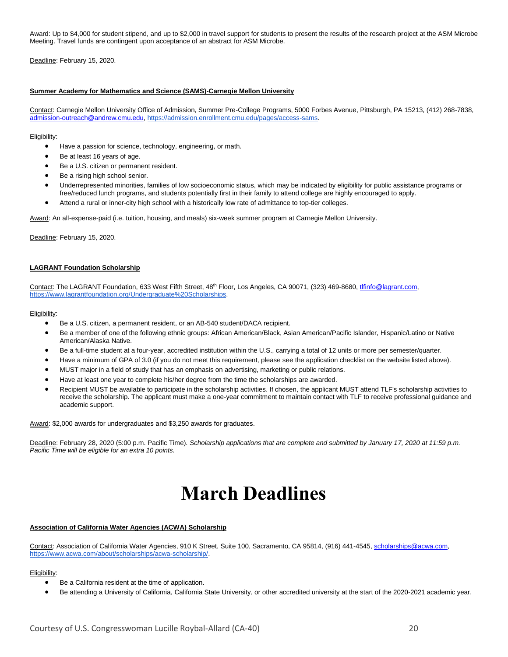Award: Up to \$4,000 for student stipend, and up to \$2,000 in travel support for students to present the results of the research project at the ASM Microbe Meeting. Travel funds are contingent upon acceptance of an abstract for ASM Microbe.

Deadline: February 15, 2020.

#### **Summer Academy for Mathematics and Science (SAMS)-Carnegie Mellon University**

Contact: Carnegie Mellon University Office of Admission, Summer Pre-College Programs, 5000 Forbes Avenue, Pittsburgh, PA 15213, (412) 268-7838, [admission-outreach@andrew.cmu.edu,](mailto:admission-outreach@andrew.cmu.edu) [https://admission.enrollment.cmu.edu/pages/access-sams.](https://admission.enrollment.cmu.edu/pages/access-sams)

#### Eligibility:

- Have a passion for science, technology, engineering, or math.
- Be at least 16 years of age.
- Be a U.S. citizen or permanent resident.
- Be a rising high school senior.
- Underrepresented minorities, families of low socioeconomic status, which may be indicated by eligibility for public assistance programs or free/reduced lunch programs, and students potentially first in their family to attend college are highly encouraged to apply.
- Attend a rural or inner-city high school with a historically low rate of admittance to top-tier colleges.

Award: An all-expense-paid (i.e. tuition, housing, and meals) six-week summer program at Carnegie Mellon University.

Deadline: February 15, 2020.

#### **LAGRANT Foundation Scholarship**

Contact: The LAGRANT Foundation, 633 West Fifth Street, 48<sup>th</sup> Floor, Los Angeles, CA 90071, (323) 469-8680[, tlfinfo@lagrant.com](mailto:tlfinfo@lagrant.com)[,](https://www.lagrantfoundation.org/Undergraduate%20Scholarships) [https://www.lagrantfoundation.org/Undergraduate%20Scholarships.](https://www.lagrantfoundation.org/Undergraduate%20Scholarships)

#### Eligibility:

- Be a U.S. citizen, a permanent resident, or an AB-540 student/DACA recipient.
- Be a member of one of the following ethnic groups: African American/Black, Asian American/Pacific Islander, Hispanic/Latino or Native American/Alaska Native.
- Be a full-time student at a four-year, accredited institution within the U.S., carrying a total of 12 units or more per semester/quarter.
- Have a minimum of GPA of 3.0 (if you do not meet this requirement, please see the application checklist on the website listed above).
- MUST major in a field of study that has an emphasis on advertising, marketing or public relations.
- Have at least one year to complete his/her degree from the time the scholarships are awarded.
- Recipient MUST be available to participate in the scholarship activities. If chosen, the applicant MUST attend TLF's scholarship activities to receive the scholarship. The applicant must make a one-year commitment to maintain contact with TLF to receive professional guidance and academic support.

Award: \$2,000 awards for undergraduates and \$3,250 awards for graduates.

<span id="page-19-0"></span>Deadline: February 28, 2020 (5:00 p.m. Pacific Time). *Scholarship applications that are complete and submitted by January 17, 2020 at 11:59 p.m. Pacific Time will be eligible for an extra 10 points.*

### **March Deadlines**

#### **Association of California Water Agencies (ACWA) Scholarship**

Contact: Association of California Water Agencies, 910 K Street, Suite 100, Sacramento, CA 95814, (916) 441-4545, [scholarships@acwa.com](mailto:scholarships@acwa.com)[,](https://www.acwa.com/about/scholarships/acwa-scholarship/) [https://www.acwa.com/about/scholarships/acwa-scholarship/.](https://www.acwa.com/about/scholarships/acwa-scholarship/)

- Be a California resident at the time of application.
- Be attending a University of California, California State University, or other accredited university at the start of the 2020-2021 academic year.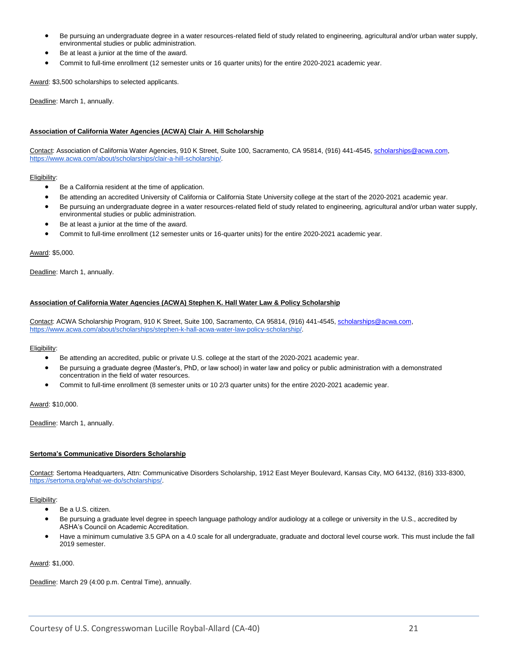- Be pursuing an undergraduate degree in a water resources-related field of study related to engineering, agricultural and/or urban water supply, environmental studies or public administration.
- Be at least a junior at the time of the award.
- Commit to full-time enrollment (12 semester units or 16 quarter units) for the entire 2020-2021 academic year.

Award: \$3,500 scholarships to selected applicants.

Deadline: March 1, annually.

#### **Association of California Water Agencies (ACWA) Clair A. Hill Scholarship**

Contact: Association of California Water Agencies, 910 K Street, Suite 100, Sacramento, CA 95814, (916) 441-4545, [scholarships@acwa.com](mailto:scholarships@acwa.com)[,](http://www.acwa.com/content/clair-hill-scholarship-0) [https://www.acwa.com/about/scholarships/clair-a-hill-scholarship/.](https://www.acwa.com/about/scholarships/clair-a-hill-scholarship/) 

#### Eligibility:

- Be a California resident at the time of application.
- Be attending an accredited University of California or California State University college at the start of the 2020-2021 academic year.
- Be pursuing an undergraduate degree in a water resources-related field of study related to engineering, agricultural and/or urban water supply, environmental studies or public administration.
- Be at least a junior at the time of the award.
- Commit to full-time enrollment (12 semester units or 16-quarter units) for the entire 2020-2021 academic year.

#### Award: \$5,000.

Deadline: March 1, annually.

#### **Association of California Water Agencies (ACWA) Stephen K. Hall Water Law & Policy Scholarship**

Contact: ACWA Scholarship Program, 910 K Street, Suite 100, Sacramento, CA 95814, (916) 441-4545[, scholarships@acwa.com](mailto:scholarships@acwa.com)[,](https://www.acwa.com/about/scholarships/stephen-k-hall-acwa-water-law-policy-scholarship/) [https://www.acwa.com/about/scholarships/stephen-k-hall-acwa-water-law-policy-scholarship/.](https://www.acwa.com/about/scholarships/stephen-k-hall-acwa-water-law-policy-scholarship/)

Eligibility:

- Be attending an accredited, public or private U.S. college at the start of the 2020-2021 academic year.
- Be pursuing a graduate degree (Master's, PhD, or law school) in water law and policy or public administration with a demonstrated concentration in the field of water resources.
- Commit to full-time enrollment (8 semester units or 10 2/3 quarter units) for the entire 2020-2021 academic year.

Award: \$10,000.

Deadline: March 1, annually.

#### **Sertoma's Communicative Disorders Scholarship**

Contact: Sertoma Headquarters, Attn: Communicative Disorders Scholarship, 1912 East Meyer Boulevard, Kansas City, MO 64132, (816) 333-8300, [https://sertoma.org/what-we-do/scholarships/.](https://sertoma.org/what-we-do/scholarships/)

#### Eligibility:

- Be a U.S. citizen.
- Be pursuing a graduate level degree in speech language pathology and/or audiology at a college or university in the U.S., accredited by ASHA's Council on Academic Accreditation.
- Have a minimum cumulative 3.5 GPA on a 4.0 scale for all undergraduate, graduate and doctoral level course work. This must include the fall 2019 semester.

#### Award: \$1,000.

Deadline: March 29 (4:00 p.m. Central Time), annually.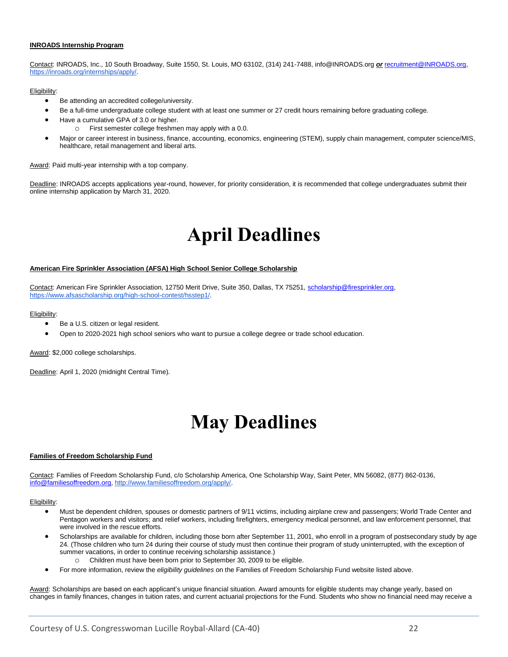#### **INROADS Internship Program**

Contact: INROADS, Inc., 10 South Broadway, Suite 1550, St. Louis, MO 63102, (314) 241-7488, info@INROADS.org *or* [recruitment@INROADS.org](mailto:recruitment@INROADS.org)[,](https://inroads.org/internships/apply/) [https://inroads.org/internships/apply/.](https://inroads.org/internships/apply/)

#### Eligibility:

- Be attending an accredited college/university.
- Be a full-time undergraduate college student with at least one summer or 27 credit hours remaining before graduating college.
- Have a cumulative GPA of 3.0 or higher.
	- o First semester college freshmen may apply with a 0.0.
- Major or career interest in business, finance, accounting, economics, engineering (STEM), supply chain management, computer science/MIS, healthcare, retail management and liberal arts.

Award: Paid multi-year internship with a top company.

<span id="page-21-0"></span>Deadline: INROADS accepts applications year-round, however, for priority consideration, it is recommended that college undergraduates submit their online internship application by March 31, 2020.

### **April Deadlines**

#### **American Fire Sprinkler Association (AFSA) High School Senior College Scholarship**

Contact: American Fire Sprinkler Association, 12750 Merit Drive, Suite 350, Dallas, TX 75251, [scholarship@firesprinkler.org,](mailto:scholarship@firesprinkler.org)  [https://www.afsascholarship.org/high-school-contest/hsstep1/.](https://www.afsascholarship.org/high-school-contest/hsstep1/)

Eligibility:

- Be a U.S. citizen or legal resident.
- Open to 2020-2021 high school seniors who want to pursue a college degree or trade school education.

Award: \$2,000 college scholarships.

<span id="page-21-1"></span>Deadline: April 1, 2020 (midnight Central Time).

### **May Deadlines**

#### **Families of Freedom Scholarship Fund**

Contact: Families of Freedom Scholarship Fund, c/o Scholarship America, One Scholarship Way, Saint Peter, MN 56082, (877) 862-0136, [info@familiesoffreedom.org,](mailto:info@familiesoffreedom.org) [http://www.familiesoffreedom.org/apply/.](http://www.familiesoffreedom.org/apply/)

#### Eligibility:

- Must be dependent children, spouses or domestic partners of 9/11 victims, including airplane crew and passengers; World Trade Center and Pentagon workers and visitors; and relief workers, including firefighters, emergency medical personnel, and law enforcement personnel, that were involved in the rescue efforts.
- Scholarships are available for children, including those born after September 11, 2001, who enroll in a program of postsecondary study by age 24. (Those children who turn 24 during their course of study must then continue their program of study uninterrupted, with the exception of summer vacations, in order to continue receiving scholarship assistance.)
	- Children must have been born prior to September 30, 2009 to be eligible.
- For more information, review the *[eligibility guidelines](http://www.familiesoffreedom.org/eligibility-guidelines)* on the Families of Freedom Scholarship Fund website listed above.

Award: Scholarships are based on each applicant's unique financial situation. Award amounts for eligible students may change yearly, based on changes in family finances, changes in tuition rates, and current actuarial projections for the Fund. Students who show no financial need may receive a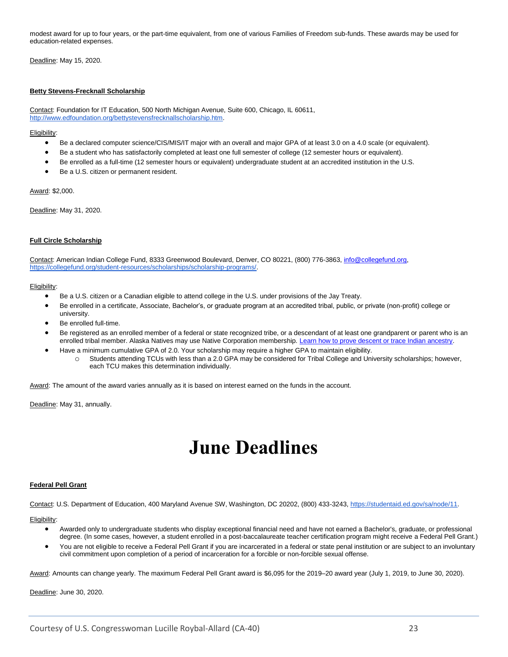modest award for up to four years, or the part-time equivalent, from one of various Families of Freedom sub-funds. These awards may be used for education-related expenses.

Deadline: May 15, 2020.

#### **Betty Stevens-Frecknall Scholarship**

Contact: Foundation for IT Education, 500 North Michigan Avenue, Suite 600, Chicago, IL 60611, [http://www.edfoundation.org/bettystevensfrecknallscholarship.htm.](http://www.edfoundation.org/bettystevensfrecknallscholarship.htm)

#### Eligibility:

- Be a declared computer science/CIS/MIS/IT major with an overall and major GPA of at least 3.0 on a 4.0 scale (or equivalent).
- Be a student who has satisfactorily completed at least one full semester of college (12 semester hours or equivalent).
- Be enrolled as a full-time (12 semester hours or equivalent) undergraduate student at an accredited institution in the U.S.
- Be a U.S. citizen or permanent resident.

Award: \$2,000.

Deadline: May 31, 2020.

#### **Full Circle Scholarship**

Contact: American Indian College Fund, 8333 Greenwood Boulevard, Denver, CO 80221, (800) 776-3863[, info@collegefund.org,](mailto:info@collegefund.org) [https://collegefund.org/student-resources/scholarships/scholarship-programs/.](https://collegefund.org/student-resources/scholarships/scholarship-programs/)

#### Eligibility:

- Be a U.S. citizen or a Canadian eligible to attend college in the U.S. under provisions of the Jay Treaty.
- Be enrolled in a certificate, Associate, Bachelor's, or graduate program at an accredited tribal, public, or private (non-profit) college or university.
- Be enrolled full-time.
- Be registered as an enrolled member of a federal or state recognized tribe, or a descendant of at least one grandparent or parent who is an enrolled tribal member. Alaska Natives may use Native Corporation membership. [Learn how to prove descent or trace Indian ancestry.](https://www.doi.gov/tribes/trace-ancestry)
- Have a minimum cumulative GPA of 2.0. Your scholarship may require a higher GPA to maintain eligibility.
	- Students attending TCUs with less than a 2.0 GPA may be considered for Tribal College and University scholarships; however, each TCU makes this determination individually.

Award: The amount of the award varies annually as it is based on interest earned on the funds in the account.

<span id="page-22-0"></span>Deadline: May 31, annually.

### **June Deadlines**

#### **Federal Pell Grant**

Contact: U.S. Department of Education, 400 Maryland Avenue SW, Washington, DC 20202, (800) 433-3243[, https://studentaid.ed.gov/sa/node/11.](https://studentaid.ed.gov/sa/node/11) 

Eligibility:

- Awarded only to undergraduate students who display exceptional financial need and have not earned a Bachelor's, graduate, or professional degree. (In some cases, however, a student enrolled in a post-baccalaureate teacher certification program might receive a Federal Pell Grant.)
- You are not eligible to receive a Federal Pell Grant if you are incarcerated in a federal or state penal institution or are subject to an involuntary civil commitment upon completion of a period of incarceration for a forcible or non-forcible sexual offense.

Award: Amounts can change yearly. The maximum Federal Pell Grant award is \$6,095 for the 2019–20 award year (July 1, 2019, to June 30, 2020).

Deadline: June 30, 2020.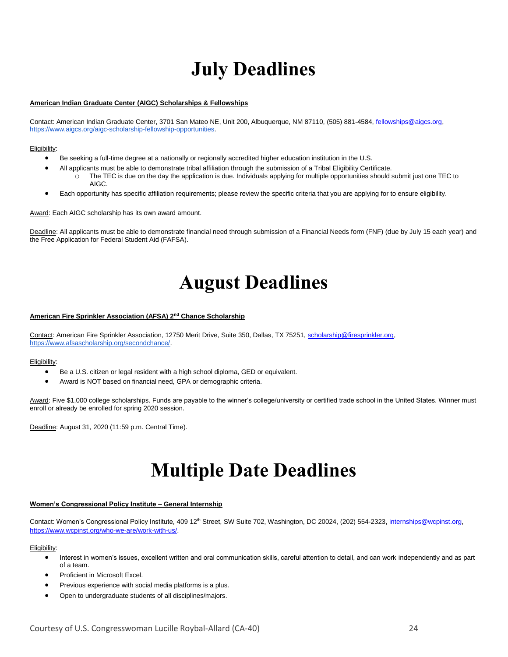# **July Deadlines**

#### <span id="page-23-0"></span>**American Indian Graduate Center (AIGC) Scholarships & Fellowships**

Contact: American Indian Graduate Center, 3701 San Mateo NE, Unit 200, Albuquerque, NM 87110, (505) 881-4584, [fellowships@aigcs.org,](mailto:fellowships@aigcs.org) [https://www.aigcs.org/aigc-scholarship-fellowship-opportunities.](https://www.aigcs.org/aigc-scholarship-fellowship-opportunities)

Eligibility:

- Be seeking a full-time degree at a nationally or regionally accredited higher education institution in the U.S.
- All applicants must be able to demonstrate tribal affiliation through the submission of a Tribal Eligibility Certificate.
	- o The TEC is due on the day the application is due. Individuals applying for multiple opportunities should submit just one TEC to AIGC.
- Each opportunity has specific affiliation requirements; please review the specific criteria that you are applying for to ensure eligibility.

Award: Each AIGC scholarship has its own award amount.

<span id="page-23-1"></span>Deadline: All applicants must be able to demonstrate financial need through submission of a Financial Needs form (FNF) (due by July 15 each year) and the Free Application for Federal Student Aid (FAFSA).

# **August Deadlines**

#### **American Fire Sprinkler Association (AFSA) 2nd Chance Scholarship**

Contact: American Fire Sprinkler Association, 12750 Merit Drive, Suite 350, Dallas, TX 75251, scholarship@firesprinkler.org, [https://www.afsascholarship.org/secondchance/.](https://www.afsascholarship.org/secondchance/)

#### Eligibility:

- Be a U.S. citizen or legal resident with a high school diploma, GED or equivalent.
- Award is NOT based on financial need, GPA or demographic criteria.

Award: Five \$1,000 college scholarships. Funds are payable to the winner's college/university or certified trade school in the United States. Winner must enroll or already be enrolled for spring 2020 session.

Deadline: August 31, 2020 (11:59 p.m. Central Time).

### <span id="page-23-2"></span>**Multiple Date Deadlines**

#### **Women's Congressional Policy Institute – General Internship**

Contact: Women's Congressional Policy Institute, 409 12<sup>th</sup> Street, SW Suite 702, Washington, DC 20024, (202) 554-2323, internships@wcpinst.org, [https://www.wcpinst.org/who-we-are/work-with-us/.](https://www.wcpinst.org/who-we-are/work-with-us/)

- Interest in women's issues, excellent written and oral communication skills, careful attention to detail, and can work independently and as part of a team.
- Proficient in Microsoft Excel.
- Previous experience with social media platforms is a plus.
- Open to undergraduate students of all disciplines/majors.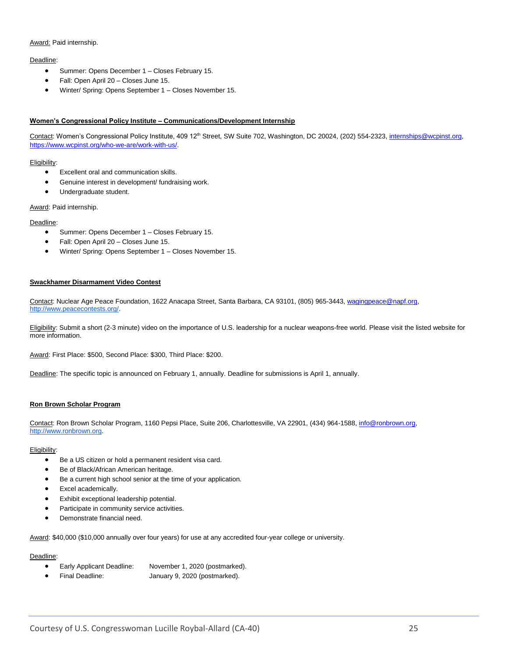#### Award: Paid internship.

#### Deadline:

- Summer: Opens December 1 Closes February 15.
- Fall: Open April 20 Closes June 15.
- Winter/ Spring: Opens September 1 Closes November 15.

#### **Women's Congressional Policy Institute – Communications/Development Internship**

Contact: Women's Congressional Policy Institute, 409 12<sup>th</sup> Street, SW Suite 702, Washington, DC 20024, (202) 554-2323, internships@wcpinst.org, [https://www.wcpinst.org/who-we-are/work-with-us/.](https://www.wcpinst.org/who-we-are/work-with-us/)

#### Eligibility:

- Excellent oral and communication skills.
- Genuine interest in development/ fundraising work.
- Undergraduate student.

Award: Paid internship.

#### Deadline:

- Summer: Opens December 1 Closes February 15.
- Fall: Open April 20 Closes June 15.
- Winter/ Spring: Opens September 1 Closes November 15.

#### **Swackhamer Disarmament Video Contest**

Contact: Nuclear Age Peace Foundation, 1622 Anacapa Street, Santa Barbara, CA 93101, (805) 965-3443[, wagingpeace@napf.org](mailto:wagingpeace@napf.org)[,](http://www.peacecontests.org/) [http://www.peacecontests.org/.](http://www.peacecontests.org/)

Eligibility: Submit a short (2-3 minute) video on the importance of U.S. leadership for a nuclear weapons-free world. Please visit the listed website for more information.

Award: First Place: \$500, Second Place: \$300, Third Place: \$200.

Deadline: The specific topic is announced on February 1, annually. Deadline for submissions is April 1, annually.

#### **Ron Brown Scholar Program**

Contact: Ron Brown Scholar Program, 1160 Pepsi Place, Suite 206, Charlottesville, VA 22901, (434) 964-1588[, info@ronbrown.org,](mailto:info@ronbrown.org) [http://www.ronbrown.org.](http://www.ronbrown.org/)

#### Eligibility:

- Be a US citizen or hold a permanent resident visa card.
- Be of Black/African American heritage.
- Be a current high school senior at the time of your application.
- Excel academically.
- Exhibit exceptional leadership potential.
- Participate in community service activities.
- Demonstrate financial need.

Award: \$40,000 (\$10,000 annually over four years) for use at any accredited four-year college or university.

#### Deadline:

- Early Applicant Deadline: November 1, 2020 (postmarked).
- Final Deadline: January 9, 2020 (postmarked).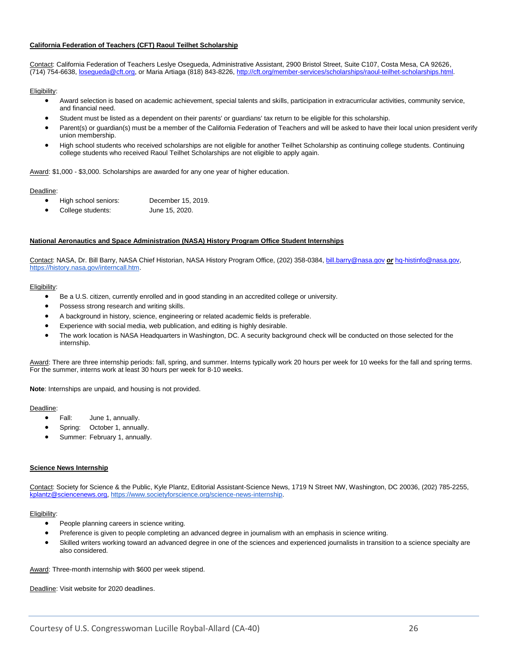#### **California Federation of Teachers (CFT) Raoul Teilhet Scholarship**

Contact: California Federation of Teachers Leslye Osegueda, Administrative Assistant, 2900 Bristol Street, Suite C107, Costa Mesa, CA 92626, (714) 754-6638, [losegueda@cft.org,](mailto:losegueda@cft.org) or Maria Artiaga (818) 843-8226[, http://cft.org/member-services/scholarships/raoul-teilhet-scholarships.html.](http://cft.org/member-services/scholarships/raoul-teilhet-scholarships.html)

#### Eligibility:

- Award selection is based on academic achievement, special talents and skills, participation in extracurricular activities, community service, and financial need.
- Student must be listed as a dependent on their parents' or guardians' tax return to be eligible for this scholarship.
- Parent(s) or guardian(s) must be a member of the California Federation of Teachers and will be asked to have their local union president verify union membership.
- High school students who received scholarships are not eligible for another Teilhet Scholarship as continuing college students. Continuing college students who received Raoul Teilhet Scholarships are not eligible to apply again.

Award: \$1,000 - \$3,000. Scholarships are awarded for any one year of higher education.

#### Deadline:

- High school seniors: December 15, 2019.
- College students: June 15, 2020.

#### **National Aeronautics and Space Administration (NASA) History Program Office Student Internships**

Contact: NASA, Dr. Bill Barry, NASA Chief Historian, NASA History Program Office, (202) 358-0384, [bill.barry@nasa.gov](mailto:bill.barry@nasa.gov) *or* [hq-histinfo@nasa.gov](mailto:hq-histinfo@nasa.gov)[,](https://history.nasa.gov/interncall.htm) [https://history.nasa.gov/interncall.htm.](https://history.nasa.gov/interncall.htm)

#### Eligibility:

- Be a U.S. citizen, currently enrolled and in good standing in an accredited college or university.
- Possess strong research and writing skills.
- A background in history, science, engineering or related academic fields is preferable.
- Experience with social media, web publication, and editing is highly desirable.
- The work location is NASA Headquarters in Washington, DC. A security background check will be conducted on those selected for the internship.

Award: There are three internship periods: fall, spring, and summer. Interns typically work 20 hours per week for 10 weeks for the fall and spring terms. For the summer, interns work at least 30 hours per week for 8-10 weeks.

**Note**: Internships are unpaid, and housing is not provided.

#### Deadline:

- Fall: June 1, annually.
- Spring: October 1, annually.
- Summer: February 1, annually.

#### **Science News Internship**

Contact: Society for Science & the Public, Kyle Plantz, Editorial Assistant-Science News, 1719 N Street NW, Washington, DC 20036, (202) 785-2255, [kplantz@sciencenews.org,](mailto:kplantz@sciencenews.org) [https://www.societyforscience.org/science-news-internship.](https://www.societyforscience.org/science-news-internship)

#### Eligibility:

- People planning careers in science writing.
- Preference is given to people completing an advanced degree in journalism with an emphasis in science writing.
- Skilled writers working toward an advanced degree in one of the sciences and experienced journalists in transition to a science specialty are also considered.

Award: Three-month internship with \$600 per week stipend.

Deadline: Visit website for 2020 deadlines.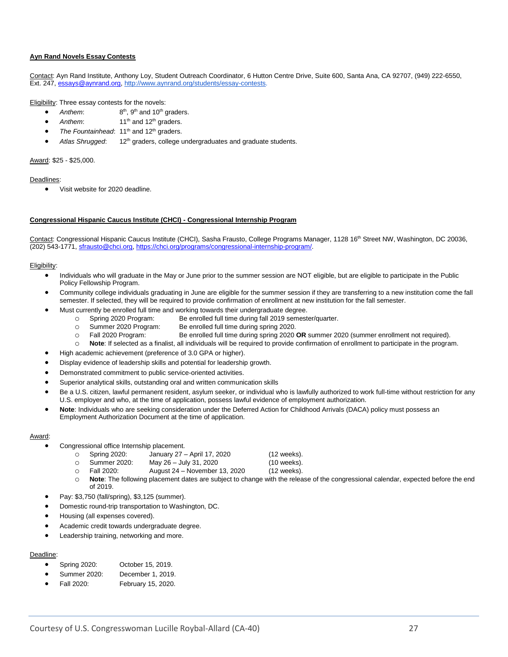#### **Ayn Rand Novels Essay Contests**

Contact: Ayn Rand Institute, Anthony Loy, Student Outreach Coordinator, 6 Hutton Centre Drive, Suite 600, Santa Ana, CA 92707, (949) 222-6550, Ext. 247, [essays@aynrand.org,](mailto:essays@aynrand.org) [http://www.aynrand.org/students/essay-contests.](http://www.aynrand.org/students/essay-contests)

Eligibility: Three essay contests for the novels:

- *Anthem*: 8  $8<sup>th</sup>$ ,  $9<sup>th</sup>$  and  $10<sup>th</sup>$  graders.
- Anthem: 11<sup>th</sup> and 12<sup>th</sup> graders.
- The Fountainhead: 11<sup>th</sup> and 12<sup>th</sup> graders.
- Atlas Shrugged: 12<sup>th</sup> graders, college undergraduates and graduate students.

#### Award: \$25 - \$25,000.

#### Deadlines:

• Visit website for 2020 deadline.

#### **Congressional Hispanic Caucus Institute (CHCI) - Congressional Internship Program**

Contact: Congressional Hispanic Caucus Institute (CHCI), Sasha Frausto, College Programs Manager, 1128 16<sup>th</sup> Street NW, Washington, DC 20036, (202) 543-1771, [sfrausto@chci.org,](mailto:sfrausto@chci.org) [https://chci.org/programs/congressional-internship-program/.](https://chci.org/programs/congressional-internship-program/)

#### Eligibility:

- Individuals who will graduate in the May or June prior to the summer session are NOT eligible, but are eligible to participate in the Public Policy Fellowship Program.
- Community college individuals graduating in June are eligible for the summer session if they are transferring to a new institution come the fall semester. If selected, they will be required to provide confirmation of enrollment at new institution for the fall semester.
- Must currently be enrolled full time and working towards their undergraduate degree.
	- o Spring 2020 Program: Be enrolled full time during fall 2019 semester/quarter.
	- o Summer 2020 Program: Be enrolled full time during spring 2020.
	- o Fall 2020 Program: Be enrolled full time during spring 2020 **OR** summer 2020 (summer enrollment not required).
	- o **Note**: If selected as a finalist, all individuals will be required to provide confirmation of enrollment to participate in the program.
- High academic achievement (preference of 3.0 GPA or higher).
- Display evidence of leadership skills and potential for leadership growth.
- Demonstrated commitment to public service-oriented activities.
- Superior analytical skills, outstanding oral and written communication skills
- Be a U.S. citizen, lawful permanent resident, asylum seeker, or individual who is lawfully authorized to work full-time without restriction for any U.S. employer and who, at the time of application, possess lawful evidence of employment authorization.
- **Note**: Individuals who are seeking consideration under the Deferred Action for Childhood Arrivals (DACA) policy must possess an Employment Authorization Document at the time of application.

#### Award:

- Congressional office Internship placement.
	- o Spring 2020: January 27 April 17, 2020 (12 weeks).
	- o Summer 2020: May 26 July 31, 2020 (10 weeks).
	- o Fall 2020: August 24 November 13, 2020 (12 weeks).
- - Note: The following placement dates are subject to change with the release of the congressional calendar, expected before the end of 2019.
- Pay: \$3,750 (fall/spring), \$3,125 (summer).
- Domestic round-trip transportation to Washington, DC.
- Housing (all expenses covered).
- Academic credit towards undergraduate degree.
- Leadership training, networking and more.

#### Deadline:

- Spring 2020: October 15, 2019.
- Summer 2020: December 1, 2019.
- Fall 2020: February 15, 2020.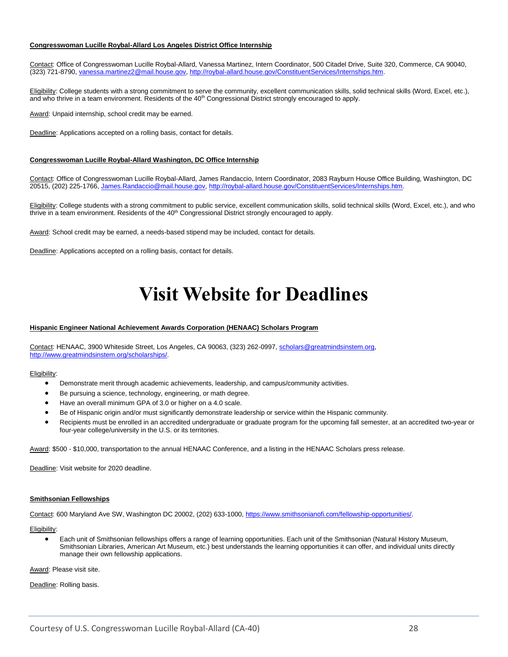#### **Congresswoman Lucille Roybal-Allard Los Angeles District Office Internship**

Contact: Office of Congresswoman Lucille Roybal-Allard, Vanessa Martinez, Intern Coordinator, 500 Citadel Drive, Suite 320, Commerce, CA 90040, (323) 721-8790, [vanessa.martinez2@mail.house.gov,](mailto:vanessa.martinez2@mail.house.gov) [http://roybal-allard.house.gov/ConstituentServices/Internships.htm.](http://roybal-allard.house.gov/ConstituentServices/Internships.htm)

Eligibility: College students with a strong commitment to serve the community, excellent communication skills, solid technical skills (Word, Excel, etc.), and who thrive in a team environment. Residents of the 40<sup>th</sup> Congressional District strongly encouraged to apply.

Award: Unpaid internship, school credit may be earned.

Deadline: Applications accepted on a rolling basis, contact for details.

#### **Congresswoman Lucille Roybal-Allard Washington, DC Office Internship**

Contact: Office of Congresswoman Lucille Roybal-Allard, James Randaccio, Intern Coordinator, 2083 Rayburn House Office Building, Washington, DC 20515, (202) 225-1766, [James.Randaccio@mail.house.gov,](mailto:James.Randaccio@mail.house.gov) [http://roybal-allard.house.gov/ConstituentServices/Internships.htm.](http://roybal-allard.house.gov/ConstituentServices/Internships.htm)

Eligibility: College students with a strong commitment to public service, excellent communication skills, solid technical skills (Word, Excel, etc.), and who thrive in a team environment. Residents of the 40<sup>th</sup> Congressional District strongly encouraged to apply.

Award: School credit may be earned, a needs-based stipend may be included, contact for details.

<span id="page-27-0"></span>Deadline: Applications accepted on a rolling basis, contact for details.

### **Visit Website for Deadlines**

#### **Hispanic Engineer National Achievement Awards Corporation (HENAAC) Scholars Program**

Contact: HENAAC, 3900 Whiteside Street, Los Angeles, CA 90063, (323) 262-0997[, scholars@greatmindsinstem.org,](mailto:scholars@greatmindsinstem.org) [http://www.greatmindsinstem.org/scholarships/.](http://www.greatmindsinstem.org/scholarships/)

Eligibility:

- Demonstrate merit through academic achievements, leadership, and campus/community activities.
- Be pursuing a science, technology, engineering, or math degree.
- Have an overall minimum GPA of 3.0 or higher on a 4.0 scale.
- Be of Hispanic origin and/or must significantly demonstrate leadership or service within the Hispanic community.
- Recipients must be enrolled in an accredited undergraduate or graduate program for the upcoming fall semester, at an accredited two-year or four-year college/university in the U.S. or its territories.

Award: \$500 - \$10,000, transportation to the annual HENAAC Conference, and a listing in the HENAAC Scholars press release.

Deadline: Visit website for 2020 deadline.

#### **Smithsonian Fellowships**

Contact: 600 Maryland Ave SW, Washington DC 20002, (202) 633-1000, [https://www.smithsonianofi.com/fellowship-opportunities/.](https://www.smithsonianofi.com/fellowship-opportunities/)

Eligibility:

• Each unit of Smithsonian fellowships offers a range of learning opportunities. Each unit of the Smithsonian (Natural History Museum, Smithsonian Libraries, American Art Museum, etc.) best understands the learning opportunities it can offer, and individual units directly manage their own fellowship applications.

Award: Please visit site.

Deadline: Rolling basis.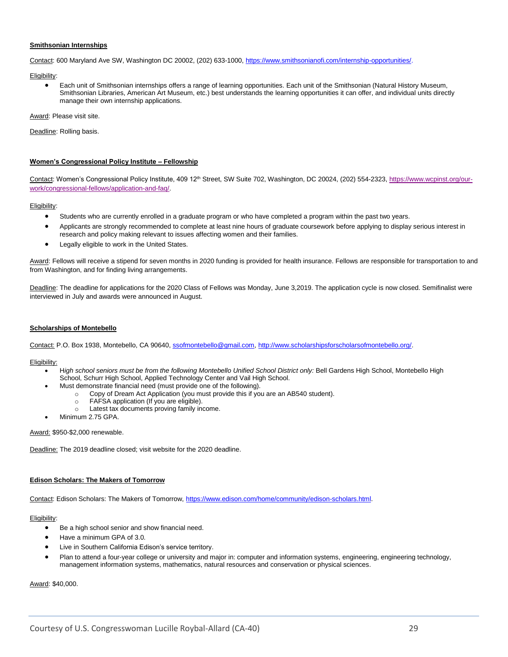#### **Smithsonian Internships**

Contact: 600 Maryland Ave SW, Washington DC 20002, (202) 633-1000, [https://www.smithsonianofi.com/internship-opportunities/.](https://www.smithsonianofi.com/internship-opportunities/)

Eligibility:

• Each unit of Smithsonian internships offers a range of learning opportunities. Each unit of the Smithsonian (Natural History Museum, Smithsonian Libraries, American Art Museum, etc.) best understands the learning opportunities it can offer, and individual units directly manage their own internship applications.

Award: Please visit site.

Deadline: Rolling basis.

#### **Women's Congressional Policy Institute – Fellowship**

Contact: Women's Congressional Policy Institute, 409 12<sup>th</sup> Street, SW Suite 702, Washington, DC 20024, (202) 554-2323, [https://www.wcpinst.org/our](https://www.wcpinst.org/our-work/congressional-fellows/application-and-faq/)[work/congressional-fellows/application-and-faq/.](https://www.wcpinst.org/our-work/congressional-fellows/application-and-faq/)

Eligibility:

- Students who are currently enrolled in a graduate program or who have completed a program within the past two years.
- Applicants are strongly recommended to complete at least nine hours of graduate coursework before applying to display serious interest in research and policy making relevant to issues affecting women and their families.
- Legally eligible to work in the United States.

Award: Fellows will receive a stipend for seven months in 2020 funding is provided for health insurance. Fellows are responsible for transportation to and from Washington, and for finding living arrangements.

Deadline: The deadline for applications for the 2020 Class of Fellows was Monday, June 3,2019. The application cycle is now closed. Semifinalist were interviewed in July and awards were announced in August.

#### **Scholarships of Montebello**

Contact: P.O. Box 1938, Montebello, CA 90640, [ssofmontebello@gmail.com,](mailto:ssofmontebello@gmail.com) [http://www.scholarshipsforscholarsofmontebello.org/.](http://www.scholarshipsforscholarsofmontebello.org/)

#### Eligibility:

- H*igh school seniors must be from the following Montebello Unified School District only:* Bell Gardens High School, Montebello High School, Schurr High School, Applied Technology Center and Vail High School.
	- Must demonstrate financial need (must provide one of the following).
		- o Copy of Dream Act Application (you must provide this if you are an AB540 student).
			- o FAFSA application (If you are eligible).
			- o Latest tax documents proving family income.
- Minimum 2.75 GPA.

#### Award: \$950-\$2,000 renewable.

Deadline: The 2019 deadline closed; visit website for the 2020 deadline.

#### **Edison Scholars: The Makers of Tomorrow**

Contact: Edison Scholars: The Makers of Tomorrow, [https://www.edison.com/home/community/edison-scholars.html.](https://www.edison.com/home/community/edison-scholars.html) 

#### Eligibility:

- Be a high school senior and show financial need.
- Have a minimum GPA of 3.0.
- Live in Southern California Edison's service territory.
- Plan to attend a four-year college or university and major in: computer and information systems, engineering, engineering technology, management information systems, mathematics, natural resources and conservation or physical sciences.

Award: \$40,000.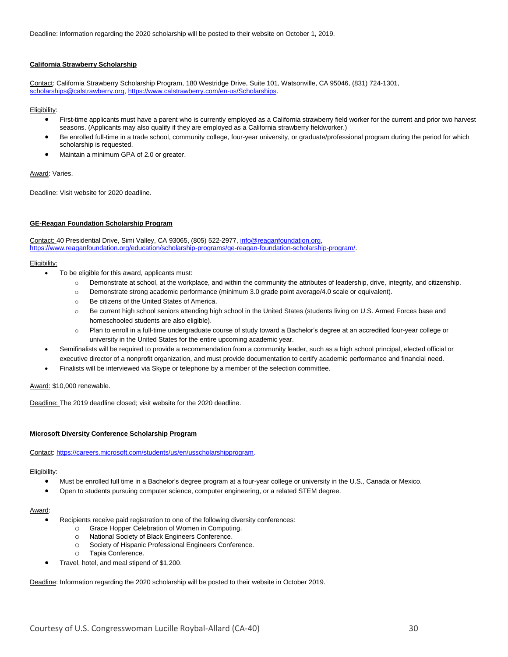Deadline: Information regarding the 2020 scholarship will be posted to their website on October 1, 2019.

#### **California Strawberry Scholarship**

Contact: California Strawberry Scholarship Program, 180 Westridge Drive, Suite 101, Watsonville, CA 95046, (831) 724-1301, [scholarships@calstrawberry.org,](mailto:scholarships@calstrawberry.org) [https://www.calstrawberry.com/en-us/Scholarships.](https://www.calstrawberry.com/en-us/Scholarships)

#### Eligibility:

- First-time applicants must have a parent who is currently employed as a California strawberry field worker for the current and prior two harvest seasons. (Applicants may also qualify if they are employed as a California strawberry fieldworker.)
- Be enrolled full-time in a trade school, community college, four-year university, or graduate/professional program during the period for which scholarship is requested.
- Maintain a minimum GPA of 2.0 or greater.

#### Award: Varies.

Deadline: Visit website for 2020 deadline.

#### **GE-Reagan Foundation Scholarship Program**

Contact: 40 Presidential Drive, Simi Valley, CA 93065, (805) 522-2977, [info@reaganfoundation.org,](mailto:info@reaganfoundation.org)  [https://www.reaganfoundation.org/education/scholarship-programs/ge-reagan-foundation-scholarship-program/.](https://www.reaganfoundation.org/education/scholarship-programs/ge-reagan-foundation-scholarship-program/)

#### Eligibility:

- To be eligible for this award, applicants must:
	- o Demonstrate at school, at the workplace, and within the community the attributes of leadership, drive, integrity, and citizenship.
	- o Demonstrate strong academic performance (minimum 3.0 grade point average/4.0 scale or equivalent).
	- o Be citizens of the United States of America.
	- o Be current high school seniors attending high school in the United States (students living on U.S. Armed Forces base and homeschooled students are also eligible).
	- o Plan to enroll in a full-time undergraduate course of study toward a Bachelor's degree at an accredited four-year college or university in the United States for the entire upcoming academic year.
	- Semifinalists will be required to provide a recommendation from a community leader, such as a high school principal, elected official or executive director of a nonprofit organization, and must provide documentation to certify academic performance and financial need.
	- Finalists will be interviewed via Skype or telephone by a member of the selection committee.

Award: \$10,000 renewable.

Deadline: The 2019 deadline closed; visit website for the 2020 deadline.

#### **Microsoft Diversity Conference Scholarship Program**

Contact: [https://careers.microsoft.com/students/us/en/usscholarshipprogram.](https://careers.microsoft.com/students/us/en/usscholarshipprogram)

#### Eligibility:

- Must be enrolled full time in a Bachelor's degree program at a four-year college or university in the U.S., Canada or Mexico.
- Open to students pursuing computer science, computer engineering, or a related STEM degree.

#### Award:

- Recipients receive paid registration to one of the following diversity conferences:
	- o Grace Hopper Celebration of Women in Computing.
	- o National Society of Black Engineers Conference.
	- o Society of Hispanic Professional Engineers Conference.
	- o Tapia Conference.
- Travel, hotel, and meal stipend of \$1,200.

Deadline: Information regarding the 2020 scholarship will be posted to their website in October 2019.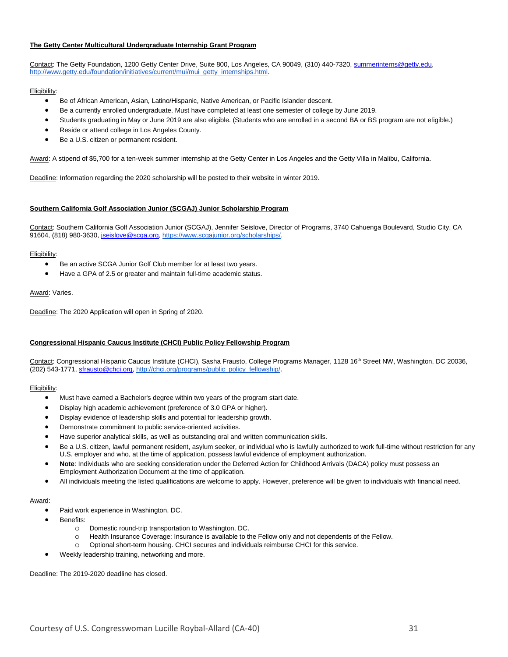#### **The Getty Center Multicultural Undergraduate Internship Grant Program**

Contact: The Getty Foundation, 1200 Getty Center Drive, Suite 800, Los Angeles, CA 90049, (310) 440-7320, summerinterns@getty.edu, [http://www.getty.edu/foundation/initiatives/current/mui/mui\\_getty\\_internships.html.](http://www.getty.edu/foundation/initiatives/current/mui/mui_getty_internships.html)

#### Eligibility:

- Be of African American, Asian, Latino/Hispanic, Native American, or Pacific Islander descent.
- Be a currently enrolled undergraduate. Must have completed at least one semester of college by June 2019.
- Students graduating in May or June 2019 are also eligible. (Students who are enrolled in a second BA or BS program are not eligible.)
- Reside or attend college in Los Angeles County.
- Be a U.S. citizen or permanent resident.

Award: A stipend of \$5,700 for a ten-week summer internship at the Getty Center in Los Angeles and the Getty Villa in Malibu, California.

Deadline: Information regarding the 2020 scholarship will be posted to their website in winter 2019.

#### **Southern California Golf Association Junior (SCGAJ) Junior Scholarship Program**

Contact: Southern California Golf Association Junior (SCGAJ), Jennifer Seislove, Director of Programs, 3740 Cahuenga Boulevard, Studio City, CA 91604, (818) 980-3630, [jseislove@scga.org,](mailto:jseislove@scga.org) [https://www.scgajunior.org/scholarships/.](https://www.scgajunior.org/scholarships/)

#### Eligibility:

- Be an active SCGA Junior Golf Club member for at least two years.
- Have a GPA of 2.5 or greater and maintain full-time academic status.

#### Award: Varies.

Deadline: The 2020 Application will open in Spring of 2020.

#### **Congressional Hispanic Caucus Institute (CHCI) Public Policy Fellowship Program**

Contact: Congressional Hispanic Caucus Institute (CHCI), Sasha Frausto, College Programs Manager, 1128 16<sup>th</sup> Street NW, Washington, DC 20036, (202) 543-1771, [sfrausto@chci.org,](mailto:sfrausto@chci.org) [http://chci.org/programs/public\\_policy\\_fellowship/.](http://chci.org/programs/public_policy_fellowship/)

#### Eligibility:

- Must have earned a Bachelor's degree within two years of the program start date.
- Display high academic achievement (preference of 3.0 GPA or higher).
- Display evidence of leadership skills and potential for leadership growth.
- Demonstrate commitment to public service-oriented activities.
- Have superior analytical skills, as well as outstanding oral and written communication skills.
- Be a U.S. citizen, lawful permanent resident, asylum seeker, or individual who is lawfully authorized to work full-time without restriction for any U.S. employer and who, at the time of application, possess lawful evidence of employment authorization.
- **Note**: Individuals who are seeking consideration under the Deferred Action for Childhood Arrivals (DACA) policy must possess an Employment Authorization Document at the time of application.
- All individuals meeting the listed qualifications are welcome to apply. However, preference will be given to individuals with financial need.

#### Award:

- Paid work experience in Washington, DC.
- Benefits:
	- o Domestic round-trip transportation to Washington, DC.
	- o Health Insurance Coverage: Insurance is available to the Fellow only and not dependents of the Fellow.
	- o Optional short-term housing. CHCI secures and individuals reimburse CHCI for this service.
- Weekly leadership training, networking and more.

Deadline: The 2019-2020 deadline has closed.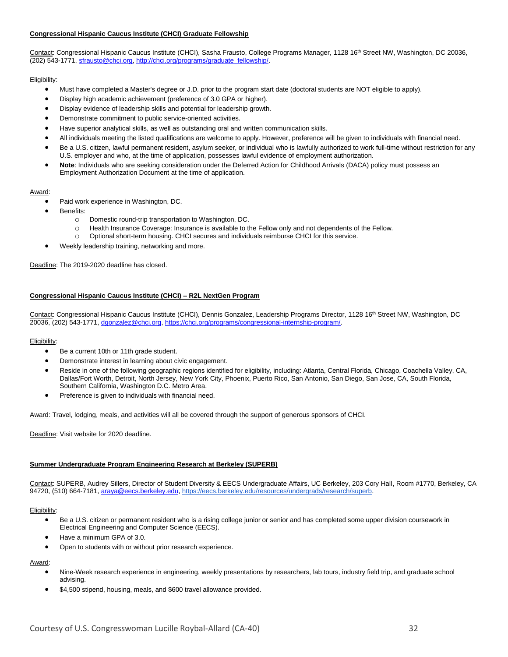#### **Congressional Hispanic Caucus Institute (CHCI) Graduate Fellowship**

Contact: Congressional Hispanic Caucus Institute (CHCI), Sasha Frausto, College Programs Manager, 1128 16<sup>th</sup> Street NW, Washington, DC 20036, (202) 543-1771, [sfrausto@chci.org,](mailto:sfrausto@chci.org) [http://chci.org/programs/graduate\\_fellowship/.](http://chci.org/programs/graduate_fellowship/)

#### Eligibility:

- Must have completed a Master's degree or J.D. prior to the program start date (doctoral students are NOT eligible to apply).
- Display high academic achievement (preference of 3.0 GPA or higher).
- Display evidence of leadership skills and potential for leadership growth.
- Demonstrate commitment to public service-oriented activities.
- Have superior analytical skills, as well as outstanding oral and written communication skills.
- All individuals meeting the listed qualifications are welcome to apply. However, preference will be given to individuals with financial need.
- Be a U.S. citizen, lawful permanent resident, asylum seeker, or individual who is lawfully authorized to work full-time without restriction for any U.S. employer and who, at the time of application, possesses lawful evidence of employment authorization.
- **Note**: Individuals who are seeking consideration under the Deferred Action for Childhood Arrivals (DACA) policy must possess an Employment Authorization Document at the time of application.

#### Award:

- Paid work experience in Washington, DC.
- Benefits:
	- o Domestic round-trip transportation to Washington, DC.
	- o Health Insurance Coverage: Insurance is available to the Fellow only and not dependents of the Fellow.
	- o Optional short-term housing. CHCI secures and individuals reimburse CHCI for this service.
- Weekly leadership training, networking and more.

Deadline: The 2019-2020 deadline has closed.

#### **Congressional Hispanic Caucus Institute (CHCI) – R2L NextGen Program**

Contact: Congressional Hispanic Caucus Institute (CHCI), Dennis Gonzalez, Leadership Programs Director, 1128 16<sup>th</sup> Street NW, Washington, DC 20036, (202) 543-1771, [dgonzalez@chci.org,](mailto:dgonzalez@chci.org) [https://chci.org/programs/congressional-internship-program/.](https://chci.org/programs/congressional-internship-program/) 

#### Eligibility:

- Be a current 10th or 11th grade student.
- Demonstrate interest in learning about civic engagement.
- Reside in one of the following geographic regions identified for eligibility, including: Atlanta, Central Florida, Chicago, Coachella Valley, CA, Dallas/Fort Worth, Detroit, North Jersey, New York City, Phoenix, Puerto Rico, San Antonio, San Diego, San Jose, CA, South Florida, Southern California, Washington D.C. Metro Area.
- Preference is given to individuals with financial need.

Award: Travel, lodging, meals, and activities will all be covered through the support of generous sponsors of CHCI.

Deadline: Visit website for 2020 deadline.

#### **Summer Undergraduate Program Engineering Research at Berkeley (SUPERB)**

Contact: SUPERB, Audrey Sillers, Director of Student Diversity & EECS Undergraduate Affairs, UC Berkeley, 203 Cory Hall, Room #1770, Berkeley, CA 94720, (510) 664-7181, [araya@eecs.berkeley.edu,](mailto:araya@eecs.berkeley.edu) [https://eecs.berkeley.edu/resources/undergrads/research/superb.](https://eecs.berkeley.edu/resources/undergrads/research/superb)

#### Eligibility:

- Be a U.S. citizen or permanent resident who is a rising college junior or senior and has completed some upper division coursework in Electrical Engineering and Computer Science (EECS).
- Have a minimum GPA of 3.0.
- Open to students with or without prior research experience.

#### Award:

- Nine-Week research experience in engineering, weekly presentations by researchers, lab tours, industry field trip, and graduate school advising.
- \$4,500 stipend, housing, meals, and \$600 travel allowance provided.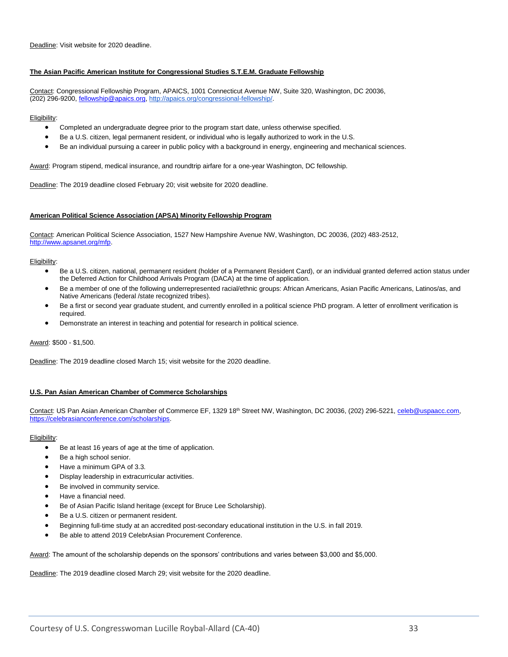Deadline: Visit website for 2020 deadline.

#### **The Asian Pacific American Institute for Congressional Studies S.T.E.M. Graduate Fellowship**

Contact: Congressional Fellowship Program, APAICS, 1001 Connecticut Avenue NW, Suite 320, Washington, DC 20036, (202) 296-9200, [fellowship@apaics.org,](mailto:fellowship@apaics.org) [http://apaics.org/congressional-fellowship/.](http://apaics.org/congressional-fellowship/)

#### Eligibility:

- Completed an undergraduate degree prior to the program start date, unless otherwise specified.
- Be a U.S. citizen, legal permanent resident, or individual who is legally authorized to work in the U.S.
- Be an individual pursuing a career in public policy with a background in energy, engineering and mechanical sciences.

Award: Program stipend, medical insurance, and roundtrip airfare for a one-year Washington, DC fellowship.

Deadline: The 2019 deadline closed February 20; visit website for 2020 deadline.

#### **American Political Science Association (APSA) Minority Fellowship Program**

Contact: American Political Science Association, 1527 New Hampshire Avenue NW, Washington, DC 20036, (202) 483-2512, [http://www.apsanet.org/mfp.](http://www.apsanet.org/mfp)

#### Eligibility:

- Be a U.S. citizen, national, permanent resident (holder of a Permanent Resident Card), or an individual granted deferred action status under the Deferred Action for Childhood Arrivals Program (DACA) at the time of application.
- Be a member of one of the following underrepresented racial/ethnic groups: African Americans, Asian Pacific Americans, Latinos/as, and Native Americans (federal /state recognized tribes).
- Be a first or second year graduate student, and currently enrolled in a political science PhD program. A letter of enrollment verification is required.
- Demonstrate an interest in teaching and potential for research in political science.

Award: \$500 - \$1,500.

Deadline: The 2019 deadline closed March 15; visit website for the 2020 deadline.

#### **U.S. Pan Asian American Chamber of Commerce Scholarships**

Contact: US Pan Asian American Chamber of Commerce EF, 1329 18<sup>th</sup> Street NW, Washington, DC 20036, (202) 296-5221, [celeb@uspaacc.com,](mailto:celeb@uspaacc.com) [https://celebrasianconference.com/scholarships.](https://celebrasianconference.com/scholarships) 

#### Eligibility:

- Be at least 16 years of age at the time of application.
- Be a high school senior.
- Have a minimum GPA of 3.3.
- Display leadership in extracurricular activities.
- Be involved in community service.
- Have a financial need.
- Be of Asian Pacific Island heritage (except for Bruce Lee Scholarship).
- Be a U.S. citizen or permanent resident.
- Beginning full-time study at an accredited post-secondary educational institution in the U.S. in fall 2019.
- Be able to attend 2019 CelebrAsian Procurement Conference.

Award: The amount of the scholarship depends on the sponsors' contributions and varies between \$3,000 and \$5,000.

Deadline: The 2019 deadline closed March 29; visit website for the 2020 deadline.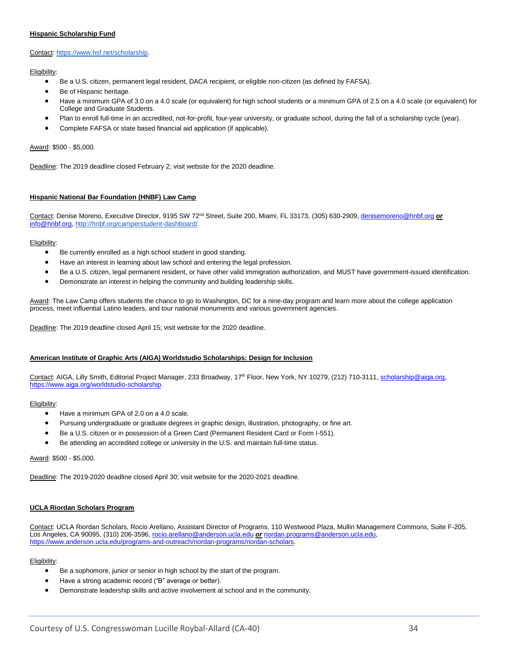#### **Hispanic Scholarship Fund**

#### Contact: [https://www.hsf.net/scholarship.](https://www.hsf.net/scholarship)

Eligibility:

- Be a U.S. citizen, permanent legal resident, DACA recipient, or eligible non-citizen (as defined by FAFSA).
- Be of Hispanic heritage.
- Have a minimum GPA of 3.0 on a 4.0 scale (or equivalent) for high school students or a minimum GPA of 2.5 on a 4.0 scale (or equivalent) for College and Graduate Students.
- Plan to enroll full-time in an accredited, not-for-profit, four-year university, or graduate school, during the fall of a scholarship cycle (year).
- Complete FAFSA or state based financial aid application (if applicable).

#### Award: \$500 - \$5,000.

Deadline: The 2019 deadline closed February 2; visit website for the 2020 deadline.

#### **Hispanic National Bar Foundation (HNBF) Law Camp**

Contact: Denise Moreno, Executive Director, 9195 SW 72<sup>nd</sup> Street, Suite 200, Miami, FL 33173, (305) 630-2909, [denisemoreno@hnbf.org](mailto:denisemoreno@hnbf.org) or [info@hnbf.org,](mailto:info@hnbf.org) [http://hnbf.org/camperstudent-dashboard/.](http://hnbf.org/camperstudent-dashboard/)

#### Eligibility:

- Be currently enrolled as a high school student in good standing.
- Have an interest in learning about law school and entering the legal profession.
- Be a U.S. citizen, legal permanent resident, or have other valid immigration authorization, and MUST have government-issued identification.
- Demonstrate an interest in helping the community and building leadership skills.

Award: The Law Camp offers students the chance to go to Washington, DC for a nine-day program and learn more about the college application process, meet influential Latino leaders, and tour national monuments and various government agencies.

Deadline: The 2019 deadline closed April 15; visit website for the 2020 deadline.

#### **American Institute of Graphic Arts (AIGA) Worldstudio Scholarships: Design for Inclusion**

Contact: AIGA, Lilly Smith, Editorial Project Manager, 233 Broadway, 17<sup>th</sup> Floor, New York, NY 10279, (212) 710-3111, [scholarship@aiga.org,](mailto:scholarship@aiga.org) [https://www.aiga.org/worldstudio-scholarship.](https://www.aiga.org/worldstudio-scholarship) 

#### Eligibility:

- Have a minimum GPA of 2.0 on a 4.0 scale.
- Pursuing undergraduate or graduate degrees in graphic design, illustration, photography, or fine art.
- Be a U.S. citizen or in possession of a Green Card (Permanent Resident Card or Form I-551).
- Be attending an accredited college or university in the U.S. and maintain full-time status.

#### Award: \$500 - \$5,000.

Deadline: The 2019-2020 deadline closed April 30; visit website for the 2020-2021 deadline.

#### **UCLA Riordan Scholars Program**

Contact: UCLA Riordan Scholars, Rocio Arellano, Assistant Director of Programs, 110 Westwood Plaza, Mullin Management Commons, Suite F-205, Los Angeles, CA 90095, (310) 206-3596[, rocio.arellano@anderson.ucla.edu](mailto:rocio.arellano@anderson.ucla.edu) *or* [riordan.programs@anderson.ucla.edu,](mailto:riordan.programs@anderson.ucla.edu) [https://www.anderson.ucla.edu/programs-and-outreach/riordan-programs/riordan-scholars.](https://www.anderson.ucla.edu/programs-and-outreach/riordan-programs/riordan-scholars)

- Be a sophomore, junior or senior in high school by the start of the program.
- Have a strong academic record ("B" average or better).
- Demonstrate leadership skills and active involvement at school and in the community.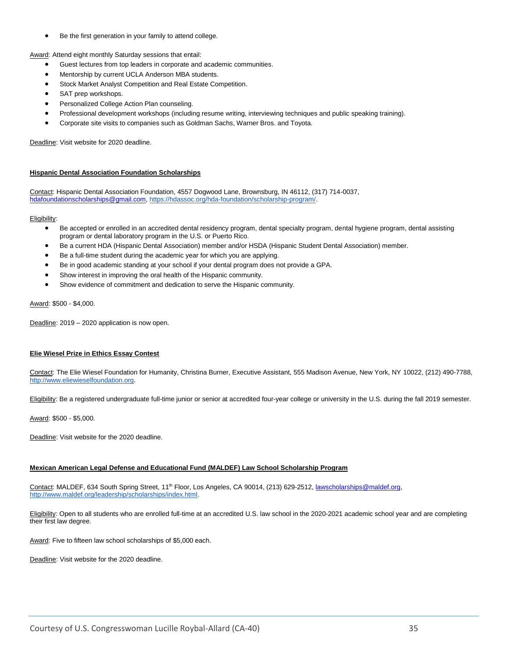Be the first generation in your family to attend college.

Award: Attend eight monthly Saturday sessions that entail:

- Guest lectures from top leaders in corporate and academic communities.
- Mentorship by current UCLA Anderson MBA students.
- Stock Market Analyst Competition and Real Estate Competition.
- SAT prep workshops.
- Personalized College Action Plan counseling.
- Professional development workshops (including resume writing, interviewing techniques and public speaking training).
- Corporate site visits to companies such as Goldman Sachs, Warner Bros. and Toyota.

Deadline: Visit website for 2020 deadline.

#### **Hispanic Dental Association Foundation Scholarships**

Contact: Hispanic Dental Association Foundation, 4557 Dogwood Lane, Brownsburg, IN 46112, (317) 714-0037, [hdafoundationscholarships@gmail.com,](mailto:hdafoundationscholarships@gmail.com) [https://hdassoc.org/hda-foundation/scholarship-program/.](https://hdassoc.org/hda-foundation/scholarship-program/)

#### Eligibility:

- Be accepted or enrolled in an accredited dental residency program, dental specialty program, dental hygiene program, dental assisting program or dental laboratory program in the U.S. or Puerto Rico.
- Be a current HDA (Hispanic Dental Association) member and/or HSDA (Hispanic Student Dental Association) member.
- Be a full-time student during the academic year for which you are applying.
- Be in good academic standing at your school if your dental program does not provide a GPA.
- Show interest in improving the oral health of the Hispanic community.
- Show evidence of commitment and dedication to serve the Hispanic community.

#### Award: \$500 - \$4,000.

Deadline: 2019 - 2020 application is now open.

#### **Elie Wiesel Prize in Ethics Essay Contest**

Contact: The Elie Wiesel Foundation for Humanity, Christina Burner, Executive Assistant, 555 Madison Avenue, New York, NY 10022, (212) 490-778[8,](http://www.eliewieselfoundation.org/) [http://www.eliewieselfoundation.org.](http://www.eliewieselfoundation.org/)

Eligibility: Be a registered undergraduate full-time junior or senior at accredited four-year college or university in the U.S. during the fall 2019 semester.

Award: \$500 - \$5,000.

Deadline: Visit website for the 2020 deadline.

#### **Mexican American Legal Defense and Educational Fund (MALDEF) Law School Scholarship Program**

Contact: MALDEF, 634 South Spring Street, 11<sup>th</sup> Floor, Los Angeles, CA 90014, (213) 629-2512[, lawscholarships@maldef.org,](mailto:lawscholarships@maldef.org) [http://www.maldef.org/leadership/scholarships/index.html.](http://www.maldef.org/leadership/scholarships/index.html)

Eligibility: Open to all students who are enrolled full-time at an accredited U.S. law school in the 2020-2021 academic school year and are completing their first law degree.

Award: Five to fifteen law school scholarships of \$5,000 each.

Deadline: Visit website for the 2020 deadline.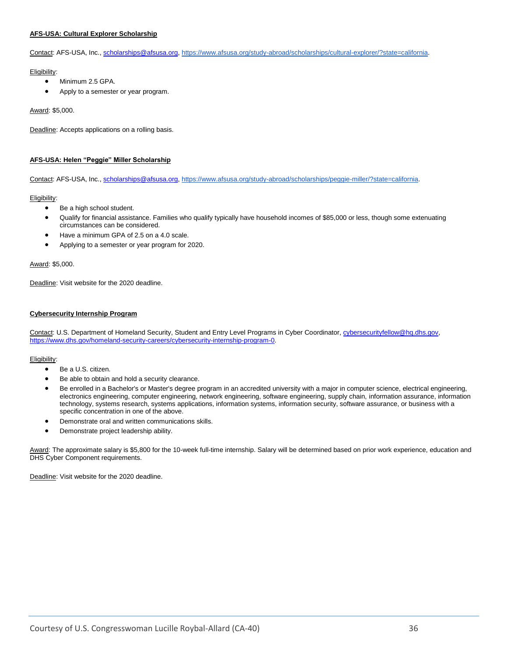#### **AFS-USA: Cultural Explorer Scholarship**

Contact: AFS-USA, Inc.[, scholarships@afsusa.org,](mailto:scholarships@afsusa.org) [https://www.afsusa.org/study-abroad/scholarships/cultural-explorer/?state=california.](https://www.afsusa.org/study-abroad/scholarships/cultural-explorer/?state=california)

Eligibility:

- Minimum 2.5 GPA.
- Apply to a semester or year program.

Award: \$5,000.

Deadline: Accepts applications on a rolling basis.

#### **AFS-USA: Helen "Peggie" Miller Scholarship**

Contact: AFS-USA, Inc.[, scholarships@afsusa.org,](mailto:scholarships@afsusa.org) [https://www.afsusa.org/study-abroad/scholarships/peggie-miller/?state=california.](https://www.afsusa.org/study-abroad/scholarships/peggie-miller/?state=california)

#### Eligibility:

- Be a high school student.
- Qualify for financial assistance. Families who qualify typically have household incomes of \$85,000 or less, though some extenuating circumstances can be considered.
- Have a minimum GPA of 2.5 on a 4.0 scale.
- Applying to a semester or year program for 2020.

#### Award: \$5,000.

Deadline: Visit website for the 2020 deadline.

#### **Cybersecurity Internship Program**

Contact: U.S. Department of Homeland Security, Student and Entry Level Programs in Cyber Coordinator[, cybersecurityfellow@hq.dhs.gov,](mailto:cybersecurityfellow@hq.dhs.gov) [https://www.dhs.gov/homeland-security-careers/cybersecurity-internship-program-0.](https://www.dhs.gov/homeland-security-careers/cybersecurity-internship-program-0)

#### Eligibility:

- Be a U.S. citizen.
- Be able to obtain and hold a security clearance.
- Be enrolled in a Bachelor's or Master's degree program in an accredited university with a major in computer science, electrical engineering, electronics engineering, computer engineering, network engineering, software engineering, supply chain, information assurance, information technology, systems research, systems applications, information systems, information security, software assurance, or business with a specific concentration in one of the above.
- Demonstrate oral and written communications skills.
- Demonstrate project leadership ability.

Award: The approximate salary is \$5,800 for the 10-week full-time internship. Salary will be determined based on prior work experience, education and DHS Cyber Component requirements.

Deadline: Visit website for the 2020 deadline.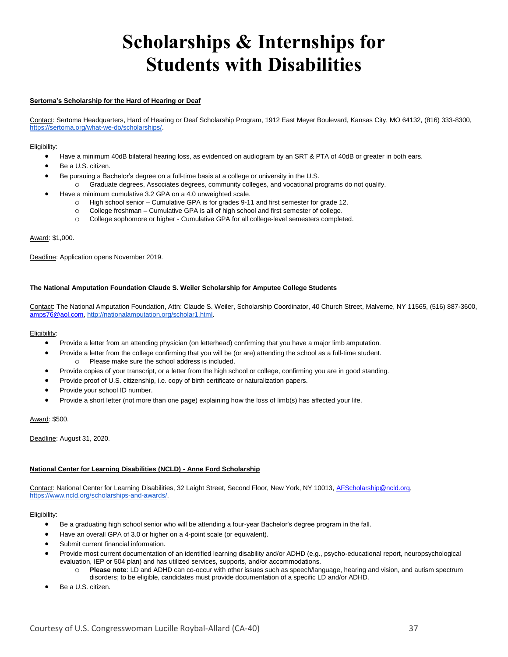# **Scholarships & Internships for Students with Disabilities**

#### <span id="page-36-1"></span><span id="page-36-0"></span>**Sertoma's Scholarship for the Hard of Hearing or Deaf**

Contact: Sertoma Headquarters, Hard of Hearing or Deaf Scholarship Program, 1912 East Meyer Boulevard, Kansas City, MO 64132, (816) 333-8300, [https://sertoma.org/what-we-do/scholarships/.](https://sertoma.org/what-we-do/scholarships/)

#### Eligibility:

- Have a minimum 40dB bilateral hearing loss, as evidenced on audiogram by an SRT & PTA of 40dB or greater in both ears.
- Be a U.S. citizen.
- Be pursuing a Bachelor's degree on a full-time basis at a college or university in the U.S.
	- o Graduate degrees, Associates degrees, community colleges, and vocational programs do not qualify.
- Have a minimum cumulative 3.2 GPA on a 4.0 unweighted scale.
	- o High school senior Cumulative GPA is for grades 9-11 and first semester for grade 12.
	- o College freshman Cumulative GPA is all of high school and first semester of college.
	- o College sophomore or higher Cumulative GPA for all college-level semesters completed.

#### Award: \$1,000.

Deadline: Application opens November 2019.

#### **The National Amputation Foundation Claude S. Weiler Scholarship for Amputee College Students**

Contact: The National Amputation Foundation, Attn: Claude S. Weiler, Scholarship Coordinator, 40 Church Street, Malverne, NY 11565, (516) 887-3600, [amps76@aol.com,](mailto:amps76@aol.com) [http://nationalamputation.org/scholar1.html.](http://nationalamputation.org/scholar1.html)

#### Eligibility:

- Provide a letter from an attending physician (on letterhead) confirming that you have a major limb amputation.
	- Provide a letter from the college confirming that you will be (or are) attending the school as a full-time student. o Please make sure the school address is included.
- Provide copies of your transcript, or a letter from the high school or college, confirming you are in good standing.
- Provide proof of U.S. citizenship, i.e. copy of birth certificate or naturalization papers.
- Provide your school ID number.
- Provide a short letter (not more than one page) explaining how the loss of limb(s) has affected your life.

#### Award: \$500.

Deadline: August 31, 2020.

#### **National Center for Learning Disabilities (NCLD) - Anne Ford Scholarship**

Contact: National Center for Learning Disabilities, 32 Laight Street, Second Floor, New York, NY 10013[, AFScholarship@ncld.org,](mailto:AFScholarship@ncld.org) [https://www.ncld.org/scholarships-and-awards/.](https://www.ncld.org/scholarships-and-awards/) 

- Be a graduating high school senior who will be attending a four-year Bachelor's degree program in the fall.
- Have an overall GPA of 3.0 or higher on a 4-point scale (or equivalent).
- Submit current financial information.
- Provide most current documentation of an identified learning disability and/or ADHD (e.g., psycho-educational report, neuropsychological evaluation, IEP or 504 plan) and has utilized services, supports, and/or accommodations.
	- o **Please note**: LD and ADHD can co-occur with other issues such as speech/language, hearing and vision, and autism spectrum disorders; to be eligible, candidates must provide documentation of a specific LD and/or ADHD.
- Be a U.S. citizen.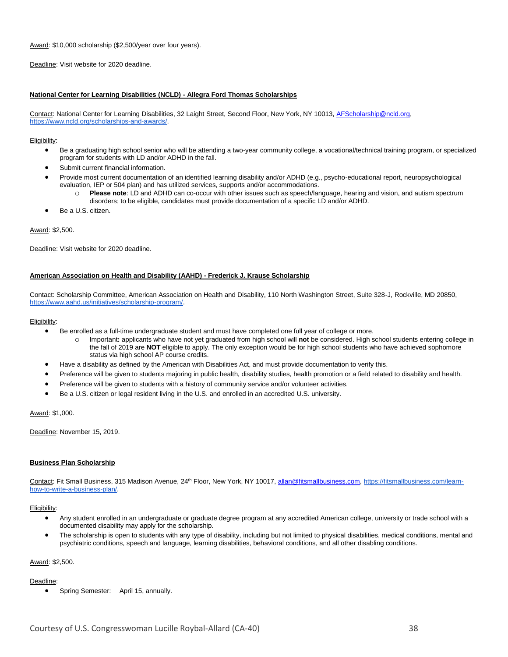Award: \$10,000 scholarship (\$2,500/year over four years).

Deadline: Visit website for 2020 deadline.

#### **National Center for Learning Disabilities (NCLD) - Allegra Ford Thomas Scholarships**

Contact: National Center for Learning Disabilities, 32 Laight Street, Second Floor, New York, NY 10013[, AFScholarship@ncld.org,](mailto:AFScholarship@ncld.org) [https://www.ncld.org/scholarships-and-awards/.](https://www.ncld.org/scholarships-and-awards/) 

#### Eligibility:

- Be a graduating high school senior who will be attending a two-year community college, a vocational/technical training program, or specialized program for students with LD and/or ADHD in the fall.
- Submit current financial information.
- Provide most current documentation of an identified learning disability and/or ADHD (e.g., psycho-educational report, neuropsychological evaluation, IEP or 504 plan) and has utilized services, supports and/or accommodations.
	- o **Please note**: LD and ADHD can co-occur with other issues such as speech/language, hearing and vision, and autism spectrum disorders; to be eligible, candidates must provide documentation of a specific LD and/or ADHD.
- Be a U.S. citizen.

Award: \$2,500.

Deadline: Visit website for 2020 deadline.

#### **American Association on Health and Disability (AAHD) - Frederick J. Krause Scholarship**

Contact: Scholarship Committee, American Association on Health and Disability, 110 North Washington Street, Suite 328-J, Rockville, MD 20850, [https://www.aahd.us/initiatives/scholarship-program/.](https://www.aahd.us/initiatives/scholarship-program/) 

#### Eligibility:

- Be enrolled as a full-time undergraduate student and must have completed one full year of college or more.
	- Important: applicants who have not yet graduated from high school will not be considered. High school students entering college in the fall of 2019 are **NOT** eligible to apply. The only exception would be for high school students who have achieved sophomore status via high school AP course credits.
- Have a disability as defined by the American with Disabilities Act, and must provide documentation to verify this.
- Preference will be given to students majoring in public health, disability studies, health promotion or a field related to disability and health.
- Preference will be given to students with a history of community service and/or volunteer activities.
- Be a U.S. citizen or legal resident living in the U.S. and enrolled in an accredited U.S. university.

Award: \$1,000.

Deadline: November 15, 2019.

#### **Business Plan Scholarship**

Contact: Fit Small Business, 315 Madison Avenue, 24<sup>th</sup> Floor, New York, NY 10017, [allan@fitsmallbusiness.com,](mailto:allan@fitsmallbusiness.com) [https://fitsmallbusiness.com/learn](https://fitsmallbusiness.com/learn-how-to-write-a-business-plan/)[how-to-write-a-business-plan/.](https://fitsmallbusiness.com/learn-how-to-write-a-business-plan/)

#### Eligibility:

- Any student enrolled in an undergraduate or graduate degree program at any accredited American college, university or trade school with a documented disability may apply for the scholarship.
- The scholarship is open to students with any type of disability, including but not limited to physical disabilities, medical conditions, mental and psychiatric conditions, speech and language, learning disabilities, behavioral conditions, and all other disabling conditions.

#### Award: \$2,500.

#### Deadline:

• Spring Semester: April 15, annually.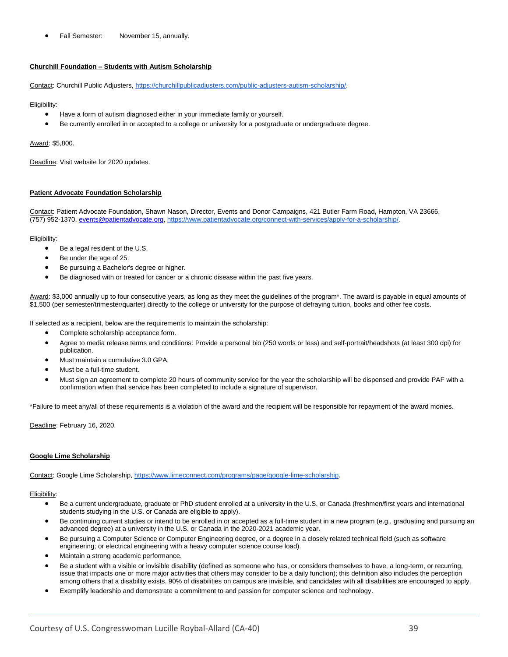• Fall Semester: November 15, annually.

#### **Churchill Foundation – Students with Autism Scholarship**

Contact: Churchill Public Adjusters, [https://churchillpublicadjusters.com/public-adjusters-autism-scholarship/.](https://churchillpublicadjusters.com/public-adjusters-autism-scholarship/)

#### Eligibility:

- Have a form of autism diagnosed either in your immediate family or yourself.
- Be currently enrolled in or accepted to a college or university for a postgraduate or undergraduate degree.

#### Award: \$5,800.

Deadline: Visit website for 2020 updates.

#### **Patient Advocate Foundation Scholarship**

Contact: Patient Advocate Foundation, Shawn Nason, Director, Events and Donor Campaigns, 421 Butler Farm Road, Hampton, VA 23666, (757) 952-1370, [events@patientadvocate.org,](mailto:events@patientadvocate.org) [https://www.patientadvocate.org/connect-with-services/apply-for-a-scholarship/.](https://www.patientadvocate.org/connect-with-services/apply-for-a-scholarship/) 

#### Eligibility:

- Be a legal resident of the U.S.
- Be under the age of 25.
- Be pursuing a Bachelor's degree or higher.
- Be diagnosed with or treated for cancer or a chronic disease within the past five years.

Award: \$3,000 annually up to four consecutive years, as long as they meet the guidelines of the program\*. The award is payable in equal amounts of \$1,500 (per semester/trimester/quarter) directly to the college or university for the purpose of defraying tuition, books and other fee costs.

If selected as a recipient, below are the requirements to maintain the scholarship:

- Complete scholarship acceptance form.
- Agree to media release terms and conditions: Provide a personal bio (250 words or less) and self-portrait/headshots (at least 300 dpi) for publication.
- Must maintain a cumulative 3.0 GPA.
- Must be a full-time student.
- Must sign an agreement to complete 20 hours of community service for the year the scholarship will be dispensed and provide PAF with a confirmation when that service has been completed to include a signature of supervisor.

\*Failure to meet any/all of these requirements is a violation of the award and the recipient will be responsible for repayment of the award monies.

Deadline: February 16, 2020.

#### **Google Lime Scholarship**

Contact: Google Lime Scholarship, [https://www.limeconnect.com/programs/page/google-lime-scholarship.](https://www.limeconnect.com/programs/page/google-lime-scholarship)

- Be a current undergraduate, graduate or PhD student enrolled at a university in the U.S. or Canada (freshmen/first years and international students studying in the U.S. or Canada are eligible to apply).
- Be continuing current studies or intend to be enrolled in or accepted as a full-time student in a new program (e.g., graduating and pursuing an advanced degree) at a university in the U.S. or Canada in the 2020-2021 academic year.
- Be pursuing a Computer Science or Computer Engineering degree, or a degree in a closely related technical field (such as software engineering; or electrical engineering with a heavy computer science course load).
- Maintain a strong academic performance.
- Be a student with a visible or invisible disability (defined as someone who has, or considers themselves to have, a long-term, or recurring, issue that impacts one or more major activities that others may consider to be a daily function); this definition also includes the perception among others that a disability exists. 90% of disabilities on campus are invisible, and candidates with all disabilities are encouraged to apply.
- Exemplify leadership and demonstrate a commitment to and passion for computer science and technology.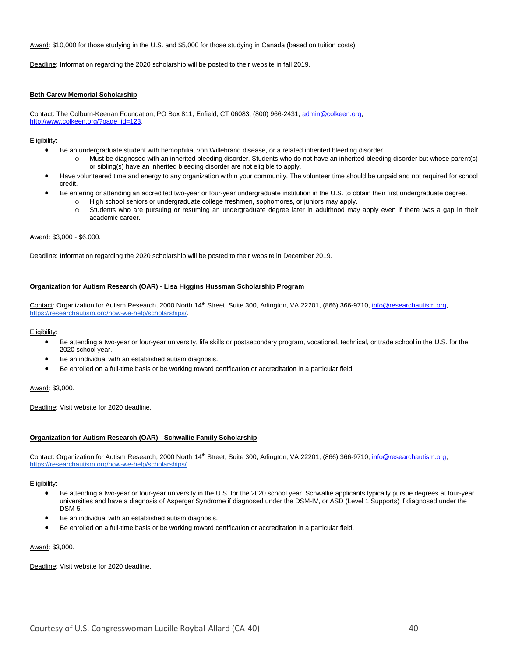Award: \$10,000 for those studying in the U.S. and \$5,000 for those studying in Canada (based on tuition costs).

Deadline: Information regarding the 2020 scholarship will be posted to their website in fall 2019.

#### **Beth Carew Memorial Scholarship**

Contact: The Colburn-Keenan Foundation, PO Box 811, Enfield, CT 06083, (800) 966-2431[, admin@colkeen.org,](mailto:admin@colkeen.org)  [http://www.colkeen.org/?page\\_id=123.](http://www.colkeen.org/?page_id=123)

#### Eligibility:

- Be an undergraduate student with hemophilia, von Willebrand disease, or a related inherited bleeding disorder.
	- o Must be diagnosed with an inherited bleeding disorder. Students who do not have an inherited bleeding disorder but whose parent(s) or sibling(s) have an inherited bleeding disorder are not eligible to apply.
- Have volunteered time and energy to any organization within your community. The volunteer time should be unpaid and not required for school credit.
- Be entering or attending an accredited two-year or four-year undergraduate institution in the U.S. to obtain their first undergraduate degree.
	- o High school seniors or undergraduate college freshmen, sophomores, or juniors may apply.
	- o Students who are pursuing or resuming an undergraduate degree later in adulthood may apply even if there was a gap in their academic career.

#### Award: \$3,000 - \$6,000.

Deadline: Information regarding the 2020 scholarship will be posted to their website in December 2019.

#### **Organization for Autism Research (OAR) - Lisa Higgins Hussman Scholarship Program**

Contact: Organization for Autism Research, 2000 North 14<sup>th</sup> Street, Suite 300, Arlington, VA 22201, (866) 366-9710, *info@researchautism.org*, [https://researchautism.org/how-we-help/scholarships/.](https://researchautism.org/how-we-help/scholarships/)

#### Eligibility:

- Be attending a two-year or four-year university, life skills or postsecondary program, vocational, technical, or trade school in the U.S. for the 2020 school year.
- Be an individual with an established autism diagnosis.
- Be enrolled on a full-time basis or be working toward certification or accreditation in a particular field.

#### Award: \$3,000.

Deadline: Visit website for 2020 deadline.

#### **Organization for Autism Research (OAR) - Schwallie Family Scholarship**

Contact: Organization for Autism Research, 2000 North 14<sup>th</sup> Street, Suite 300, Arlington, VA 22201, (866) 366-9710, *info@researchautism.org*, [https://researchautism.org/how-we-help/scholarships/.](https://researchautism.org/how-we-help/scholarships/)

#### Eligibility:

- Be attending a two-year or four-year university in the U.S. for the 2020 school year. Schwallie applicants typically pursue degrees at four-year universities and have a diagnosis of Asperger Syndrome if diagnosed under the DSM-IV, or ASD (Level 1 Supports) if diagnosed under the DSM-5.
- Be an individual with an established autism diagnosis.
- Be enrolled on a full-time basis or be working toward certification or accreditation in a particular field.

#### Award: \$3,000.

Deadline: Visit website for 2020 deadline.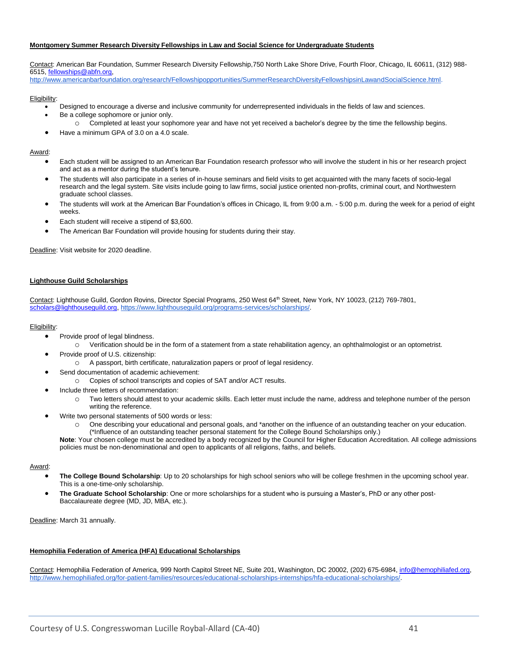#### **Montgomery Summer Research Diversity Fellowships in Law and Social Science for Undergraduate Students**

Contact: American Bar Foundation, Summer Research Diversity Fellowship,750 North Lake Shore Drive, Fourth Floor, Chicago, IL 60611, (312) 988- 6515, [fellowships@abfn.org,](mailto:fellowships@abfn.org)

[http://www.americanbarfoundation.org/research/Fellowshipopportunities/SummerResearchDiversityFellowshipsinLawandSocialScience.html.](http://www.americanbarfoundation.org/research/Fellowshipopportunities/SummerResearchDiversityFellowshipsinLawandSocialScience.html)

#### Eligibility:

- Designed to encourage a diverse and inclusive community for underrepresented individuals in the fields of law and sciences. Be a college sophomore or junior only.
	- o Completed at least your sophomore year and have not yet received a bachelor's degree by the time the fellowship begins.
- Have a minimum GPA of 3.0 on a 4.0 scale.

#### Award:

- Each student will be assigned to an American Bar Foundation research professor who will involve the student in his or her research project and act as a mentor during the student's tenure.
- The students will also participate in a series of in-house seminars and field visits to get acquainted with the many facets of socio-legal research and the legal system. Site visits include going to law firms, social justice oriented non-profits, criminal court, and Northwestern graduate school classes.
- The students will work at the American Bar Foundation's offices in Chicago, IL from 9:00 a.m. 5:00 p.m. during the week for a period of eight weeks.
- Each student will receive a stipend of \$3,600.
- The American Bar Foundation will provide housing for students during their stay.

Deadline: Visit website for 2020 deadline.

#### **Lighthouse Guild Scholarships**

Contact: Lighthouse Guild, Gordon Rovins, Director Special Programs, 250 West 64<sup>th</sup> Street, New York, NY 10023, (212) 769-7801, [scholars@lighthouseguild.org,](mailto:scholars@lighthouseguild.org) [https://www.lighthouseguild.org/programs-services/scholarships/.](https://www.lighthouseguild.org/programs-services/scholarships/)

#### Eligibility:

- Provide proof of legal blindness.
	- o Verification should be in the form of a statement from a state rehabilitation agency, an ophthalmologist or an optometrist.
- Provide proof of U.S. citizenship:
	- o A passport, birth certificate, naturalization papers or proof of legal residency.
- Send documentation of academic achievement:
- o Copies of school transcripts and copies of SAT and/or ACT results.
- Include three letters of recommendation:
	- o Two letters should attest to your academic skills. Each letter must include the name, address and telephone number of the person writing the reference.
- Write two personal statements of 500 words or less:
	- One describing your educational and personal goals, and \*another on the influence of an outstanding teacher on your education.

(\*Influence of an outstanding teacher personal statement for the College Bound Scholarships only.) **Note**: Your chosen college must be accredited by a body recognized by the Council for Higher Education Accreditation. All college admissions

policies must be non-denominational and open to applicants of all religions, faiths, and beliefs.

#### Award:

- **The College Bound Scholarship**: Up to 20 scholarships for high school seniors who will be college freshmen in the upcoming school year. This is a one-time-only scholarship.
- **The Graduate School Scholarship**: One or more scholarships for a student who is pursuing a Master's, PhD or any other post-Baccalaureate degree (MD, JD, MBA, etc.).

Deadline: March 31 annually.

#### **Hemophilia Federation of America (HFA) Educational Scholarships**

Contact: Hemophilia Federation of America, 999 North Capitol Street NE, Suite 201, Washington, DC 20002, (202) 675-6984[, info@hemophiliafed.org,](mailto:info@hemophiliafed.org) [http://www.hemophiliafed.org/for-patient-families/resources/educational-scholarships-internships/hfa-educational-scholarships/.](http://www.hemophiliafed.org/for-patient-families/resources/educational-scholarships-internships/hfa-educational-scholarships/)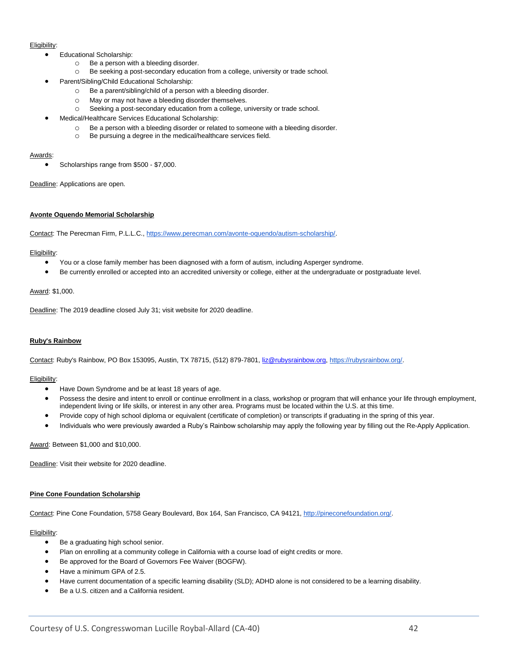#### Eligibility:

- Educational Scholarship:
	- o Be a person with a bleeding disorder.
	- o Be seeking a post-secondary education from a college, university or trade school.
- Parent/Sibling/Child Educational Scholarship:
	- o Be a parent/sibling/child of a person with a bleeding disorder.
	- o May or may not have a bleeding disorder themselves.
	- o Seeking a post-secondary education from a college, university or trade school.
	- Medical/Healthcare Services Educational Scholarship:
		- o Be a person with a bleeding disorder or related to someone with a bleeding disorder.
		- o Be pursuing a degree in the medical/healthcare services field.

#### Awards:

• Scholarships range from \$500 - \$7,000.

Deadline: Applications are open.

#### **Avonte Oquendo Memorial Scholarship**

Contact: The Perecman Firm, P.L.L.C., [https://www.perecman.com/avonte-oquendo/autism-scholarship/.](https://www.perecman.com/avonte-oquendo/autism-scholarship/)

#### Eligibility:

- You or a close family member has been diagnosed with a form of autism, including Asperger syndrome.
- Be currently enrolled or accepted into an accredited university or college, either at the undergraduate or postgraduate level.

#### Award: \$1,000.

Deadline: The 2019 deadline closed July 31; visit website for 2020 deadline.

#### **Ruby's Rainbow**

Contact: Ruby's Rainbow, PO Box 153095, Austin, TX 78715, (512) 879-7801, [liz@rubysrainbow.org,](mailto:liz@rubysrainbow.org) [https://rubysrainbow.org/.](https://rubysrainbow.org/)

#### Eligibility:

- Have Down Syndrome and be at least 18 years of age.
- Possess the desire and intent to enroll or continue enrollment in a class, workshop or program that will enhance your life through employment, independent living or life skills, or interest in any other area. Programs must be located within the U.S. at this time.
- Provide copy of high school diploma or equivalent (certificate of completion) or transcripts if graduating in the spring of this year.
- Individuals who were previously awarded a Ruby's Rainbow scholarship may apply the following year by filling out the Re-Apply Application.

Award: Between \$1,000 and \$10,000.

Deadline: Visit their website for 2020 deadline.

#### **Pine Cone Foundation Scholarship**

Contact: Pine Cone Foundation, 5758 Geary Boulevard, Box 164, San Francisco, CA 94121, [http://pineconefoundation.org/.](http://pineconefoundation.org/)

- Be a graduating high school senior.
- Plan on enrolling at a community college in California with a course load of eight credits or more.
- Be approved for the Board of Governors Fee Waiver (BOGFW).
- Have a minimum GPA of 2.5.
- Have current documentation of a specific learning disability (SLD); ADHD alone is not considered to be a learning disability.
- Be a U.S. citizen and a California resident.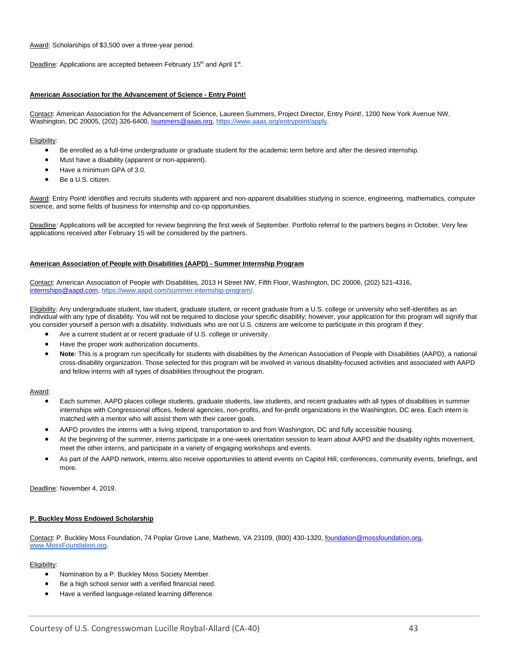Award: Scholarships of \$3,500 over a three-year period.

Deadline: Applications are accepted between February 15<sup>th</sup> and April 1<sup>st</sup>.

#### **American Association for the Advancement of Science - Entry Point!**

Contact: American Association for the Advancement of Science, Laureen Summers, Project Director, Entry Point!, 1200 New York Avenue NW, Washington, DC 20005, (202) 326-6400[, lsummers@aaas.org,](mailto:lsummers@aaas.org) [https://www.aaas.org/entrypoint/apply.](https://www.aaas.org/entrypoint/apply)

#### Eligibility:

- Be enrolled as a full-time undergraduate or graduate student for the academic term before and after the desired internship.
- Must have a disability (apparent or non-apparent).
- Have a minimum GPA of 3.0.
- Be a U.S. citizen.

Award: Entry Point! identifies and recruits students with apparent and non-apparent disabilities studying in science, engineering, mathematics, computer science, and some fields of business for internship and co-op opportunities.

Deadline: Applications will be accepted for review beginning the first week of September. Portfolio referral to the partners begins in October. Very few applications received after February 15 will be considered by the partners.

#### **American Association of People with Disabilities (AAPD) - Summer Internship Program**

Contact: American Association of People with Disabilities, 2013 H Street NW, Fifth Floor, Washington, DC 20006, (202) 521-4316, [internships@aapd.com,](mailto:internships@aapd.com) [https://www.aapd.com/summer-internship-program/.](https://www.aapd.com/summer-internship-program/)

Eligibility: Any undergraduate student, law student, graduate student, or recent graduate from a U.S. college or university who self-identifies as an individual with any type of disability. You will not be required to disclose your specific disability; however, your application for this program will signify that you consider yourself a person with a disability. Individuals who are not U.S. citizens are welcome to participate in this program if they:

- Are a current student at or recent graduate of U.S. college or university.
- Have the proper work authorization documents.
- **Note**: This is a program run specifically for students with disabilities by the American Association of People with Disabilities (AAPD), a national cross-disability organization. Those selected for this program will be involved in various disability-focused activities and associated with AAPD and fellow interns with all types of disabilities throughout the program.

#### Award:

- Each summer, AAPD places college students, graduate students, law students, and recent graduates with all types of disabilities in summer internships with Congressional offices, federal agencies, non-profits, and for-profit organizations in the Washington, DC area. Each intern is matched with a mentor who will assist them with their career goals.
- AAPD provides the interns with a living stipend, transportation to and from Washington, DC and fully accessible housing.
- At the beginning of the summer, interns participate in a one-week orientation session to learn about AAPD and the disability rights movement, meet the other interns, and participate in a variety of engaging workshops and events.
- As part of the AAPD network, interns also receive opportunities to attend events on Capitol Hill, conferences, community events, briefings, and more.

Deadline: November 4, 2019.

#### **P. Buckley Moss Endowed Scholarship**

Contact: P. Buckley Moss Foundation, 74 Poplar Grove Lane, Mathews, VA 23109, (800) 430-1320, foundation@mossfoundation.org, [www.MossFoundation.org.](http://www.mossfoundation.org/) 

- Nomination by a P. Buckley Moss Society Member.
- Be a high school senior with a verified financial need.
- Have a verified language-related learning difference.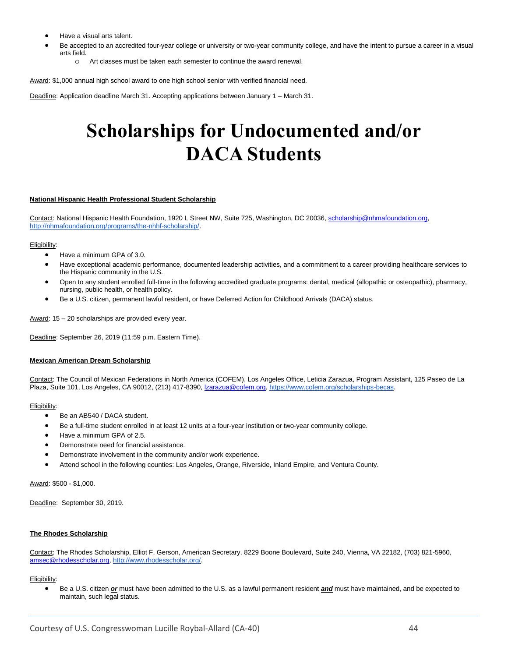- Have a visual arts talent.
- Be accepted to an accredited four-year college or university or two-year community college, and have the intent to pursue a career in a visual arts field.
	- $\circ$  Art classes must be taken each semester to continue the award renewal.

Award: \$1,000 annual high school award to one high school senior with verified financial need.

<span id="page-43-0"></span>Deadline: Application deadline March 31. Accepting applications between January 1 - March 31.

### **Scholarships for Undocumented and/or DACA Students**

#### **National Hispanic Health Professional Student Scholarship**

Contact: National Hispanic Health Foundation, 1920 L Street NW, Suite 725, Washington, DC 20036, [scholarship@nhmafoundation.org,](mailto:scholarship@nhmafoundation.org)  [http://nhmafoundation.org/programs/the-nhhf-scholarship/.](http://nhmafoundation.org/programs/the-nhhf-scholarship/)

#### Eligibility:

- Have a minimum GPA of 3.0.
- Have exceptional academic performance, documented leadership activities, and a commitment to a career providing healthcare services to the Hispanic community in the U.S.
- Open to any student enrolled full-time in the following accredited graduate programs: dental, medical (allopathic or osteopathic), pharmacy, nursing, public health, or health policy.
- Be a U.S. citizen, permanent lawful resident, or have Deferred Action for Childhood Arrivals (DACA) status.

Award: 15 – 20 scholarships are provided every year.

Deadline: September 26, 2019 (11:59 p.m. Eastern Time).

#### **Mexican American Dream Scholarship**

Contact: The Council of Mexican Federations in North America (COFEM), Los Angeles Office, Leticia Zarazua, Program Assistant, 125 Paseo de La Plaza, Suite 101, Los Angeles, CA 90012, (213) 417-8390[, lzarazua@cofem.org,](mailto:lzarazua@cofem.org) [https://www.cofem.org/scholarships-becas.](https://www.cofem.org/scholarships-becas)

#### Eligibility:

- Be an AB540 / DACA student.
- Be a full-time student enrolled in at least 12 units at a four-year institution or two-year community college.
- Have a minimum GPA of 2.5.
- Demonstrate need for financial assistance.
- Demonstrate involvement in the community and/or work experience.
- Attend school in the following counties: Los Angeles, Orange, Riverside, Inland Empire, and Ventura County.

Award: \$500 - \$1,000.

Deadline: September 30, 2019.

#### **The Rhodes Scholarship**

Contact: The Rhodes Scholarship, Elliot F. Gerson, American Secretary, 8229 Boone Boulevard, Suite 240, Vienna, VA 22182, (703) 821-5960, [amsec@rhodesscholar.org,](mailto:amsec@rhodesscholar.org) [http://www.rhodesscholar.org/.](http://www.rhodesscholar.org/)

#### Eligibility:

• Be a U.S. citizen *or* must have been admitted to the U.S. as a lawful permanent resident *and* must have maintained, and be expected to maintain, such legal status.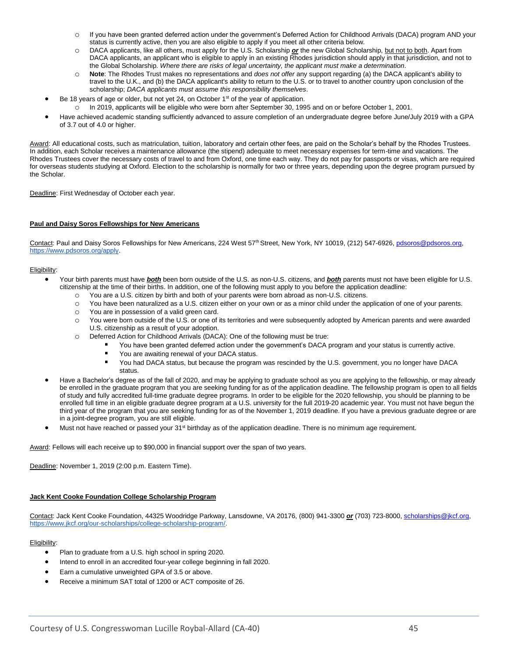- o If you have been granted deferred action under the government's Deferred Action for Childhood Arrivals (DACA) program AND your status is currently active, then you are also eligible to apply if you meet all other criteria below.
- o DACA applicants, like all others, must apply for the U.S. Scholarship *or* the new Global Scholarship, but not to both. Apart from DACA applicants, an applicant who is eligible to apply in an existing Rhodes jurisdiction should apply in that jurisdiction, and not to the Global Scholarship. *Where there are risks of legal uncertainty, the applicant must make a determination*.
- Note: The Rhodes Trust makes no representations and *does not offer* any support regarding (a) the DACA applicant's ability to travel to the U.K., and (b) the DACA applicant's ability to return to the U.S. or to travel to another country upon conclusion of the scholarship; *DACA applicants must assume this responsibility themselves*.
- Be 18 years of age or older, but not yet 24, on October 1<sup>st</sup> of the year of application.
	- o In 2019, applicants will be eligible who were born after September 30, 1995 and on or before October 1, 2001.
- Have achieved academic standing sufficiently advanced to assure completion of an undergraduate degree before June/July 2019 with a GPA of 3.7 out of 4.0 or higher.

Award: All educational costs, such as matriculation, tuition, laboratory and certain other fees, are paid on the Scholar's behalf by the Rhodes Trustees. In addition, each Scholar receives a maintenance allowance (the stipend) adequate to meet necessary expenses for term-time and vacations. The Rhodes Trustees cover the necessary costs of travel to and from Oxford, one time each way. They do not pay for passports or visas, which are required for overseas students studying at Oxford. Election to the scholarship is normally for two or three years, depending upon the degree program pursued by the Scholar.

Deadline: First Wednesday of October each year.

#### **Paul and Daisy Soros Fellowships for New Americans**

Contact: Paul and Daisy Soros Fellowships for New Americans, 224 West 57th Street, New York, NY 10019, (212) 547-6926, pdsoros@pdsoros.org, [https://www.pdsoros.org/apply.](https://www.pdsoros.org/apply)

#### Eligibility:

- Your birth parents must have *both* been born outside of the U.S. as non-U.S. citizens, and *both* parents must not have been eligible for U.S. citizenship at the time of their births. In addition, one of the following must apply to you before the application deadline:
	- o You are a U.S. citizen by birth and both of your parents were born abroad as non-U.S. citizens.
	- o You have been naturalized as a U.S. citizen either on your own or as a minor child under the application of one of your parents.
	- o You are in possession of a valid green card.
	- o You were born outside of the U.S. or one of its territories and were subsequently adopted by American parents and were awarded U.S. citizenship as a result of your adoption.
	- o Deferred Action for Childhood Arrivals (DACA): One of the following must be true:
		- You have been granted deferred action under the government's DACA program and your status is currently active.
		- You are awaiting renewal of your DACA status.
		- You had DACA status, but because the program was rescinded by the U.S. government, you no longer have DACA status.
- Have a Bachelor's degree as of the fall of 2020, and may be applying to graduate school as you are applying to the fellowship, or may already be enrolled in the graduate program that you are seeking funding for as of the application deadline. The fellowship program is open to all fields of study and fully accredited full-time graduate degree programs. In order to be eligible for the 2020 fellowship, you should be planning to be enrolled full time in an eligible graduate degree program at a U.S. university for the full 2019-20 academic year. You must not have begun the third year of the program that you are seeking funding for as of the November 1, 2019 deadline. If you have a previous graduate degree or are in a joint-degree program, you are still eligible.
- Must not have reached or passed your 31<sup>st</sup> birthday as of the application deadline. There is no minimum age requirement.

Award: Fellows will each receive up to \$90,000 in financial support over the span of two years.

Deadline: November 1, 2019 (2:00 p.m. Eastern Time).

#### **Jack Kent Cooke Foundation College Scholarship Program**

Contact: Jack Kent Cooke Foundation, 44325 Woodridge Parkway, Lansdowne, VA 20176, (800) 941-3300 *or* (703) 723-8000, [scholarships@jkcf.org,](mailto:scholarships@jkcf.org)  [https://www.jkcf.org/our-scholarships/college-scholarship-program/.](https://www.jkcf.org/our-scholarships/college-scholarship-program/)

- Plan to graduate from a U.S. high school in spring 2020.
- Intend to enroll in an accredited four-year college beginning in fall 2020.
- Earn a cumulative unweighted GPA of 3.5 or above.
- Receive a minimum SAT total of 1200 or ACT composite of 26.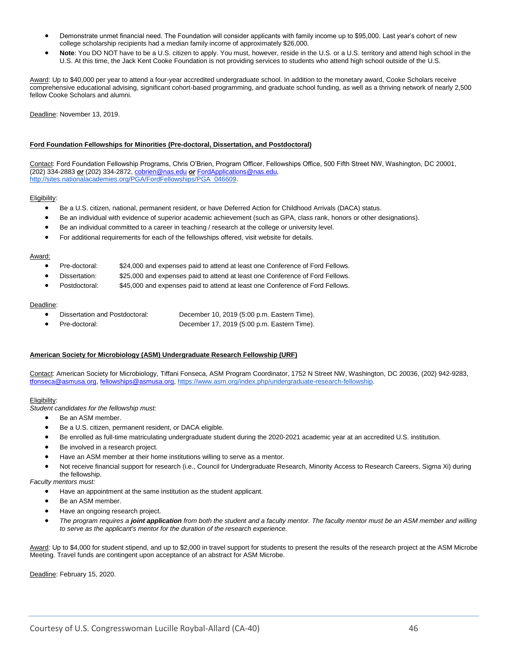- Demonstrate unmet financial need. The Foundation will consider applicants with family income up to \$95,000. Last year's cohort of new college scholarship recipients had a median family income of approximately \$26,000.
- **Note**: You DO NOT have to be a U.S. citizen to apply. You must, however, reside in the U.S. or a U.S. territory and attend high school in the U.S. At this time, the Jack Kent Cooke Foundation is not providing services to students who attend high school outside of the U.S.

Award: Up to \$40,000 per year to attend a four-year accredited undergraduate school. In addition to the monetary award, Cooke Scholars receive comprehensive educational advising, significant cohort-based programming, and graduate school funding, as well as a thriving network of nearly 2,500 fellow Cooke Scholars and alumni.

Deadline: November 13, 2019.

#### **Ford Foundation Fellowships for Minorities (Pre-doctoral, Dissertation, and Postdoctoral)**

Contact: Ford Foundation Fellowship Programs, Chris O'Brien, Program Officer, Fellowships Office, 500 Fifth Street NW, Washington, DC 20001, (202) 334-2883 *or* (202) 334-2872[, cobrien@nas.edu](mailto:cobrien@nas.edu) *or* [FordApplications@nas.edu](mailto:FordApplications@nas.edu)[,](http://sites.nationalacademies.org/PGA/FordFellowships/PGA_046609) [http://sites.nationalacademies.org/PGA/FordFellowships/PGA\\_046609.](http://sites.nationalacademies.org/PGA/FordFellowships/PGA_046609)

#### Eligibility:

- Be a U.S. citizen, national, permanent resident, or have Deferred Action for Childhood Arrivals (DACA) status.
- Be an individual with evidence of superior academic achievement (such as GPA, class rank, honors or other designations).
- Be an individual committed to a career in teaching / research at the college or university level.
- For additional requirements for each of the fellowships offered, visit website for details.

#### Award:

- Pre-doctoral: \$24,000 and expenses paid to attend at least one Conference of Ford Fellows.
- Dissertation: \$25,000 and expenses paid to attend at least one Conference of Ford Fellows.
- Postdoctoral: \$45,000 and expenses paid to attend at least one Conference of Ford Fellows.

#### Deadline:

- Dissertation and Postdoctoral: December 10, 2019 (5:00 p.m. Eastern Time).
	- Pre-doctoral: December 17, 2019 (5:00 p.m. Eastern Time).

#### **American Society for Microbiology (ASM) Undergraduate Research Fellowship (URF)**

Contact: American Society for Microbiology, Tiffani Fonseca, ASM Program Coordinator, 1752 N Street NW, Washington, DC 20036, (202) 942-9283, [tfonseca@asmusa.org,](mailto:tfonseca@asmusa.org) [fellowships@asmusa.org,](mailto:fellowships@asmusa.org) [https://www.asm.org/index.php/undergraduate-research-fellowship.](https://www.asm.org/index.php/undergraduate-research-fellowship) 

#### Eligibility:

*Student candidates for the fellowship must:*

- Be an ASM member.
- Be a U.S. citizen, permanent resident, or DACA eligible.
- Be enrolled as full-time matriculating undergraduate student during the 2020-2021 academic year at an accredited U.S. institution.
- Be involved in a research project.
- Have an ASM member at their home institutions willing to serve as a mentor.
- Not receive financial support for research (i.e., Council for Undergraduate Research, Minority Access to Research Careers, Sigma Xi) during the fellowship.

*Faculty mentors must:*

- Have an appointment at the same institution as the student applicant.
- Be an ASM member.
- Have an ongoing research project.
- *The program requires a joint application from both the student and a faculty mentor. The faculty mentor must be an ASM member and willing to serve as the applicant's mentor for the duration of the research experience.*

Award: Up to \$4,000 for student stipend, and up to \$2,000 in travel support for students to present the results of the research project at the ASM Microbe Meeting. Travel funds are contingent upon acceptance of an abstract for ASM Microbe.

Deadline: February 15, 2020.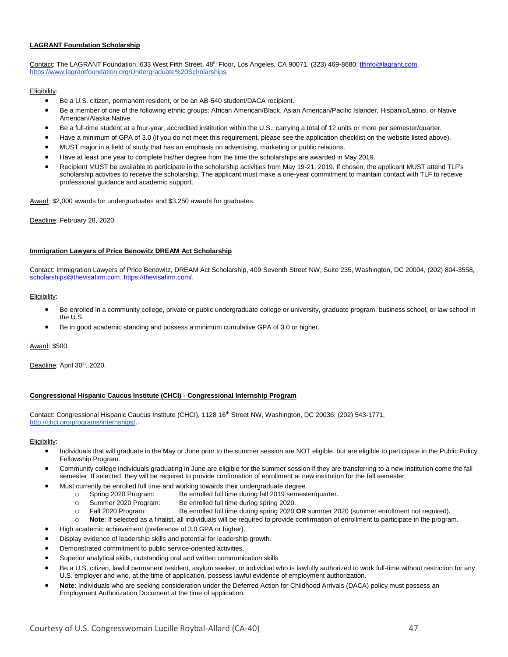#### **LAGRANT Foundation Scholarship**

Contact: The LAGRANT Foundation[,](https://www.lagrantfoundation.org/Undergraduate%20Scholarships) 633 West Fifth Street, 48<sup>th</sup> Floor, Los Angeles, CA 90071, (323) 469-8680, the dagrant.com, [https://www.lagrantfoundation.org/Undergraduate%20Scholarships.](https://www.lagrantfoundation.org/Undergraduate%20Scholarships)

#### Eligibility:

- Be a U.S. citizen, permanent resident, or be an AB-540 student/DACA recipient.
- Be a member of one of the following ethnic groups: African American/Black, Asian American/Pacific Islander, Hispanic/Latino, or Native American/Alaska Native.
- Be a full-time student at a four-year, accredited institution within the U.S., carrying a total of 12 units or more per semester/quarter.
- Have a minimum of GPA of 3.0 (if you do not meet this requirement, please see the application checklist on the website listed above).
- MUST major in a field of study that has an emphasis on advertising, marketing or public relations.
- Have at least one year to complete his/her degree from the time the scholarships are awarded in May 2019.
- Recipient MUST be available to participate in the scholarship activities from May 19-21, 2019. If chosen, the applicant MUST attend TLF's scholarship activities to receive the scholarship. The applicant must make a one-year commitment to maintain contact with TLF to receive professional guidance and academic support.

Award: \$2,000 awards for undergraduates and \$3,250 awards for graduates.

Deadline: February 28, 2020.

#### **Immigration Lawyers of Price Benowitz DREAM Act Scholarship**

Contact: Immigration Lawyers of Price Benowitz, DREAM Act Scholarship, 409 Seventh Street NW, Suite 235, Washington, DC 20004, (202) 804-3558, [scholarships@thevisafirm.com,](mailto:scholarships@thevisafirm.com) [https://thevisafirm.com/.](https://thevisafirm.com/)

#### Eligibility:

- Be enrolled in a community college, private or public undergraduate college or university, graduate program, business school, or law school in the U.S.
- Be in good academic standing and possess a minimum cumulative GPA of 3.0 or higher.

Award: \$500.

Deadline: April 30<sup>th</sup>, 2020.

#### **Congressional Hispanic Caucus Institute (CHCI) - Congressional Internship Program**

Contact: Congressional Hispanic Caucus Institute (CHCI), 1128 16<sup>th</sup> Street NW, Washington, DC 20036, (202) 543-1771, [http://chci.org/programs/internships/.](http://chci.org/programs/internships/)

- Individuals that will graduate in the May or June prior to the summer session are NOT eligible, but are eligible to participate in the Public Policy Fellowship Program.
- Community college individuals graduating in June are eligible for the summer session if they are transferring to a new institution come the fall semester. If selected, they will be required to provide confirmation of enrollment at new institution for the fall semester.
- Must currently be enrolled full time and working towards their undergraduate degree.
	- o Spring 2020 Program: Be enrolled full time during fall 2019 semester/quarter.
	- o Summer 2020 Program: Be enrolled full time during spring 2020.
	- o Fall 2020 Program: Be enrolled full time during spring 2020 **OR** summer 2020 (summer enrollment not required).
	- o **Note**: If selected as a finalist, all individuals will be required to provide confirmation of enrollment to participate in the program.
	- High academic achievement (preference of 3.0 GPA or higher).
- Display evidence of leadership skills and potential for leadership growth.
- Demonstrated commitment to public service-oriented activities.
- Superior analytical skills, outstanding oral and written communication skills
- Be a U.S. citizen, lawful permanent resident, asylum seeker, or individual who is lawfully authorized to work full-time without restriction for any U.S. employer and who, at the time of application, possess lawful evidence of employment authorization.
- **Note**: Individuals who are seeking consideration under the Deferred Action for Childhood Arrivals (DACA) policy must possess an Employment Authorization Document at the time of application.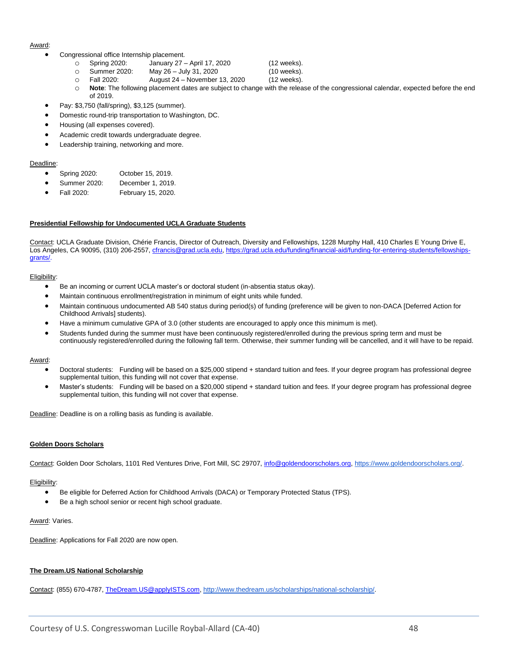#### Award:

- Congressional office Internship placement.
	- o Spring 2020: January 27 April 17, 2020 (12 weeks).
	- o Summer 2020: May 26 July 31, 2020 (10 weeks).
	- o Fall 2020: August 24 November 13, 2020 (12 weeks).
	- o **Note**: The following placement dates are subject to change with the release of the congressional calendar, expected before the end of 2019.
- Pay: \$3,750 (fall/spring), \$3,125 (summer).
- Domestic round-trip transportation to Washington, DC.
- Housing (all expenses covered).
- Academic credit towards undergraduate degree.
- Leadership training, networking and more.

#### Deadline:

- Spring 2020: October 15, 2019.
- Summer 2020: December 1, 2019.
- Fall 2020: February 15, 2020.

#### **Presidential Fellowship for Undocumented UCLA Graduate Students**

Contact: UCLA Graduate Division, Chérie Francis, Director of Outreach, Diversity and Fellowships, 1228 Murphy Hall, 410 Charles E Young Drive E, Los Angeles, CA 90095, (310) 206-2557[, cfrancis@grad.ucla.edu,](mailto:cfrancis@grad.ucla.edu) [https://grad.ucla.edu/funding/financial-aid/funding-for-entering-students/fellowships](https://grad.ucla.edu/funding/financial-aid/funding-for-entering-students/fellowships-grants/)[grants/.](https://grad.ucla.edu/funding/financial-aid/funding-for-entering-students/fellowships-grants/)

#### Eligibility:

- Be an incoming or current UCLA master's or doctoral student (in-absentia status okay).
- Maintain continuous enrollment/registration in minimum of eight units while funded.
- Maintain continuous undocumented AB 540 status during period(s) of funding (preference will be given to non-DACA [Deferred Action for Childhood Arrivals] students).
- Have a minimum cumulative GPA of 3.0 (other students are encouraged to apply once this minimum is met).
- Students funded during the summer must have been continuously registered/enrolled during the previous spring term and must be continuously registered/enrolled during the following fall term. Otherwise, their summer funding will be cancelled, and it will have to be repaid.

#### Award:

- Doctoral students: Funding will be based on a \$25,000 stipend + standard tuition and fees. If your degree program has professional degree supplemental tuition, this funding will not cover that expense.
- Master's students: Funding will be based on a \$20,000 stipend + standard tuition and fees. If your degree program has professional degree supplemental tuition, this funding will not cover that expense.

Deadline: Deadline is on a rolling basis as funding is available.

#### **Golden Doors Scholars**

Contact: Golden Door Scholars, 1101 Red Ventures Drive, Fort Mill, SC 29707[, info@goldendoorscholars.org,](mailto:info@goldendoorscholars.org) [https://www.goldendoorscholars.org/.](https://www.goldendoorscholars.org/)

#### Eligibility:

- Be eligible for Deferred Action for Childhood Arrivals (DACA) or Temporary Protected Status (TPS).
- Be a high school senior or recent high school graduate.

#### Award: Varies.

Deadline: Applications for Fall 2020 are now open.

#### **The Dream.US National Scholarship**

Contact: (855) 670-4787[, TheDream.US@applyISTS.com,](mailto:TheDream.US@applyISTS.com) [http://www.thedream.us/scholarships/national-scholarship/.](http://www.thedream.us/scholarships/national-scholarship/)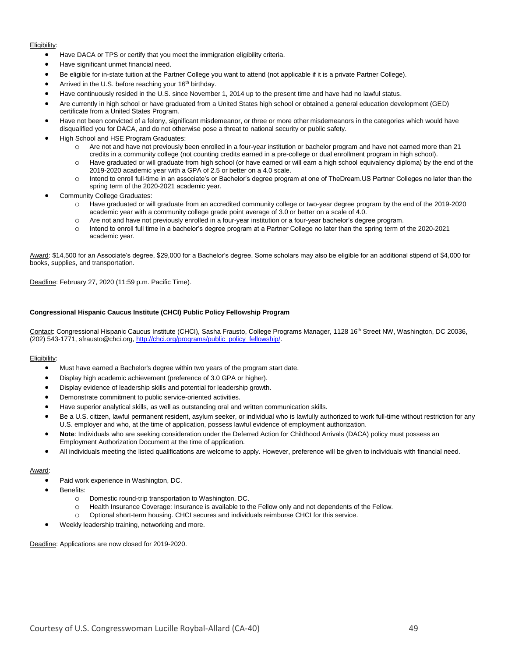#### Eligibility:

- Have DACA or TPS or certify that you meet the immigration eligibility criteria.
- Have significant unmet financial need.
- Be eligible for in-state tuition at the Partner College you want to attend (not applicable if it is a private Partner College).
- Arrived in the U.S. before reaching your 16<sup>th</sup> birthday.
- Have continuously resided in the U.S. since November 1, 2014 up to the present time and have had no lawful status.
- Are currently in high school or have graduated from a United States high school or obtained a general education development (GED) certificate from a United States Program.
- Have not been convicted of a felony, significant misdemeanor, or three or more other misdemeanors in the categories which would have disqualified you for DACA, and do not otherwise pose a threat to national security or public safety.
- High School and HSE Program Graduates:
	- o Are not and have not previously been enrolled in a four-year institution or bachelor program and have not earned more than 21 credits in a community college (not counting credits earned in a pre-college or dual enrollment program in high school).
	- o Have graduated or will graduate from high school (or have earned or will earn a high school equivalency diploma) by the end of the 2019-2020 academic year with a GPA of 2.5 or better on a 4.0 scale.
	- o Intend to enroll full-time in an associate's or Bachelor's degree program at one of TheDream.US Partner Colleges no later than the spring term of the 2020-2021 academic year.
- Community College Graduates:
	- o Have graduated or will graduate from an accredited community college or two-year degree program by the end of the 2019-2020 academic year with a community college grade point average of 3.0 or better on a scale of 4.0.
	- o Are not and have not previously enrolled in a four-year institution or a four-year bachelor's degree program.
	- o Intend to enroll full time in a bachelor's degree program at a Partner College no later than the spring term of the 2020-2021 academic year.

Award: \$14,500 for an Associate's degree, \$29,000 for a Bachelor's degree. Some scholars may also be eligible for an additional stipend of \$4,000 for books, supplies, and transportation.

Deadline: February 27, 2020 (11:59 p.m. Pacific Time).

#### **Congressional Hispanic Caucus Institute (CHCI) Public Policy Fellowship Program**

Contact: Congressional Hispanic Caucus Institute (CHCI), Sasha Frausto, College Programs Manager, 1128 16<sup>th</sup> Street NW, Washington, DC 20036, (202) 543-1771, sfrausto@chci.org, [http://chci.org/programs/public\\_policy\\_fellowship/.](http://chci.org/programs/public_policy_fellowship/)

#### Eligibility:

- Must have earned a Bachelor's degree within two years of the program start date.
- Display high academic achievement (preference of 3.0 GPA or higher).
- Display evidence of leadership skills and potential for leadership growth.
- Demonstrate commitment to public service-oriented activities.
- Have superior analytical skills, as well as outstanding oral and written communication skills.
- Be a U.S. citizen, lawful permanent resident, asylum seeker, or individual who is lawfully authorized to work full-time without restriction for any U.S. employer and who, at the time of application, possess lawful evidence of employment authorization.
- **Note**: Individuals who are seeking consideration under the Deferred Action for Childhood Arrivals (DACA) policy must possess an Employment Authorization Document at the time of application.
- All individuals meeting the listed qualifications are welcome to apply. However, preference will be given to individuals with financial need.

#### Award:

- Paid work experience in Washington, DC.
- Benefits:
	- o Domestic round-trip transportation to Washington, DC.
	- o Health Insurance Coverage: Insurance is available to the Fellow only and not dependents of the Fellow.
	- o Optional short-term housing. CHCI secures and individuals reimburse CHCI for this service.
- Weekly leadership training, networking and more.

Deadline: Applications are now closed for 2019-2020.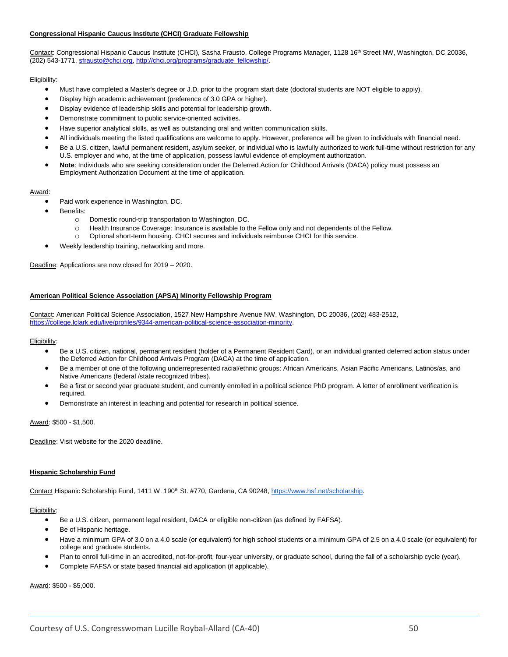#### **Congressional Hispanic Caucus Institute (CHCI) Graduate Fellowship**

Contact: Congressional Hispanic Caucus Institute (CHCI), Sasha Frausto, College Programs Manager, 1128 16<sup>th</sup> Street NW, Washington, DC 20036, (202) 543-1771, [sfrausto@chci.org,](mailto:sfrausto@chci.org) [http://chci.org/programs/graduate\\_fellowship/.](http://chci.org/programs/graduate_fellowship/)

#### Eligibility:

- Must have completed a Master's degree or J.D. prior to the program start date (doctoral students are NOT eligible to apply).
- Display high academic achievement (preference of 3.0 GPA or higher).
- Display evidence of leadership skills and potential for leadership growth.
- Demonstrate commitment to public service-oriented activities.
- Have superior analytical skills, as well as outstanding oral and written communication skills.
- All individuals meeting the listed qualifications are welcome to apply. However, preference will be given to individuals with financial need.
- Be a U.S. citizen, lawful permanent resident, asylum seeker, or individual who is lawfully authorized to work full-time without restriction for any U.S. employer and who, at the time of application, possess lawful evidence of employment authorization.
- **Note**: Individuals who are seeking consideration under the Deferred Action for Childhood Arrivals (DACA) policy must possess an Employment Authorization Document at the time of application.

#### Award:

- Paid work experience in Washington, DC.
- Benefits:
	- o Domestic round-trip transportation to Washington, DC.
	- o Health Insurance Coverage: Insurance is available to the Fellow only and not dependents of the Fellow.
	- o Optional short-term housing. CHCI secures and individuals reimburse CHCI for this service.
- Weekly leadership training, networking and more.

Deadline: Applications are now closed for 2019 - 2020.

#### **American Political Science Association (APSA) Minority Fellowship Program**

Contact: American Political Science Association, 1527 New Hampshire Avenue NW, Washington, DC 20036, (202) 483-2512, [https://college.lclark.edu/live/profiles/9344-american-political-science-association-minority.](https://college.lclark.edu/live/profiles/9344-american-political-science-association-minority)

#### Eligibility:

- Be a U.S. citizen, national, permanent resident (holder of a Permanent Resident Card), or an individual granted deferred action status under the Deferred Action for Childhood Arrivals Program (DACA) at the time of application.
- Be a member of one of the following underrepresented racial/ethnic groups: African Americans, Asian Pacific Americans, Latinos/as, and Native Americans (federal /state recognized tribes).
- Be a first or second year graduate student, and currently enrolled in a political science PhD program. A letter of enrollment verification is required.
- Demonstrate an interest in teaching and potential for research in political science.

Award: \$500 - \$1,500.

Deadline: Visit website for the 2020 deadline.

#### **Hispanic Scholarship Fund**

Contact Hispanic Scholarship Fund, 1411 W. 190<sup>th</sup> St. #770, Gardena, CA 90248, [https://www.hsf.net/scholarship.](https://www.hsf.net/scholarship)

#### Eligibility:

- Be a U.S. citizen, permanent legal resident, DACA or eligible non-citizen (as defined by FAFSA).
- Be of Hispanic heritage.
- Have a minimum GPA of 3.0 on a 4.0 scale (or equivalent) for high school students or a minimum GPA of 2.5 on a 4.0 scale (or equivalent) for college and graduate students.
- Plan to enroll full-time in an accredited, not-for-profit, four-year university, or graduate school, during the fall of a scholarship cycle (year).
- Complete FAFSA or state based financial aid application (if applicable).

Award: \$500 - \$5,000.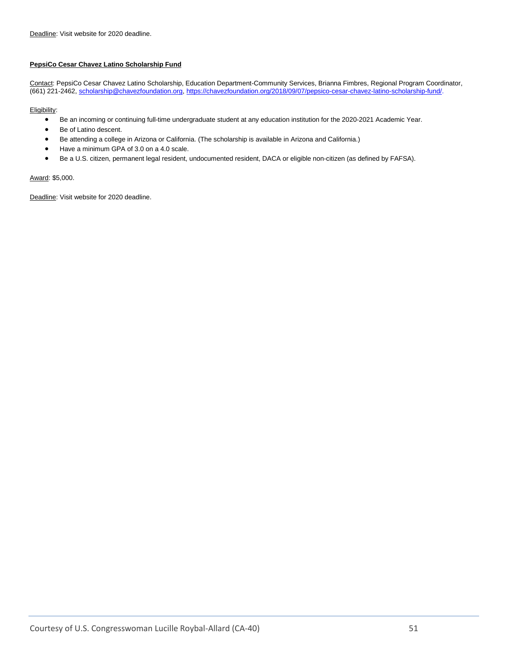#### **PepsiCo Cesar Chavez Latino Scholarship Fund**

Contact: PepsiCo Cesar Chavez Latino Scholarship, Education Department-Community Services, Brianna Fimbres, Regional Program Coordinator, (661) 221-2462, [scholarship@chavezfoundation.org,](mailto:scholarship@chavezfoundation.org) [https://chavezfoundation.org/2018/09/07/pepsico-cesar-chavez-latino-scholarship-fund/.](https://chavezfoundation.org/2018/09/07/pepsico-cesar-chavez-latino-scholarship-fund/)

#### Eligibility:

- Be an incoming or continuing full-time undergraduate student at any education institution for the 2020-2021 Academic Year.
- Be of Latino descent.
- Be attending a college in Arizona or California. (The scholarship is available in Arizona and California.)
- Have a minimum GPA of 3.0 on a 4.0 scale.
- Be a U.S. citizen, permanent legal resident, undocumented resident, DACA or eligible non-citizen (as defined by FAFSA).

#### Award: \$5,000.

Deadline: Visit website for 2020 deadline.